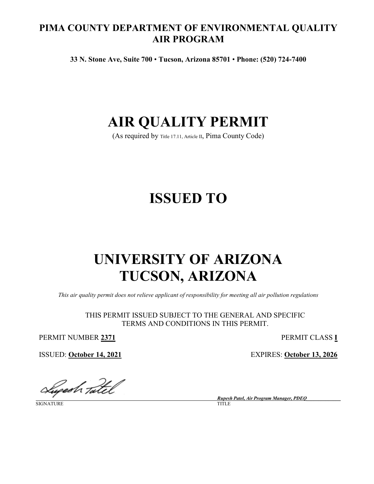# **PIMA COUNTY DEPARTMENT OF ENVIRONMENTAL QUALITY AIR PROGRAM**

**33 N. Stone Ave, Suite 700** • **Tucson, Arizona 85701** • **Phone: (520) 724-7400**

# **AIR QUALITY PERMIT**

(As required by [Title 17.11, Article II,](https://tinyurl.com/y68cyw36) Pima County Code)

# **ISSUED TO**

# **UNIVERSITY OF ARIZONA TUCSON, ARIZONA**

*This air quality permit does not relieve applicant of responsibility for meeting all air pollution regulations*

THIS PERMIT ISSUED SUBJECT TO THE GENERAL AND SPECIFIC TERMS AND CONDITIONS IN THIS PERMIT.

PERMIT NUMBER **2371** PERMIT CLASS **I**

ISSUED: **October 14, 2021** EXPIRES: **October 13, 2026**

Lugesh Tatel

**SIGNATURE** 

 *Rupesh Patel, Air Program Manager, PDEQ\_\_\_\_\_\_\_\_\_\_\_\_\_\_*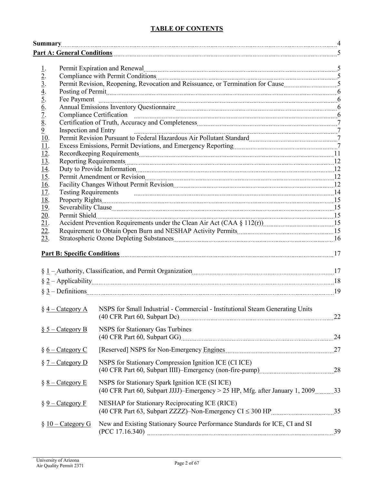# **TABLE OF CONTENTS**

<span id="page-1-0"></span>

|                                                                                             |                             | Part A: General Conditions <b>Example 2018</b> 5                                                                                                                                                                                     |  |
|---------------------------------------------------------------------------------------------|-----------------------------|--------------------------------------------------------------------------------------------------------------------------------------------------------------------------------------------------------------------------------------|--|
|                                                                                             |                             |                                                                                                                                                                                                                                      |  |
| <u>1</u> .                                                                                  |                             | Permit Expiration and Renewal manual content of the content of the Renewal Content of the Second Lemma and Second Lemma and Second Lemma and Second Lemma and Second Lemma and Second Lemma and Second Lemma and Second Lemma        |  |
| $\frac{2}{3}$ .<br>$\frac{3}{4}$ .<br>$\frac{4}{5}$ .<br>$\frac{6}{7}$ .<br>$\frac{7}{8}$ . |                             | Compliance with Permit Conditions [100] [100] [100] [100] [100] [100] [100] [100] [100] [100] [100] [100] [100] [100] [100] [100] [100] [100] [100] [100] [100] [100] [100] [100] [100] [100] [100] [100] [100] [100] [100] [1       |  |
|                                                                                             |                             |                                                                                                                                                                                                                                      |  |
|                                                                                             |                             |                                                                                                                                                                                                                                      |  |
|                                                                                             |                             |                                                                                                                                                                                                                                      |  |
|                                                                                             |                             |                                                                                                                                                                                                                                      |  |
|                                                                                             |                             | Compliance Certification manufactured compliance Certification manufactured compliance Certification                                                                                                                                 |  |
|                                                                                             |                             |                                                                                                                                                                                                                                      |  |
| $\overline{9}$                                                                              | <b>Inspection and Entry</b> |                                                                                                                                                                                                                                      |  |
| 10.                                                                                         |                             | Permit Revision Pursuant to Federal Hazardous Air Pollutant Standard [11] [12] Permit Revision Pursuant to Federal Hazardous Air Pollutant Standard                                                                                  |  |
| 11.                                                                                         |                             |                                                                                                                                                                                                                                      |  |
| 12.                                                                                         |                             |                                                                                                                                                                                                                                      |  |
| $\overline{13}$ .                                                                           |                             |                                                                                                                                                                                                                                      |  |
| 14.                                                                                         |                             |                                                                                                                                                                                                                                      |  |
| <u>15</u> .                                                                                 |                             |                                                                                                                                                                                                                                      |  |
| <u>16</u> .                                                                                 |                             | Facility Changes Without Permit Revision [10] The Research Management Revision [20] The Revision [20] The Revision [20] The Revision [20] The Revision [20] The Revision [20] The Revision (2010) The Revision of the Revision       |  |
| <u>17.</u>                                                                                  |                             | Testing Requirements <b>manufacture and the contract of the contract of the contract of the contract of the contract of the contract of the contract of the contract of the contract of the contract of the contract of the cont</b> |  |
| <u>18</u> .                                                                                 |                             |                                                                                                                                                                                                                                      |  |
| <u>19</u> .                                                                                 |                             |                                                                                                                                                                                                                                      |  |
| 20.                                                                                         |                             |                                                                                                                                                                                                                                      |  |
| $\overline{21}$ .                                                                           |                             |                                                                                                                                                                                                                                      |  |
| 22.                                                                                         |                             |                                                                                                                                                                                                                                      |  |
| 23.                                                                                         |                             |                                                                                                                                                                                                                                      |  |
|                                                                                             |                             | Part B: Specific Conditions 17                                                                                                                                                                                                       |  |
|                                                                                             |                             |                                                                                                                                                                                                                                      |  |
|                                                                                             |                             |                                                                                                                                                                                                                                      |  |
|                                                                                             |                             | $\S$ 1 – Authority, Classification, and Permit Organization <i>manufacture in the state state state state state 17</i>                                                                                                               |  |
|                                                                                             |                             |                                                                                                                                                                                                                                      |  |
|                                                                                             |                             | $\S 3 - Definitions$ 19                                                                                                                                                                                                              |  |
|                                                                                             |                             |                                                                                                                                                                                                                                      |  |
|                                                                                             |                             | § 4 – Category A NSPS for Small Industrial - Commercial - Institutional Steam Generating Units                                                                                                                                       |  |
|                                                                                             |                             |                                                                                                                                                                                                                                      |  |
|                                                                                             |                             |                                                                                                                                                                                                                                      |  |
|                                                                                             | $\S$ 5 – Category B         | <b>NSPS</b> for Stationary Gas Turbines                                                                                                                                                                                              |  |
|                                                                                             |                             | (40 CFR Part 60, Subpart GG) 24                                                                                                                                                                                                      |  |
|                                                                                             |                             |                                                                                                                                                                                                                                      |  |
|                                                                                             | $§ 6 - \text{Category } C$  |                                                                                                                                                                                                                                      |  |
|                                                                                             | $\S$ 7 – Category D         | NSPS for Stationary Compression Ignition ICE (CI ICE)                                                                                                                                                                                |  |
|                                                                                             |                             |                                                                                                                                                                                                                                      |  |
|                                                                                             |                             |                                                                                                                                                                                                                                      |  |
|                                                                                             | $§ 8 - \text{Category } E$  | NSPS for Stationary Spark Ignition ICE (SI ICE)                                                                                                                                                                                      |  |
|                                                                                             |                             | (40 CFR Part 60, Subpart JJJJ)-Emergency > 25 HP, Mfg. after January 1, 2009 33                                                                                                                                                      |  |
|                                                                                             |                             |                                                                                                                                                                                                                                      |  |
|                                                                                             | $\S 9$ – Category F         | NESHAP for Stationary Reciprocating ICE (RICE)                                                                                                                                                                                       |  |
|                                                                                             |                             |                                                                                                                                                                                                                                      |  |
|                                                                                             | $§$ 10 – Category G         | New and Existing Stationary Source Performance Standards for ICE, CI and SI                                                                                                                                                          |  |
|                                                                                             |                             |                                                                                                                                                                                                                                      |  |
|                                                                                             |                             |                                                                                                                                                                                                                                      |  |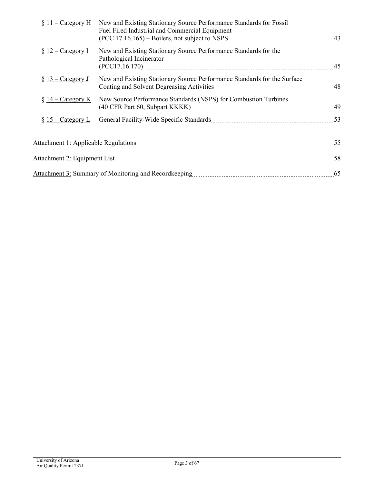| $\S$ 11 – Category H               | New and Existing Stationary Source Performance Standards for Fossil<br>Fuel Fired Industrial and Commercial Equipment |    |
|------------------------------------|-----------------------------------------------------------------------------------------------------------------------|----|
| $\S$ 12 – Category I               | New and Existing Stationary Source Performance Standards for the<br>Pathological Incinerator                          |    |
| $\S$ 13 – Category J               | New and Existing Stationary Source Performance Standards for the Surface                                              |    |
| $\S 14$ – Category K               | New Source Performance Standards (NSPS) for Combustion Turbines                                                       |    |
| $\frac{15 - \text{Category L}}{2}$ |                                                                                                                       |    |
|                                    |                                                                                                                       |    |
|                                    |                                                                                                                       |    |
|                                    |                                                                                                                       | 65 |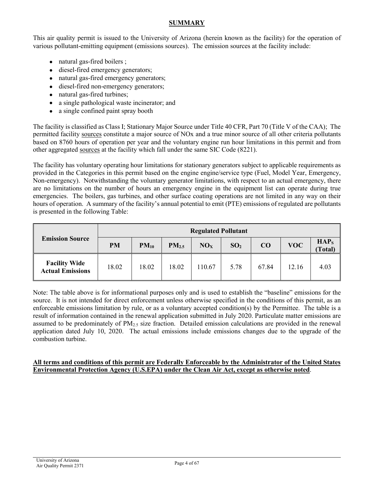# **SUMMARY**

This air quality permit is issued to the University of Arizona (herein known as the facility) for the operation of various pollutant-emitting equipment (emissions sources). The emission sources at the facility include:

- natural gas-fired boilers;
- diesel-fired emergency generators;
- natural gas-fired emergency generators;
- diesel-fired non-emergency generators;
- natural gas-fired turbines;
- a single pathological waste incinerator; and
- a single confined paint spray booth

The facility is classified as Class I; Stationary Major Source under Title 40 CFR, Part 70 (Title V of the CAA); The permitted facility [sources](#page-20-0) constitute a major source of NOx and a true minor source of all other criteria pollutants based on 8760 hours of operation per year and the voluntary engine run hour limitations in this permit and from other aggregated [sources](#page-20-0) at the facility which fall under the same SIC Code (8221).

The facility has voluntary operating hour limitations for stationary generators subject to applicable requirements as provided in the Categories in this permit based on the engine engine/service type (Fuel, Model Year, Emergency, Non-emergency). Notwithstanding the voluntary generator limitations, with respect to an actual emergency, there are no limitations on the number of hours an emergency engine in the equipment list can operate during true emergencies. The boilers, gas turbines, and other surface coating operations are not limited in any way on their hours of operation. A summary of the facility's annual potential to emit (PTE) emissions of regulated are pollutants is presented in the following Table:

|                                                 | <b>Regulated Pollutant</b> |           |                   |                 |                 |       |            |                            |
|-------------------------------------------------|----------------------------|-----------|-------------------|-----------------|-----------------|-------|------------|----------------------------|
| <b>Emission Source</b>                          | <b>PM</b>                  | $PM_{10}$ | PM <sub>2.5</sub> | NO <sub>x</sub> | SO <sub>2</sub> | CO    | <b>VOC</b> | HAP <sub>s</sub><br>Total) |
| <b>Facility Wide</b><br><b>Actual Emissions</b> | 18.02                      | 18.02     | 18.02             | 110.67          | 5.78            | 67.84 | 12.16      | 4.03                       |

Note: The table above is for informational purposes only and is used to establish the "baseline" emissions for the source. It is not intended for direct enforcement unless otherwise specified in the conditions of this permit, as an enforceable emissions limitation by rule, or as a voluntary accepted condition(s) by the Permittee. The table is a result of information contained in the renewal application submitted in July 2020. Particulate matter emissions are assumed to be predominately of  $PM<sub>25</sub>$  size fraction. Detailed emission calculations are provided in the renewal application dated July 10, 2020. The actual emissions include emissions changes due to the upgrade of the combustion turbine.

### **All terms and conditions of this permit are Federally Enforceable by the Administrator of the United States Environmental Protection Agency (U.S.EPA) under the Clean Air Act, except as otherwise noted**.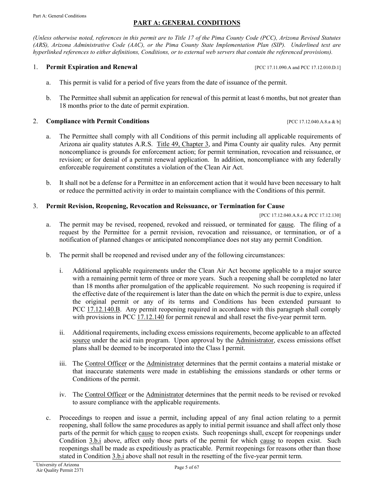# <span id="page-4-2"></span>**PART A: GENERAL CONDITIONS**

<span id="page-4-0"></span>*(Unless otherwise noted, references in this permit are to Title 17 of the Pima County Code (PCC), Arizona Revised Statutes (ARS), Arizona Administrative Code (AAC), or the Pima County State Implementation Plan (SIP). Underlined text are hyperlinked references to either definitions, Conditions, or to external web servers that contain the referenced provisions).*

#### <span id="page-4-1"></span>**1. Permit Expiration and Renewal Expiration and Renewal [\[PCC 17.11.090.A](https://tinyurl.com/yat2yhct) an[d PCC 17.12.010.D.1\]](https://tinyurl.com/yzt3rkpk)**

- a. This permit is valid for a period of five years from the date of issuance of the permit.
- b. The Permittee shall submit an application for renewal of this permit at least 6 months, but not greater than 18 months prior to the date of permit expiration.

#### 2. **Compliance with Permit Conditions** [\[PCC 17.12.040.A.8.a & b\]](https://tinyurl.com/ychblmx5)

- a. The Permittee shall comply with all Conditions of this permit including all applicable requirements of Arizona air quality statutes A.R.S. [Title 49, Chapter 3,](https://www.azleg.gov/arsDetail/?title=49) and Pima County air quality rules. Any permit noncompliance is grounds for enforcement action; for permit termination, revocation and reissuance, or revision; or for denial of a permit renewal application. In addition, noncompliance with any federally enforceable requirement constitutes a violation of the Clean Air Act.
- b. It shall not be a defense for a Permittee in an enforcement action that it would have been necessary to halt or reduce the permitted activity in order to maintain compliance with the Conditions of this permit.

#### <span id="page-4-3"></span>3. **Permit Revision, Reopening, Revocation and Reissuance, or Termination for Cause**

[\[PCC 17.12.040.A.8.c](https://tinyurl.com/ychblmx5) [& PCC 17.12.130\]](https://tinyurl.com/3ej9u96e)

- a. The permit may be revised, reopened, revoked and reissued, or terminated for [cause.](#page-18-1) The filing of a request by the Permittee for a permit revision, revocation and reissuance, or termination, or of a notification of planned changes or anticipated noncompliance does not stay any permit Condition.
- <span id="page-4-4"></span>b. The permit shall be reopened and revised under any of the following circumstances:
	- i. Additional applicable requirements under the Clean Air Act become applicable to a major source with a remaining permit term of three or more years. Such a reopening shall be completed no later than 18 months after promulgation of the applicable requirement. No such reopening is required if the effective date of the requirement is later than the date on which the permit is due to expire, unless the original permit or any of its terms and Conditions has been extended pursuant to PCC [17.12.140.B.](https://tinyurl.com/yau66sv9) Any permit reopening required in accordance with this paragraph shall comply with provisions in PCC [17.12.140](https://tinyurl.com/yau66sv9) for permit renewal and shall reset the five-year permit term.
	- ii. Additional requirements, including excess emissions requirements, become applicable to an affected [source](#page-20-0) under the acid rain program. Upon approval by the [Administrator,](#page-18-2) excess emissions offset plans shall be deemed to be incorporated into the Class I permit.
	- iii. The [Control Officer](#page-18-3) or the [Administrator](#page-18-2) determines that the permit contains a material mistake or that inaccurate statements were made in establishing the emissions standards or other terms or Conditions of the permit.
	- iv. The [Control Officer](#page-18-3) or the [Administrator](#page-18-2) determines that the permit needs to be revised or revoked to assure compliance with the applicable requirements.
- c. Proceedings to reopen and issue a permit, including appeal of any final action relating to a permit reopening, shall follow the same procedures as apply to initial permit issuance and shall affect only those parts of the permit for which [cause](#page-18-1) to reopen exists. Such reopenings shall, except for reopenings under [Condition 3.b.i](#page-4-4) above, affect only those parts of the permit for which [cause](#page-18-1) to reopen exist. Such reopenings shall be made as expeditiously as practicable. Permit reopenings for reasons other than those stated in [Condition 3.b.i](#page-4-4) above shall not result in the resetting of the five-year permit term.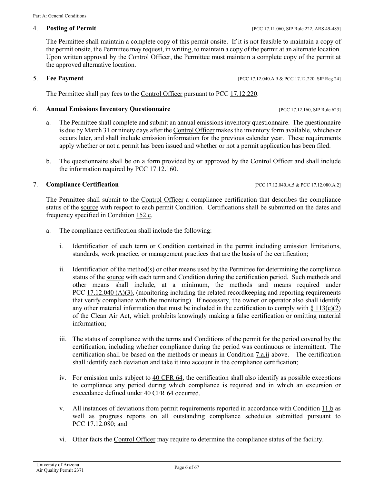<span id="page-5-0"></span>The Permittee shall maintain a complete copy of this permit onsite. If it is not feasible to maintain a copy of the permit onsite, the Permittee may request, in writing, to maintain a copy of the permit at an alternate location. Upon written approval by the [Control Officer,](#page-18-3) the Permittee must maintain a complete copy of the permit at the approved alternative location.

### <span id="page-5-1"></span>5. **Fee Payment** [\[PCC 17.12.040.A.9](https://tinyurl.com/ychblmx5) & [PCC 17.12.220,](https://tinyurl.com/23tv5djn) [SIP Reg 24\]](https://tinyurl.com/PIMASIPs)

The Permittee shall pay fees to the [Control Officer](#page-18-3) pursuant to [PCC 17.12.220.](https://tinyurl.com/17-12-220-A)

# <span id="page-5-2"></span>6. **Annual Emissions Inventory Questionnaire** [PCC 17.12.160, SIP Rule 623]

- a. The Permittee shall complete and submit an annual emissions inventory questionnaire. The questionnaire is due by March 31 or ninety days after th[e Control Officer](#page-18-3) makes the inventory form available, whichever occurs later, and shall include emission information for the previous calendar year. These requirements apply whether or not a permit has been issued and whether or not a permit application has been filed.
- b. The questionnaire shall be on a form provided by or approved by the [Control Officer](#page-18-3) and shall include the information required by [PCC 17.12.160.](https://tinyurl.com/17-12-160-A)

# <span id="page-5-3"></span>7. **Compliance Certification** [PCC 17.12.040.A.5 & PCC 17.12.080.A.2]

The Permittee shall submit to the [Control Officer](#page-18-3) a compliance certification that describes the compliance status of the [source](#page-20-0) with respect to each permit Condition. Certifications shall be submitted on the dates and frequency specified in [Condition 152.c.](#page-53-0)

- <span id="page-5-4"></span>a. The compliance certification shall include the following:
	- i. Identification of each term or Condition contained in the permit including emission limitations, standards, [work practice,](#page-20-1) or management practices that are the basis of the certification;
	- ii. Identification of the method(s) or other means used by the Permittee for determining the compliance status of the [source](#page-20-0) with each term and Condition during the certification period. Such methods and other means shall include, at a minimum, the methods and means required under PCC [17.12.040](https://tinyurl.com/ychblmx5) (A)(3), (monitoring including the related recordkeeping and reporting requirements that verify compliance with the monitoring). If necessary, the owner or operator also shall identify any other material information that must be included in the certification to comply with  $§ 113(c)(2)$ of the Clean Air Act, which prohibits knowingly making a false certification or omitting material information;
	- iii. The status of compliance with the terms and Conditions of the permit for the period covered by the certification, including whether compliance during the period was continuous or intermittent. The certification shall be based on the methods or means in [Condition 7.a.ii](#page-5-4) above. The certification shall identify each deviation and take it into account in the compliance certification;
	- iv. For emission units subject to [40 CFR 64,](https://tinyurl.com/40-CFR-64) the certification shall also identify as possible exceptions to compliance any period during which compliance is required and in which an excursion or exceedance defined under [40 CFR 64](https://tinyurl.com/40-CFR-64) occurred.
	- v. All instances of deviations from permit requirements reported in accordance with [Condition 11.b](#page-7-0) as well as progress reports on all outstanding compliance schedules submitted pursuant to PCC [17.12.080;](https://tinyurl.com/y7cllnco) and
	- vi. Other facts the [Control Officer](#page-18-3) may require to determine the compliance status of the facility.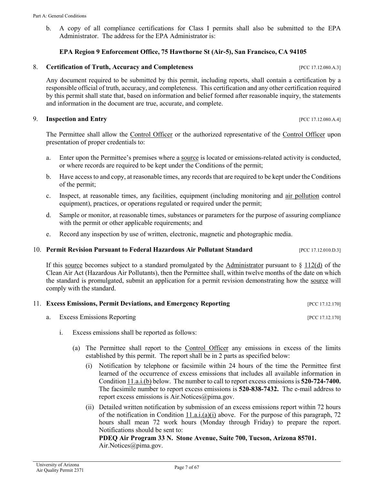b. A copy of all compliance certifications for Class I permits shall also be submitted to the EPA Administrator. The address for the EPA Administrator is:

#### **EPA Region 9 Enforcement Office, 75 Hawthorne St (Air-5), San Francisco, CA 94105**

#### <span id="page-6-0"></span>8. **Certification of Truth, Accuracy and Completeness** [PCC 17.12.080.A.3]

Any document required to be submitted by this permit, including reports, shall contain a certification by a responsible official of truth, accuracy, and completeness. This certification and any other certification required by this permit shall state that, based on information and belief formed after reasonable inquiry, the statements and information in the document are true, accurate, and complete.

#### <span id="page-6-1"></span>9. **Inspection and Entry** [PCC 17.12.080.A.4]

The Permittee shall allow the [Control Officer](#page-18-3) or the authorized representative of the Control Officer upon presentation of proper credentials to:

- a. Enter upon the Permittee's premises where [a source](#page-20-0) is located or emissions-related activity is conducted, or where records are required to be kept under the Conditions of the permit;
- b. Have access to and copy, at reasonable times, any records that are required to be kept under the Conditions of the permit;
- c. Inspect, at reasonable times, any facilities, equipment (including monitoring and [air pollution](#page-18-4) control equipment), practices, or operations regulated or required under the permit;
- d. Sample or monitor, at reasonable times, substances or parameters for the purpose of assuring compliance with the permit or other applicable requirements; and
- e. Record any inspection by use of written, electronic, magnetic and photographic media.

#### <span id="page-6-2"></span>10. **Permit Revision Pursuant to Federal Hazardous Air Pollutant Standard** [PCC 17.12.010.D.3]

If this [source](#page-20-0) becomes subject to a standard promulgated by the [Administrator](#page-18-2) pursuant to  $\S 112(d)$  of the Clean Air Act (Hazardous Air Pollutants), then the Permittee shall, within twelve months of the date on which the standard is promulgated, submit an application for a permit revision demonstrating how the [source](#page-20-0) will comply with the standard.

<span id="page-6-7"></span><span id="page-6-6"></span><span id="page-6-3"></span>

|  | 11. Excess Emissions, Permit Deviations, and Emergency Reporting | [PCC 17.12.170] |
|--|------------------------------------------------------------------|-----------------|
|  | a. Excess Emissions Reporting                                    | [PCC 17.12.170] |

- <span id="page-6-5"></span>i. Excess emissions shall be reported as follows:
	- (a) The Permittee shall report to the [Control Officer](#page-18-3) any emissions in excess of the limits established by this permit. The report shall be in 2 parts as specified below:
		- (i) Notification by telephone or facsimile within 24 hours of the time the Permittee first learned of the occurrence of excess emissions that includes all available information in [Condition 11.a.i.\(b\)](#page-6-4) below. The number to call to report excess emissions is **520-724-7400.**  The facsimile number to report excess emissions is **520-838-7432.** The e-mail address to report excess emissions i[s Air.Notices@pima.gov.](mailto:Air.Notices@pima.gov)
		- (ii) Detailed written notification by submission of an excess emissions report within 72 hours of the notification in Condition 11.a.i. $(a)(i)$  above. For the purpose of this paragraph, 72 hours shall mean 72 work hours (Monday through Friday) to prepare the report. Notifications should be sent to:

### <span id="page-6-4"></span>**PDEQ Air Program 33 N. Stone Avenue, Suite 700, Tucson, Arizona 85701.** [Air.Notices@pima.gov.](mailto:Air.Notices@pima.gov)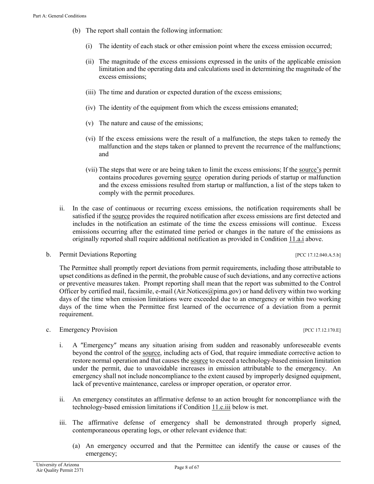- (b) The report shall contain the following information:
	- (i) The identity of each stack or other emission point where the excess emission occurred;
	- (ii) The magnitude of the excess emissions expressed in the units of the applicable emission limitation and the operating data and calculations used in determining the magnitude of the excess emissions;
	- (iii) The time and duration or expected duration of the excess emissions;
	- (iv) The identity of the equipment from which the excess emissions emanated;
	- (v) The nature and cause of the emissions;
	- (vi) If the excess emissions were the result of a malfunction, the steps taken to remedy the malfunction and the steps taken or planned to prevent the recurrence of the malfunctions; and
	- (vii) The steps that were or are being taken to limit the excess emissions; If the [source's](#page-20-0) permit contains procedures governing [source](#page-20-0) operation during periods of startup or malfunction and the excess emissions resulted from startup or malfunction, a list of the steps taken to comply with the permit procedures.
- ii. In the case of continuous or recurring excess emissions, the notification requirements shall be satisfied if the [source](#page-20-0) provides the required notification after excess emissions are first detected and includes in the notification an estimate of the time the excess emissions will continue. Excess emissions occurring after the estimated time period or changes in the nature of the emissions as originally reported shall require additional notification as provided in [Condition 11.a.i](#page-6-6) above.

<span id="page-7-0"></span>b. Permit Deviations Reporting  $[PC 17.12.040.A.5.b]$ 

The Permittee shall promptly report deviations from permit requirements, including those attributable to upset conditions as defined in the permit, the probable cause of such deviations, and any corrective actions or preventive measures taken. Prompt reporting shall mean that the report was submitted to the Control Officer by certified mail, facsimile, e-mail [\(Air.Notices@pima.gov\)](mailto:Air.Notices@pima.gov) or hand delivery within two working days of the time when emission limitations were exceeded due to an emergency or within two working days of the time when the Permittee first learned of the occurrence of a deviation from a permit requirement.

#### c. Emergency Provision [PCC 17.12.170.E]

- i. A ″Emergency″ means any situation arising from sudden and reasonably unforeseeable events beyond the control of the [source,](#page-20-0) including acts of God, that require immediate corrective action to restore normal operation and that causes the [source](#page-20-0) to exceed a technology-based emission limitation under the permit, due to unavoidable increases in emission attributable to the emergency. An emergency shall not include noncompliance to the extent caused by improperly designed equipment, lack of preventive maintenance, careless or improper operation, or operator error.
- ii. An emergency constitutes an affirmative defense to an action brought for noncompliance with the technology-based emission limitations if [Condition 11.c.iii](#page-7-1) below is met.
- <span id="page-7-1"></span>iii. The affirmative defense of emergency shall be demonstrated through properly signed, contemporaneous operating logs, or other relevant evidence that:
	- (a) An emergency occurred and that the Permittee can identify the cause or causes of the emergency;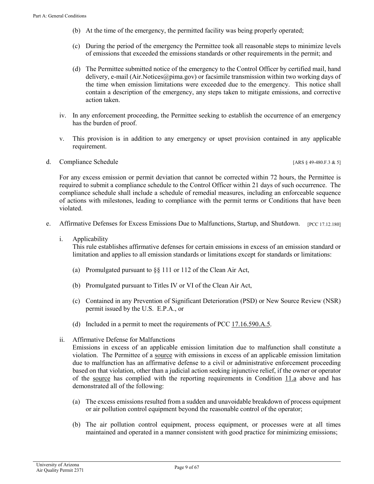- (b) At the time of the emergency, the permitted facility was being properly operated;
- (c) During the period of the emergency the Permittee took all reasonable steps to minimize levels of emissions that exceeded the emissions standards or other requirements in the permit; and
- (d) The Permittee submitted notice of the emergency to the Control Officer by certified mail, hand delivery, e-mail [\(Air.Notices@pima.gov\)](mailto:Air.Notices@pima.gov) or facsimile transmission within two working days of the time when emission limitations were exceeded due to the emergency. This notice shall contain a description of the emergency, any steps taken to mitigate emissions, and corrective action taken.
- iv. In any enforcement proceeding, the Permittee seeking to establish the occurrence of an emergency has the burden of proof.
- v. This provision is in addition to any emergency or upset provision contained in any applicable requirement.
- d. Compliance Schedule [ARS § 49-480.F.3 & 5]

For any excess emission or permit deviation that cannot be corrected within 72 hours, the Permittee is required to submit a compliance schedule to the Control Officer within 21 days of such occurrence. The compliance schedule shall include a schedule of remedial measures, including an enforceable sequence of actions with milestones, leading to compliance with the permit terms or Conditions that have been violated.

- <span id="page-8-2"></span><span id="page-8-1"></span>e. Affirmative Defenses for Excess Emissions Due to Malfunctions, Startup, and Shutdown. [PCC 17.12.180]
	- i. Applicability

This rule establishes affirmative defenses for certain emissions in excess of an emission standard or limitation and applies to all emission standards or limitations except for standards or limitations:

- (a) Promulgated pursuant to §§ 111 or 112 of the Clean Air Act,
- (b) Promulgated pursuant to Titles IV or VI of the Clean Air Act,
- (c) Contained in any Prevention of Significant Deterioration (PSD) or New Source Review (NSR) permit issued by the U.S. E.P.A., or
- (d) Included in a permit to meet the requirements o[f PCC 17.16.590.A.5.](https://tinyurl.com/y8rjz6es)
- <span id="page-8-0"></span>ii. Affirmative Defense for Malfunctions

Emissions in excess of an applicable emission limitation due to malfunction shall constitute a violation. The Permittee of a [source](#page-20-0) with emissions in excess of an applicable emission limitation due to malfunction has an affirmative defense to a civil or administrative enforcement proceeding based on that violation, other than a judicial action seeking injunctive relief, if the owner or operator of the [source](#page-20-0) has complied with the reporting requirements in [Condition 11.a](#page-6-7) above and has demonstrated all of the following:

- (a) The excess emissions resulted from a sudden and unavoidable breakdown of process equipment or air pollution control equipment beyond the reasonable control of the operator;
- (b) The air pollution control equipment, process equipment, or processes were at all times maintained and operated in a manner consistent with good practice for minimizing emissions;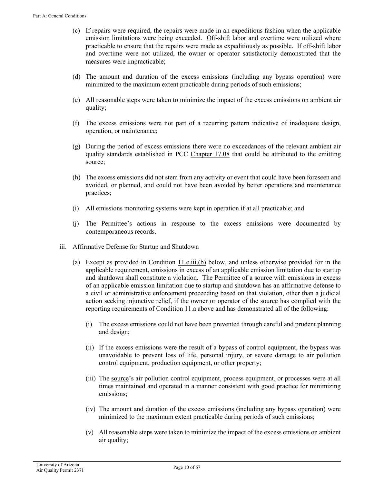- (c) If repairs were required, the repairs were made in an expeditious fashion when the applicable emission limitations were being exceeded. Off-shift labor and overtime were utilized where practicable to ensure that the repairs were made as expeditiously as possible. If off-shift labor and overtime were not utilized, the owner or operator satisfactorily demonstrated that the measures were impracticable;
- (d) The amount and duration of the excess emissions (including any bypass operation) were minimized to the maximum extent practicable during periods of such emissions;
- (e) All reasonable steps were taken to minimize the impact of the excess emissions on ambient air quality;
- (f) The excess emissions were not part of a recurring pattern indicative of inadequate design, operation, or maintenance;
- (g) During the period of excess emissions there were no exceedances of the relevant ambient air quality standards established in [PCC Chapter 17.08](https://tinyurl.com/y8eqbkct) that could be attributed to the emitting [source;](#page-20-0)
- (h) The excess emissions did not stem from any activity or event that could have been foreseen and avoided, or planned, and could not have been avoided by better operations and maintenance practices;
- (i) All emissions monitoring systems were kept in operation if at all practicable; and
- (j) The Permittee's actions in response to the excess emissions were documented by contemporaneous records.
- iii. Affirmative Defense for Startup and Shutdown
	- (a) Except as provided in Condition  $11.e.$ iii.(b) below, and unless otherwise provided for in the applicable requirement, emissions in excess of an applicable emission limitation due to startup and shutdown shall constitute a violation. The Permittee of a [source](#page-20-0) with emissions in excess of an applicable emission limitation due to startup and shutdown has an affirmative defense to a civil or administrative enforcement proceeding based on that violation, other than a judicial action seeking injunctive relief, if the owner or operator of the [source](#page-20-0) has complied with the reporting requirements of [Condition 11.a](#page-6-7) above and has demonstrated all of the following:
		- (i) The excess emissions could not have been prevented through careful and prudent planning and design;
		- (ii) If the excess emissions were the result of a bypass of control equipment, the bypass was unavoidable to prevent loss of life, personal injury, or severe damage to air pollution control equipment, production equipment, or other property;
		- (iii) The [source'](#page-20-0)s air pollution control equipment, process equipment, or processes were at all times maintained and operated in a manner consistent with good practice for minimizing emissions;
		- (iv) The amount and duration of the excess emissions (including any bypass operation) were minimized to the maximum extent practicable during periods of such emissions;
		- (v) All reasonable steps were taken to minimize the impact of the excess emissions on ambient air quality;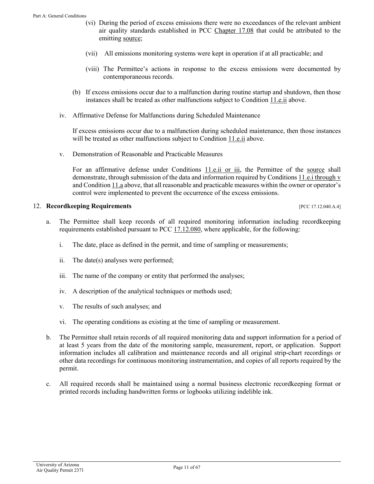- (vi) During the period of excess emissions there were no exceedances of the relevant ambient air quality standards established in [PCC Chapter 17.08](https://tinyurl.com/y8eqbkct) that could be attributed to the emitting [source;](#page-20-0)
- (vii) All emissions monitoring systems were kept in operation if at all practicable; and
- (viii) The Permittee's actions in response to the excess emissions were documented by contemporaneous records.
- <span id="page-10-1"></span>(b) If excess emissions occur due to a malfunction during routine startup and shutdown, then those instances shall be treated as other malfunctions subject to [Condition 11.e.ii](#page-8-0) above.
- iv. Affirmative Defense for Malfunctions during Scheduled Maintenance

If excess emissions occur due to a malfunction during scheduled maintenance, then those instances will be treated as other malfunctions subject to [Condition 11.e.ii](#page-8-0) above.

v. Demonstration of Reasonable and Practicable Measures

For an affirmative defense under [Conditions 11.e.ii or iii,](#page-8-0) the Permittee of the [source](#page-20-0) shall demonstrate, through submission of the data and information required b[y Conditions 11.e.i through](#page-8-1) v and [Condition 11.a](#page-6-7) above, that all reasonable and practicable measures within the owner or operator's control were implemented to prevent the occurrence of the excess emissions.

#### <span id="page-10-0"></span>12. **Recordkeeping Requirements** *pcc 17.12.040.A.4***]**

- a. The Permittee shall keep records of all required monitoring information including recordkeeping requirements established pursuant to [PCC 17.12.080,](https://tinyurl.com/y7cllnco) where applicable, for the following:
	- i. The date, place as defined in the permit, and time of sampling or measurements;
	- ii. The date(s) analyses were performed;
	- iii. The name of the company or entity that performed the analyses;
	- iv. A description of the analytical techniques or methods used;
	- v. The results of such analyses; and
	- vi. The operating conditions as existing at the time of sampling or measurement.
- <span id="page-10-2"></span>b. The Permittee shall retain records of all required monitoring data and support information for a period of at least 5 years from the date of the monitoring sample, measurement, report, or application. Support information includes all calibration and maintenance records and all original strip-chart recordings or other data recordings for continuous monitoring instrumentation, and copies of all reports required by the permit.
- c. All required records shall be maintained using a normal business electronic recordkeeping format or printed records including handwritten forms or logbooks utilizing indelible ink.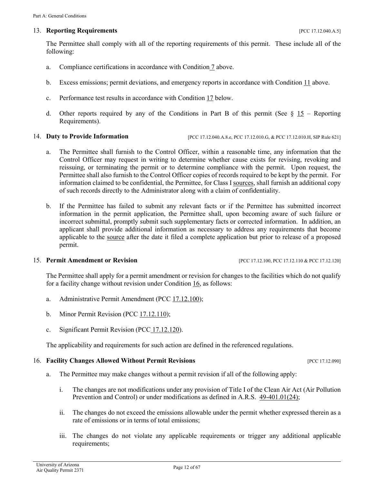#### <span id="page-11-0"></span>13. **Reporting Requirements** *PCC 17.12.040.A.5*

The Permittee shall comply with all of the reporting requirements of this permit. These include all of the following:

- a. Compliance certifications in accordance with [Condition](#page-5-3) 7 above.
- b. Excess emissions; permit deviations, and emergency reports in accordance wit[h Condition 11](#page-6-3) above.
- c. Performance test results in accordance with [Condition 17](#page-12-0) below.
- <span id="page-11-6"></span>d. Other reports required by any of the Conditions in Part B of this permit (See  $\S$  15 – Reporting [Requirements\)](#page-52-1).

#### <span id="page-11-1"></span>14. **Duty to Provide Information** [PCC 17.12.040.A.8.e, PCC 17.12.010.G, & PCC 17.12.010.H, SIP Rule 621]

- a. The Permittee shall furnish to the Control Officer, within a reasonable time, any information that the Control Officer may request in writing to determine whether cause exists for revising, revoking and reissuing, or terminating the permit or to determine compliance with the permit. Upon request, the Permittee shall also furnish to the Control Officer copies of records required to be kept by the permit. For information claimed to be confidential, the Permittee, for Class I [sources,](#page-20-0) shall furnish an additional copy of such records directly to the Administrator along with a claim of confidentiality.
- b. If the Permittee has failed to submit any relevant facts or if the Permittee has submitted incorrect information in the permit application, the Permittee shall, upon becoming aware of such failure or incorrect submittal, promptly submit such supplementary facts or corrected information. In addition, an applicant shall provide additional information as necessary to address any requirements that become applicable to the [source](#page-20-0) after the date it filed a complete application but prior to release of a proposed permit.

#### <span id="page-11-2"></span>15. **Permit Amendment or Revision** [PCC 17.12.100, PCC 17.12.110 & PCC 17.12.120]

The Permittee shall apply for a permit amendment or revision for changes to the facilities which do not qualify for a facility change without revision under [Condition 16,](#page-11-3) as follows:

- <span id="page-11-5"></span>a. Administrative Permit Amendment [\(PCC 17.12.100\)](https://tinyurl.com/ycg2qz86);
- b. Minor Permit Revision [\(PCC 17.12.110\)](https://tinyurl.com/ydyzvxru);
- c. Significant Permit Revision (PCC [17.12.120\)](https://tinyurl.com/y863hv9e).

The applicability and requirements for such action are defined in the referenced regulations.

#### <span id="page-11-4"></span><span id="page-11-3"></span>16. **Facility Changes Allowed Without Permit Revisions** [PCC 17.12.090]

- a. The Permittee may make changes without a permit revision if all of the following apply:
	- i. The changes are not modifications under any provision of Title I of the Clean Air Act (Air Pollution Prevention and Control) or under modifications as defined in A.R.S. [49-401.01\(24\);](https://tinyurl.com/ARS-49-401-01)
	- ii. The changes do not exceed the emissions allowable under the permit whether expressed therein as a rate of emissions or in terms of total emissions;
	- iii. The changes do not violate any applicable requirements or trigger any additional applicable requirements;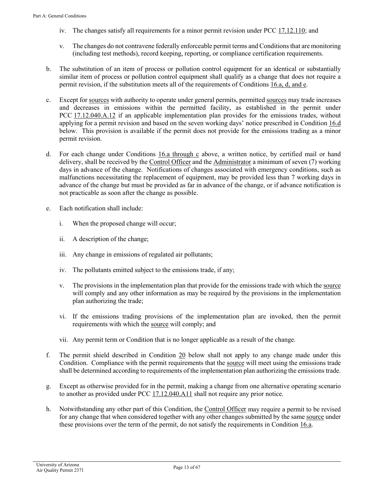- iv. The changes satisfy all requirements for a minor permit revision under [PCC 17.12.110;](https://tinyurl.com/ydyzvxru) and
- v. The changes do not contravene federally enforceable permit terms and Conditions that are monitoring (including test methods), record keeping, reporting, or compliance certification requirements.
- b. The substitution of an item of process or pollution control equipment for an identical or substantially similar item of process or pollution control equipment shall qualify as a change that does not require a permit revision, if the substitution meets all of the requirements o[f Conditions 16.a, d, and e.](#page-11-4)
- c. Except fo[r sources](#page-20-0) with authority to operate under general permits, permitte[d sources](#page-20-0) may trade increases and decreases in emissions within the permitted facility, as established in the permit under PCC [17.12.040.A.12](https://tinyurl.com/ychblmx5) if an applicable implementation plan provides for the emissions trades, without applying for a permit revision and based on the seven working days' notice prescribed in [Condition 16.d](#page-12-1) below. This provision is available if the permit does not provide for the emissions trading as a minor permit revision.
- <span id="page-12-1"></span>d. For each change under Conditions  $16.a$  through c above, a written notice, by certified mail or hand delivery, shall be received by the [Control Officer](#page-18-3) and the [Administrator](#page-18-2) a minimum of seven (7) working days in advance of the change. Notifications of changes associated with emergency conditions, such as malfunctions necessitating the replacement of equipment, may be provided less than 7 working days in advance of the change but must be provided as far in advance of the change, or if advance notification is not practicable as soon after the change as possible.
- e. Each notification shall include:
	- i. When the proposed change will occur;
	- ii. A description of the change;
	- iii. Any change in emissions of regulated air pollutants;
	- iv. The pollutants emitted subject to the emissions trade, if any;
	- v. The provisions in the implementation plan that provide for the emissions trade with which th[e source](#page-20-0) will comply and any other information as may be required by the provisions in the implementation plan authorizing the trade;
	- vi. If the emissions trading provisions of the implementation plan are invoked, then the permit requirements with which the [source](#page-20-0) will comply; and
	- vii. Any permit term or Condition that is no longer applicable as a result of the change.
- f. The permit shield described in [Condition 20](#page-14-2) below shall not apply to any change made under this Condition. Compliance with the permit requirements that the [source](#page-20-0) will meet using the emissions trade shall be determined according to requirements of the implementation plan authorizing the emissions trade.
- g. Except as otherwise provided for in the permit, making a change from one alternative operating scenario to another as provided under [PCC 17.12.040.A11](https://tinyurl.com/ychblmx5) shall not require any prior notice.
- <span id="page-12-0"></span>h. Notwithstanding any other part of this Condition, the [Control Officer](#page-18-3) may require a permit to be revised for any change that when considered together with any other changes submitted by the same [source](#page-20-0) under these provisions over the term of the permit, do not satisfy the requirements in [Condition 16.a.](#page-11-4)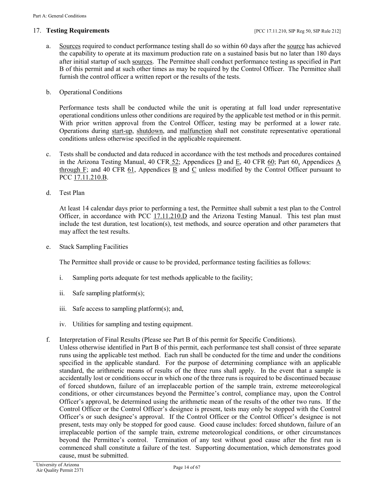- a. [Sources](#page-20-0) required to conduct performance testing shall do so within 60 days after the [source](#page-20-0) has achieved the capability to operate at its maximum production rate on a sustained basis but no later than 180 days after initial startup of such [sources.](#page-20-0) The Permittee shall conduct performance testing as specified in Part B of this permit and at such other times as may be required by the Control Officer. The Permittee shall furnish the control officer a written report or the results of the tests.
- b. Operational Conditions

Performance tests shall be conducted while the unit is operating at full load under representative operational conditions unless other conditions are required by the applicable test method or in this permit. With prior written approval from the Control Officer, testing may be performed at a lower rate. Operations during [start-up,](#page-20-2) [shutdown,](#page-20-3) and [malfunction](#page-19-0) shall not constitute representative operational conditions unless otherwise specified in the applicable requirement.

- c. Tests shall be conducted and data reduced in accordance with the test methods and procedures contained in the Arizona Testing Manual, [40 CFR](https://tinyurl.com/40-CFR-52) 52; Appendices  $\underline{D}$  and  $\underline{E}$ , [40 CFR 60;](https://tinyurl.com/40-CFR-60-INCL) Part 60, Appendices  $\underline{A}$ [through F;](https://tinyurl.com/y8dvby4k) and [40 CFR 61,](https://tinyurl.com/40-cfr-61) [Appendices B](https://tinyurl.com/40-CFR-61-Appendix-B) and [C](https://tinyurl.com/40-CFR-Part-61-Appendix-C) unless modified by the Control Officer pursuant to PCC [17.11.210.B.](https://tinyurl.com/y7ou53b8)
- d. Test Plan

At least 14 calendar days prior to performing a test, the Permittee shall submit a test plan to the Control Officer, in accordance with [PCC 17.11.210.D](https://tinyurl.com/y7ou53b8) and the Arizona Testing Manual. This test plan must include the test duration, test location(s), test methods, and source operation and other parameters that may affect the test results.

e. Stack Sampling Facilities

The Permittee shall provide or cause to be provided, performance testing facilities as follows:

- i. Sampling ports adequate for test methods applicable to the facility;
- ii. Safe sampling platform(s);
- iii. Safe access to sampling platform(s); and,
- iv. Utilities for sampling and testing equipment.
- f. Interpretation of Final Results (Please see Part B of this permit for Specific Conditions).
- Unless otherwise identified in Part B of this permit, each performance test shall consist of three separate runs using the applicable test method. Each run shall be conducted for the time and under the conditions specified in the applicable standard. For the purpose of determining compliance with an applicable standard, the arithmetic means of results of the three runs shall apply. In the event that a sample is accidentally lost or conditions occur in which one of the three runs is required to be discontinued because of forced shutdown, failure of an irreplaceable portion of the sample train, extreme meteorological conditions, or other circumstances beyond the Permittee's control, compliance may, upon the Control Officer's approval, be determined using the arithmetic mean of the results of the other two runs. If the Control Officer or the Control Officer's designee is present, tests may only be stopped with the Control Officer's or such designee's approval. If the Control Officer or the Control Officer's designee is not present, tests may only be stopped for good cause. Good cause includes: forced shutdown, failure of an irreplaceable portion of the sample train, extreme meteorological conditions, or other circumstances beyond the Permittee's control. Termination of any test without good cause after the first run is commenced shall constitute a failure of the test. Supporting documentation, which demonstrates good cause, must be submitted.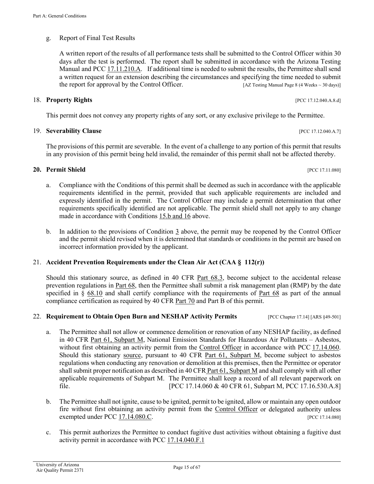# <span id="page-14-6"></span>g. Report of Final Test Results

A written report of the results of all performance tests shall be submitted to the Control Officer within 30 days after the test is performed. The report shall be submitted in accordance with the Arizona Testing Manual and [PCC 17.11.210.A.](https://tinyurl.com/y7ou53b8) If additional time is needed to submit the results, the Permittee shall send a written request for an extension describing the circumstances and specifying the time needed to submit the report for approval by the Control Officer.  $[AZ \text{ Testing Manual Page 8 (4 weeks} \sim 30 \text{ days})]$ 

# <span id="page-14-0"></span>18. **Property Rights** [PCC 17.12.040.A.8.d]

This permit does not convey any property rights of any sort, or any exclusive privilege to the Permittee.

# <span id="page-14-1"></span>19. **Severability Clause** [PCC 17.12.040.A.7]

The provisions of this permit are severable. In the event of a challenge to any portion of this permit that results in any provision of this permit being held invalid, the remainder of this permit shall not be affected thereby.

# <span id="page-14-2"></span>**20. Permit Shield** [PCC 17.11.080]

- a. Compliance with the Conditions of this permit shall be deemed as such in accordance with the applicable requirements identified in the permit, provided that such applicable requirements are included and expressly identified in the permit. The Control Officer may include a permit determination that other requirements specifically identified are not applicable. The permit shield shall not apply to any change made in accordance with Conditions [15.b and 16](#page-11-5) above.
- b. In addition to the provisions of Condition  $\frac{3}{5}$  above, the permit may be reopened by the Control Officer and the permit shield revised when it is determined that standards or conditions in the permit are based on incorrect information provided by the applicant.

# <span id="page-14-3"></span>21. **Accident Prevention Requirements under the Clean Air Act (CAA § 112(r))**

Should this stationary source, as defined in [40 CFR Part 68.3,](https://tinyurl.com/ya4aq7vw) become subject to the accidental release prevention regulations in [Part 68,](https://tinyurl.com/40-cfr-68-incl) then the Permittee shall submit a risk management plan (RMP) by the date specified in  $\S$  [68.10](https://tinyurl.com/y98mjpzj) and shall certify compliance with the requirements of [Part 68](https://tinyurl.com/40-cfr-68-incl) as part of the annual compliance certification as required by [40 CFR Part 70](https://tinyurl.com/40-CFR-70-6) and Part B of this permit.

# <span id="page-14-4"></span>22. **Requirement to Obtain Open Burn and NESHAP Activity Permits** [PCC Chapter 17.14] [ARS §49-501]

- a. The Permittee shall not allow or commence demolition or renovation of any NESHAP facility, as defined in [40 CFR Part 61, Subpart M,](https://tinyurl.com/ya7djcgb) National Emission Standards for Hazardous Air Pollutants – Asbestos, without first obtaining an activity permit from the [Control Officer](#page-18-3) in accordance with PCC 17.14.060. Should this stationary [source,](#page-20-0) pursuant to [40 CFR Part 61, Subpart M,](https://tinyurl.com/ya7djcgb) become subject to asbestos regulations when conducting any renovation or demolition at this premises, then the Permittee or operator shall submit proper notification as described in 40 CFR [Part 61, Subpart M](https://tinyurl.com/ya7djcgb) and shall comply with all other applicable requirements of Subpart M. The Permittee shall keep a record of all relevant paperwork on file. [PCC 17.14.060 & 40 CFR 61, Subpart M, PCC 17.16.530.A.8]
- b. The Permittee shall not ignite, cause to be ignited, permit to be ignited, allow or maintain any open outdoor fire without first obtaining an activity permit from the [Control Officer](#page-18-3) or delegated authority unless exempted under [PCC 17.14.080.C.](https://tinyurl.com/y7julhh9) [PCC 17.14.080]
- <span id="page-14-5"></span>c. This permit authorizes the Permittee to conduct fugitive dust activities without obtaining a fugitive dust activity permit in accordance with [PCC 17.14.040.F.1](https://tinyurl.com/yakzyw8v)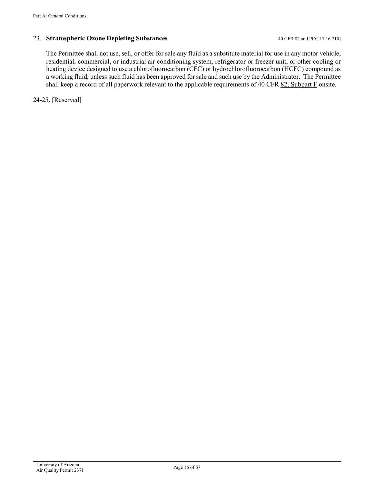# 23. **Stratospheric Ozone Depleting Substances** [40 CFR 82 and PCC 17.16.710]

The Permittee shall not use, sell, or offer for sale any fluid as a substitute material for use in any motor vehicle, residential, commercial, or industrial air conditioning system, refrigerator or freezer unit, or other cooling or heating device designed to use a chlorofluorocarbon (CFC) or hydrochlorofluorocarbon (HCFC) compound as a working fluid, unless such fluid has been approved for sale and such use by the Administrator. The Permittee shall keep a record of all paperwork relevant to the applicable requirements of [40 CFR 82, Subpart F](https://tinyurl.com/40-CFR-82-F) onsite.

24-25. [Reserved]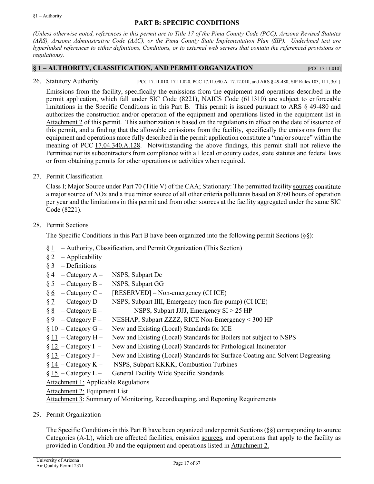### **PART B: SPECIFIC CONDITIONS**

*(Unless otherwise noted, references in this permit are to Title 17 of the Pima County Code (PCC), Arizona Revised Statutes (ARS), Arizona Administrative Code (AAC), or the Pima County State Implementation Plan (SIP). Underlined text are hyperlinked references to either definitions, Conditions, or to external web servers that contain the referenced provisions or regulations).*

#### <span id="page-16-0"></span>**§ 1 – AUTHORITY, CLASSIFICATION, AND PERMIT ORGANIZATION [**PCC 17.11.010]

26. Statutory Authority [PCC 17.11.010, 17.11.020, PCC 17.11.090.A, 17.12.010, and ARS § 49-480, SIP Rules 103, 111, 301]

Emissions from the facility, specifically the emissions from the equipment and operations described in the permit application, which fall under SIC Code (8221), NAICS Code (611310) are subject to enforceable limitations in the Specific Conditions in this Part B. This permit is issued pursuant to ARS § [49-480](https://tinyurl.com/ARS49-480) and authorizes the construction and/or operation of the equipment and operations listed in the equipment list in [Attachment 2](#page-57-0) of this permit. This authorization is based on the regulations in effect on the date of issuance of this permit, and a finding that the allowable emissions from the facility, specifically the emissions from the equipment and operations more fully described in the permit application constitute a "major source" within the meaning of PCC [17.04.340.A.128.](https://tinyurl.com/yb8wx26t) Notwithstanding the above findings, this permit shall not relieve the Permittee nor its subcontractors from compliance with all local or county codes, state statutes and federal laws or from obtaining permits for other operations or activities when required.

27. Permit Classification

Class I; Major Source under Part 70 (Title V) of the CAA; Stationary: The permitted facility [sources](#page-20-0) constitute a major source of NOx and a true minor source of all other criteria pollutants based on 8760 hours of operation per year and the limitations in this permit and from other [sources](#page-20-0) at the facility aggregated under the same SIC Code (8221).

28. Permit Sections

The Specific Conditions in this Part B have been organized into the following permit Sections (§§):

- $§ 1 -$ [Authority, Classification, and Permit Organization](#page-16-0) (This Section)
- $§ 2 Applicability$  $§ 2 Applicability$
- $§ 3 Definitions$  $§ 3 Definitions$
- $§ 4 \text{Category A} \text{NSPS}$  $§ 4 \text{Category A} \text{NSPS}$  $§ 4 \text{Category A} \text{NSPS}$ , Subpart Dc
- $§ 5 \text{Category } B \text{NSPS}$ , Subpart GG
- $§ 6 \text{Category C} \text{[RESERVED]} \text{Non-emergency (CIICE)}$  $§ 6 \text{Category C} \text{[RESERVED]} \text{Non-emergency (CIICE)}$  $§ 6 \text{Category C} \text{[RESERVED]} \text{Non-emergency (CIICE)}$
- $§ 7 \text{Category } D \text{NSPS},$  Subpart IIII, Emergency (non-fire-pump) (CI ICE)
- $§ 8 \text{Category } E \text{NSPS}$ , Subpart JJJJ, Emergency SI > 25 HP
- § 9 [Category F](#page-34-0) NESHAP, Subpart ZZZZ, RICE Non-Emergency < 300 HP
- $§ 10 \text{Category } G -$  New and Existing (Local) Standards for ICE
- $§ 11 \text{Category H} \text{New and Existing (Local) Standards for Boilers not subject to NSPS}$  $§ 11 \text{Category H} \text{New and Existing (Local) Standards for Boilers not subject to NSPS}$  $§ 11 \text{Category H} \text{New and Existing (Local) Standards for Boilers not subject to NSPS}$
- § 12 [Category I](#page-44-0)  New and Existing (Local) Standards for Pathological Incinerator
- § 13 [Category J](#page-47-0) New and Existing (Local) Standards for Surface Coating and Solvent Degreasing
- § 14 [Category K](#page-48-0) NSPS, Subpart KKKK, Combustion Turbines
- $§ 15 \text{Category } L -$  General Facility Wide Specific Standards

Attachment 1: [Applicable Regulations](#page-1-0)

Attachment 2: [Equipment List](#page-57-0)

[Attachment](#page-64-0) 3: Summary of Monitoring, Recordkeeping, and Reporting Requirements

29. Permit Organization

The Specific Conditions in this Part B have been organized under permit Sections (§§) corresponding t[o source](#page-20-0) Categories (A-L), which are affected facilities, emission [sources,](#page-20-0) and operations that apply to the facility as provided in Condition 30 and the equipment and operations listed in [Attachment](#page-57-0) 2.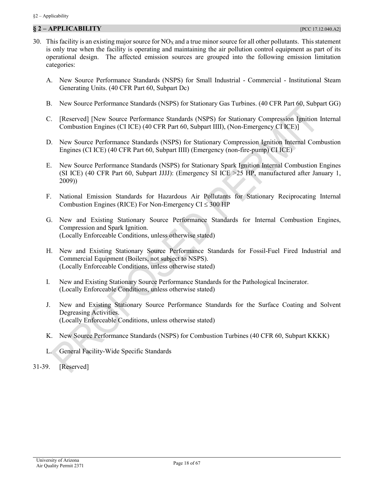# <span id="page-17-0"></span>**§ 2 – APPLICABILITY** [PCC 17.12.040.A2]

- 30. This facility is an existing major source for  $NO<sub>X</sub>$  and a true minor source for all other pollutants. This statement is only true when the facility is operating and maintaining the air pollution control equipment as part of its operational design. The affected emission sources are grouped into the following emission limitation categories:
	- A. [New Source Performance Standards \(NSPS\) for Small Industrial -](#page-21-0) Commercial Institutional Steam Generating Units. [\(40 CFR Part 60, Subpart Dc\)](#page-21-0)
	- B. [New Source Performance Standards \(NSPS\) for Stationary Gas Turbines.](#page-23-0) (40 CFR Part 60, Subpart GG)
	- C. [\[Reserved\] \[New Source Performance Standards \(NSPS\) for Stationary Compression Ignition Internal](#page-26-0)  Combustion Engines (CI ICE) [\(40 CFR Part 60, Subpart IIII\), \(Non-Emergency CI ICE\)\]](#page-26-0)
	- D. [New Source Performance Standards \(NSPS\) for Stationary Compression Ignition Internal Combustion](#page-27-0)  Engines (CI ICE) [\(40 CFR Part 60, Subpart IIII\)](#page-27-0) (Emergency (non-fire-pump) CI ICE)
	- E. [New Source Performance Standards \(NSPS\) for Stationary Spark Ignition Internal Combustion Engines](#page-32-0)  [\(SI ICE\) \(40 CFR Part 60, Subpart JJJJ\): \(Emergency SI ICE >25 HP, manufactured after January 1,](#page-32-0)  [2009\)\)](#page-32-0)
	- F. [National Emission Standards for Hazardous Air Pollutants for Stationary Reciprocating Internal](#page-34-0)  [Combustion Engines \(RICE\)](#page-34-0) For Non-Emergency  $CI \leq 300$  HP
	- G. [New and Existing Stationary Source Performance Standards for Internal Combustion Engines,](#page-38-0)  [Compression and Spark Ignition.](#page-38-0) [\(Locally Enforceable Conditions, unless otherwise stated\)](#page-38-0)
	- H. [New and Existing Stationary Source Performance Standards for Fossil-Fuel Fired Industrial and](#page-42-0)  [Commercial Equipment \(Boilers, not subject to NSPS\).](#page-42-0) [\(Locally Enforceable Conditions, unless otherwise stated\)](#page-42-0)
	- I. [New and Existing Stationary Source Performance Standards for the Pathological Incinerator.](#page-44-0) [\(Locally Enforceable Conditions, unless otherwise stated\)](#page-44-0)
	- J. [New and Existing Stationary Source Performance Standards for the Surface Coating and Solvent](#page-47-0)  [Degreasing Activities.](#page-47-0) [\(Locally Enforceable Conditions, unless otherwise stated\)](#page-47-0)
	- K. [New Source Performance Standards \(NSPS\) for Combustion Turbines \(40 CFR 60, Subpart KKKK\)](#page-48-0)
	- L. [General Facility-Wide Specific Standards](#page-52-0)
- 31-39. [Reserved]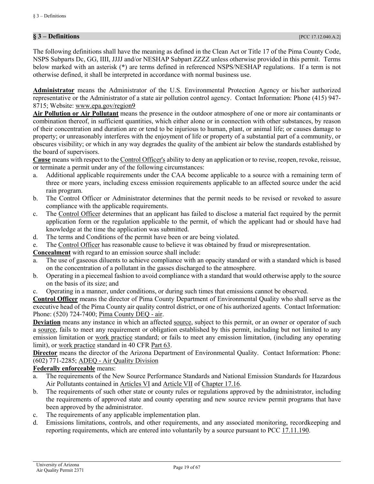# <span id="page-18-0"></span>**§ 3 – Definitions** [PCC 17.12.040.A.2]

The following definitions shall have the meaning as defined in the Clean Act or Title 17 of the Pima County Code, NSPS Subparts Dc, GG, IIII, JJJJ and/or NESHAP Subpart ZZZZ unless otherwise provided in this permit. Terms below marked with an asterisk (**\***) are terms defined in referenced NSPS/NESHAP regulations. If a term is not otherwise defined, it shall be interpreted in accordance with normal business use.

<span id="page-18-2"></span>**Administrator** means the Administrator of the U.S. Environmental Protection Agency or his/her authorized representative or the Administrator of a state air pollution control agency. Contact Information: Phone (415) 947- 8715; Website[: www.epa.gov/region9](https://www.epa.gov/aboutepa/epa-region-9-pacific-southwest)

<span id="page-18-4"></span>**Air Pollution or Air Pollutant** means the presence in the outdoor atmosphere of one or more air contaminants or combination thereof, in sufficient quantities, which either alone or in connection with other substances, by reason of their concentration and duration are or tend to be injurious to human, plant, or animal life; or causes damage to property; or unreasonably interferes with the enjoyment of life or property of a substantial part of a community, or obscures visibility; or which in any way degrades the quality of the ambient air below the standards established by the board of supervisors.

<span id="page-18-1"></span>**Cause** means with respect to the [Control Officer's](#page-18-3) ability to deny an application or to revise, reopen, revoke, reissue, or terminate a permit under any of the following circumstances:

- a. Additional applicable requirements under the CAA become applicable to a source with a remaining term of three or more years, including excess emission requirements applicable to an affected source under the acid rain program.
- b. The Control Officer or Administrator determines that the permit needs to be revised or revoked to assure compliance with the applicable requirements.
- c. The [Control Officer](#page-18-3) determines that an applicant has failed to disclose a material fact required by the permit application form or the regulation applicable to the permit, of which the applicant had or should have had knowledge at the time the application was submitted.
- d. The terms and Conditions of the permit have been or are being violated.
- e. The [Control Officer](#page-18-3) has reasonable cause to believe it was obtained by fraud or misrepresentation.

**Concealment** with regard to an emission source shall include:

- a. The use of gaseous diluents to achieve compliance with an opacity standard or with a standard which is based on the concentration of a pollutant in the gasses discharged to the atmosphere.
- b. Operating in a piecemeal fashion to avoid compliance with a standard that would otherwise apply to the source on the basis of its size; and
- c. Operating in a manner, under conditions, or during such times that emissions cannot be observed.

<span id="page-18-3"></span>**Control Officer** means the director of Pima County Department of Environmental Quality who shall serve as the executive head of the Pima County air quality control district, or one of his authorized agents. Contact Information: Phone: (520) 724-7400; [Pima County DEQ -](http://webcms.pima.gov/government/environmental_quality/) air.

**Deviation** means any instance in which an affected [source,](#page-20-0) subject to this permit, or an owner or operator of such a [source,](#page-20-0) fails to meet any requirement or obligation established by this permit, including but not limited to any emission limitation or [work practice](#page-20-1) standard; or fails to meet any emission limitation, (including any operating limit), or [work practice](#page-20-1) standard in [40 CFR Part 63.](https://tinyurl.com/40-CFR-Part-63)

**Director** means the director of the Arizona Department of Environmental Quality. Contact Information: Phone: (602) 771-2285; ADEQ - [Air Quality Division](https://azdeq.gov/AQ)

### **Federally enforceable** means:

- a. The requirements of the New Source Performance Standards and National Emission Standards for Hazardous Air Pollutants contained in [Articles VI](https://tinyurl.com/y9fxud5g) and [Article VII](https://tinyurl.com/y9fxud5g) of [Chapter 17.16.](https://tinyurl.com/y7uokuy8)
- b. The requirements of such other state or county rules or regulations approved by the administrator, including the requirements of approved state and county operating and new source review permit programs that have been approved by the administrator.
- c. The requirements of any applicable implementation plan.
- d. Emissions limitations, controls, and other requirements, and any associated monitoring, recordkeeping and reporting requirements, which are entered into voluntarily by a source pursuant to [PCC 17.11.190.](https://tinyurl.com/y9szaoyu)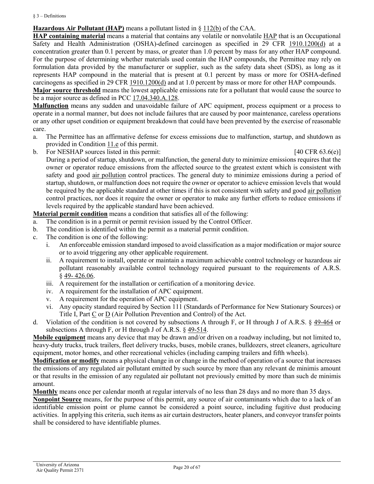$§$  3 – Definitions

# **Hazardous Air Pollutant (HAP)** means a pollutant listed in [§ 112\(b\)](https://tinyurl.com/SEC-112-CAA) of the CAA.

**HAP containing material** means a material that contains any volatile or nonvolatile HAP that is an Occupational Safety and Health Administration (OSHA)-defined carcinogen as specified in [29 CFR 1910.1200\(d\)](https://tinyurl.com/40-CFR-1919-1200-d) at a concentration greater than 0.1 percent by mass, or greater than 1.0 percent by mass for any other HAP compound. For the purpose of determining whether materials used contain the HAP compounds, the Permittee may rely on formulation data provided by the manufacturer or supplier, such as the safety data sheet (SDS), as long as it represents HAP compound in the material that is present at 0.1 percent by mass or more for OSHA-defined carcinogens as specified in [29 CFR 1910.1200\(d\)](https://tinyurl.com/40-CFR-1919-1200-d) and at 1.0 percent by mass or more for other HAP compounds.

**Major source threshold** means the lowest applicable emissions rate for a pollutant that would cause the source to be a major source as defined in PCC [17.04.340.A.128.](https://tinyurl.com/yb8wx26t)

<span id="page-19-0"></span>**Malfunction** means any sudden and unavoidable failure of APC equipment, process equipment or a process to operate in a normal manner, but does not include failures that are caused by poor maintenance, careless operations or any other upset condition or equipment breakdown that could have been prevented by the exercise of reasonable care.

- a. The Permittee has an affirmative defense for excess emissions due to malfunction, startup, and shutdown as provided in [Condition 11.e](#page-8-2) of this permit.
- b. For NESHAP sources listed in this permit: [40 CFR 63.6(e)]

During a period of startup, shutdown, or malfunction, the general duty to minimize emissions requires that the owner or operator reduce emissions from the affected source to the greatest extent which is consistent with safety and good [air pollution](#page-18-4) control practices. The general duty to minimize emissions during a period of startup, shutdown, or malfunction does not require the owner or operator to achieve emission levels that would be required by the applicable standard at other times if this is not consistent with safety and good [air pollution](#page-18-4) control practices, nor does it require the owner or operator to make any further efforts to reduce emissions if levels required by the applicable standard have been achieved.

**Material permit condition** means a condition that satisfies all of the following:

- a. The condition is in a permit or permit revision issued by the Control Officer.
- b. The condition is identified within the permit as a material permit condition.
- c. The condition is one of the following:
	- i. An enforceable emission standard imposed to avoid classification as a major modification or major source or to avoid triggering any other applicable requirement.
	- ii. A requirement to install, operate or maintain a maximum achievable control technology or hazardous air pollutant reasonably available control technology required pursuant to the requirements of A.R.S. § 49- [426.06.](https://tinyurl.com/ybw3xl2j)
	- iii. A requirement for the installation or certification of a monitoring device.
	- iv. A requirement for the installation of APC equipment.
	- v. A requirement for the operation of APC equipment.
	- vi. Any opacity standard required by Section 111 (Standards of Performance for New Stationary Sources) or Title I, [Part C](https://tinyurl.com/ycjbf2m7) or [D](https://tinyurl.com/yb6uyc7l) (Air Pollution Prevention and Control) of the Act.
- d. Violation of the condition is not covered by subsections A through F, or H through J of A.R.S. § [49-464](https://www.azleg.gov/viewdocument/?docName=https://www.azleg.gov/ars/49/00464.htm) or subsections A through F, or H through J of A.R.S.  $\S$  [49-514.](https://www.azleg.gov/viewdocument/?docName=https://www.azleg.gov/ars/49/00514.htm)

**Mobile equipment** means any device that may be drawn and/or driven on a roadway including, but not limited to, heavy-duty trucks, truck trailers, fleet delivery trucks, buses, mobile cranes, bulldozers, street cleaners, agriculture equipment, motor homes, and other recreational vehicles (including camping trailers and fifth wheels).

**Modification or modify** means a physical change in or change in the method of operation of a source that increases the emissions of any regulated air pollutant emitted by such source by more than any relevant de minimis amount or that results in the emission of any regulated air pollutant not previously emitted by more than such de minimis amount.

**Monthly** means once per calendar month at regular intervals of no less than 28 days and no more than 35 days.

**Nonpoint Source** means, for the purpose of this permit, any source of air contaminants which due to a lack of an identifiable emission point or plume cannot be considered a point source, including fugitive dust producing activities. In applying this criteria, such items as air curtain destructors, heater planers, and conveyor transfer points shall be considered to have identifiable plumes.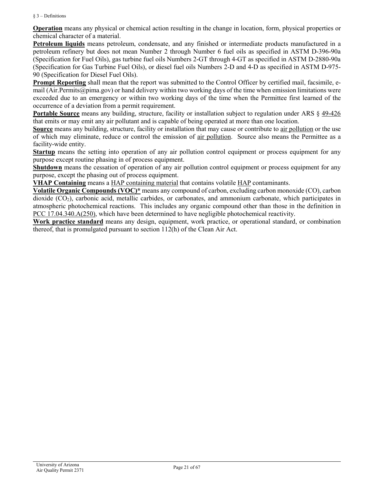#### $§$  3 – Definitions

**Operation** means any physical or chemical action resulting in the change in location, form, physical properties or chemical character of a material.

**Petroleum liquids** means petroleum, condensate, and any finished or intermediate products manufactured in a petroleum refinery but does not mean Number 2 through Number 6 fuel oils as specified in ASTM D-396-90a (Specification for Fuel Oils), gas turbine fuel oils Numbers 2-GT through 4-GT as specified in ASTM D-2880-90a (Specification for Gas Turbine Fuel Oils), or diesel fuel oils Numbers 2-D and 4-D as specified in ASTM D-975- 90 (Specification for Diesel Fuel Oils).

**Prompt Reporting** shall mean that the report was submitted to the Control Officer by certified mail, facsimile, email [\(Air.Permits@pima.gov\)](mailto:Air.Permits@pima.gov) or hand delivery within two working days of the time when emission limitations were exceeded due to an emergency or within two working days of the time when the Permittee first learned of the occurrence of a deviation from a permit requirement.

**Portable Source** means any building, structure, facility or installation subject to regulation under [ARS § 49-426](https://tinyurl.com/yan7kvk9) that emits or may emit any air pollutant and is capable of being operated at more than one location.

<span id="page-20-0"></span>**Source** means any building, structure, facility or installation that may cause or contribute to [air pollution](#page-18-4) or the use of which may eliminate, reduce or control the emission of [air pollution.](#page-18-4) Source also means the Permittee as a facility-wide entity.

<span id="page-20-2"></span>**Startup** means the setting into operation of any air pollution control equipment or process equipment for any purpose except routine phasing in of process equipment.

<span id="page-20-3"></span>**Shutdown** means the cessation of operation of any air pollution control equipment or process equipment for any purpose, except the phasing out of process equipment.

**VHAP Containing** means a HAP containing material that contains volatile HAP contaminants.

**Volatile Organic Compounds (VOC)\*** means any compound of carbon, excluding carbon monoxide (CO), carbon dioxide  $(CO<sub>2</sub>)$ , carbonic acid, metallic carbides, or carbonates, and ammonium carbonate, which participates in atmospheric photochemical reactions. This includes any organic compound other than those in the definition in [PCC 17.04.340.A\(250\),](http://library.amlegal.com/nxt/gateway.dll/Arizona/pimacounty_az/title17airqualitycontrol?f=templates$fn=default.htm$3.0$vid=amlegal:pimacounty_az$anc=JD_17.04.340) which have been determined to have negligible photochemical reactivity.

<span id="page-20-1"></span>**Work practice standard** means any design, equipment, work practice, or operational standard, or combination thereof, that is promulgated pursuant to section 112(h) of the Clean Air Act.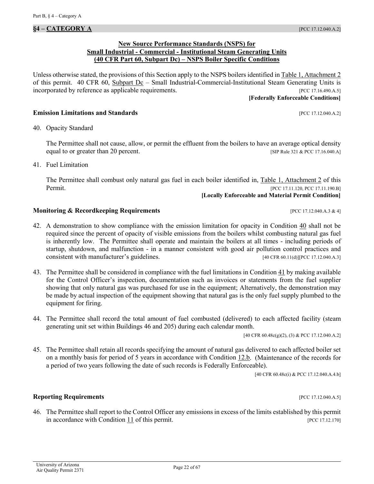### **New Source Performance Standards (NSPS) for Small Industrial - Commercial - Institutional Steam Generating Units (40 CFR Part 60, Subpart Dc) – NSPS Boiler Specific Conditions**

<span id="page-21-0"></span>Unless otherwise stated, the provisions of this Section apply to the NSPS boilers identified in [Table 1, Attachment](#page-57-1) 2 of this permit. 40 CFR 60, Subpart  $Dc$  – Small Industrial-Commercial-Institutional Steam Generating Units is incorporated by reference as applicable requirements. [PCC 17.16.490.A.5]

#### **[Federally Enforceable Conditions]**

### **Emission Limitations and Standards Emission Limitations and Standards Executive Limitations and Standards Executive Limitations and Standards Executive Limitations and Standards**

<span id="page-21-1"></span>40. Opacity Standard

The Permittee shall not cause, allow, or permit the effluent from the boilers to have an average optical density equal to or greater than 20 percent. [SIP Rule 321 & PCC 17.16.040.A]

<span id="page-21-2"></span>41. Fuel Limitation

The Permittee shall combust only natural gas fuel in each boiler identified in, [Table 1, Attachment](#page-57-1) 2 of this Permit. [PCC 17.11.120, PCC 17.11.190.B]

**[Locally Enforceable and Material Permit Condition]**

### **Monitoring & Recordkeeping Requirements** [PCC 17.12.040.A.3 & 4]

- <span id="page-21-4"></span>42. A demonstration to show compliance with the emission limitation for opacity in [Condition 40](#page-21-1) shall not be required since the percent of opacity of visible emissions from the boilers whilst combusting natural gas fuel is inherently low. The Permittee shall operate and maintain the boilers at all times - including periods of startup, shutdown, and malfunction - in a manner consistent with good air pollution control practices and consistent with manufacturer's guidelines. [40 CFR 60.11(d)][PCC 17.12.040.A.3]
- <span id="page-21-5"></span>43. The Permittee shall be considered in compliance with the fuel limitations in [Condition 41](#page-21-2) by making available for the Control Officer's inspection, documentation such as invoices or statements from the fuel supplier showing that only natural gas was purchased for use in the equipment; Alternatively, the demonstration may be made by actual inspection of the equipment showing that natural gas is the only fuel supply plumbed to the equipment for firing.
- <span id="page-21-3"></span>44. The Permittee shall record the total amount of fuel combusted (delivered) to each affected facility (steam generating unit set within Buildings 46 and 205) during each calendar month.

[40 CFR 60.48c(g)(2), (3) & PCC 17.12.040.A.2]

45. The Permittee shall retain all records specifying the amount of natural gas delivered to each affected boiler set on a monthly basis for period of 5 years in accordance with [Condition 12.b.](#page-10-2) (Maintenance of the records for a period of two years following the date of such records is Federally Enforceable).

[40 CFR 60.48c(i) & PCC 17.12.040.A.4.b]

# **Reporting Requirements** *PCC 17.12.040.A.5*

46. The Permittee shall report to the Control Officer any emissions in excess of the limits established by this permit in accordance with [Condition 11](#page-6-3) of this permit. [PCC 17.12.170]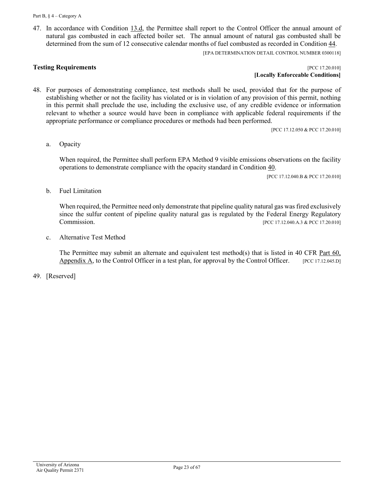<span id="page-22-0"></span>47. In accordance with [Condition](#page-11-6) 13.d, the Permittee shall report to the Control Officer the annual amount of natural gas combusted in each affected boiler set. The annual amount of natural gas combusted shall be determined from the sum of 12 consecutive calendar months of fuel combusted as recorded in [Condition 44.](#page-21-3)

[EPA DETERMINATION DETAIL CONTROL NUMBER 0300118]

**Testing Requirements Example 2018 PCC 17.20.010 [Locally Enforceable Conditions]**

48. For purposes of demonstrating compliance, test methods shall be used, provided that for the purpose of establishing whether or not the facility has violated or is in violation of any provision of this permit, nothing in this permit shall preclude the use, including the exclusive use, of any credible evidence or information relevant to whether a source would have been in compliance with applicable federal requirements if the appropriate performance or compliance procedures or methods had been performed.

[PCC 17.12.050 & PCC 17.20.010]

a. Opacity

When required, the Permittee shall perform EPA Method 9 visible emissions observations on the facility operations to demonstrate compliance with the opacity standard in [Condition](#page-21-1) 40.

[PCC 17.12.040.B & PCC 17.20.010]

b. Fuel Limitation

When required, the Permittee need only demonstrate that pipeline quality natural gas was fired exclusively since the sulfur content of pipeline quality natural gas is regulated by the Federal Energy Regulatory Commission. [PCC 17.12.040.A.3 & PCC 17.20.010]

c. Alternative Test Method

The Permittee may submit an alternate and equivalent test method(s) that is listed in 40 CFR Part 60, [Appendix A,](https://tinyurl.com/y8dvby4k) to the Control Officer in a test plan, for approval by the Control Officer.  $[PC 17.12.045.D]$ 

49. [Reserved]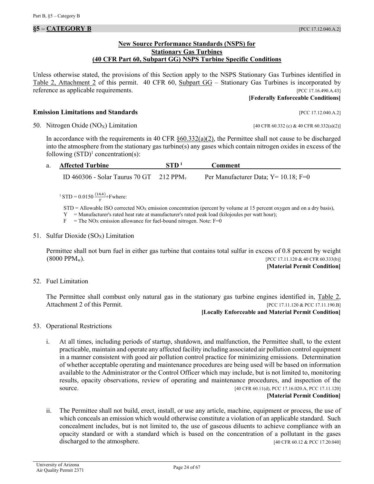### **New Source Performance Standards (NSPS) for Stationary Gas Turbines (40 CFR Part 60, Subpart GG) NSPS Turbine Specific Conditions**

<span id="page-23-0"></span>Unless otherwise stated, the provisions of this Section apply to the NSPS Stationary Gas Turbines identified in [Table 2, Attachment 2](#page-57-2) of this permit. [40 CFR 60, Subpart GG](https://tinyurl.com/y8oo29ps) – Stationary Gas Turbines is incorporated by reference as applicable requirements. [PCC 17.16.490.A.43]

#### **[Federally Enforceable Conditions]**

**Emission Limitations and Standards Emission Limitations and Standards Exercífications and Standards Exercífications Exercífications Exercífications Exercífications Exercífications Exercífications Exercíf** 

<span id="page-23-1"></span>50. Nitrogen Oxide  $(NO_X)$  Limitation [40 CFR 60.332 (c) & 40 CFR 60.332(a)(2)]

In accordance with the requirements in 40 CFR  $\delta$ 60.332(a)(2), the Permittee shall not cause to be discharged into the atmosphere from the stationary gas turbine(s) any gases which contain nitrogen oxides in excess of the following  $(STD<sup>1</sup> concentration(s)$ :

| a. Affected Turbine                                   | STD <sup>1</sup> | <b>Comment</b>                           |  |
|-------------------------------------------------------|------------------|------------------------------------------|--|
| ID 460306 - Solar Taurus 70 GT $212$ PPM <sub>v</sub> |                  | Per Manufacturer Data; $Y = 10.18$ ; F=0 |  |

<sup>1</sup> STD = 0.0150  $\frac{(14.4)}{Y}$ +Fwhere:

 $STD =$  Allowable ISO corrected NO<sub>X</sub> emission concentration (percent by volume at 15 percent oxygen and on a dry basis),

Y = Manufacturer's rated heat rate at manufacturer's rated peak load (kilojoules per watt hour);

 $F =$  The NO<sub>X</sub> emission allowance for fuel-bound nitrogen. Note: F=0

<span id="page-23-2"></span>51. Sulfur Dioxide  $(SO_X)$  Limitation

Permittee shall not burn fuel in either gas turbine that contains total sulfur in excess of 0.8 percent by weight  $(8000 \text{ PPM}_w)$ . [PCC 17.11.120 & 40 CFR 60.333(b)]

**[Material Permit Condition]**

<span id="page-23-3"></span>52. Fuel Limitation

The Permittee shall combust only natural gas in the stationary gas turbine engines identified in, Table 2, [Attachment 2](#page-57-2) of this Permit. [PCC 17.11.120 & PCC 17.11.120.B]

**[Locally Enforceable and Material Permit Condition]**

- 53. Operational Restrictions
	- i. At all times, including periods of startup, shutdown, and malfunction, the Permittee shall, to the extent practicable, maintain and operate any affected facility including associated air pollution control equipment in a manner consistent with good air pollution control practice for minimizing emissions. Determination of whether acceptable operating and maintenance procedures are being used will be based on information available to the Administrator or the Control Officer which may include, but is not limited to, monitoring results, opacity observations, review of operating and maintenance procedures, and inspection of the source. [40 CFR 60.11(d), PCC 17.16.020.A, PCC 17.11.120]

#### **[Material Permit Condition]**

ii. The Permittee shall not build, erect, install, or use any article, machine, equipment or process, the use of which conceals an emission which would otherwise constitute a violation of an applicable standard. Such concealment includes, but is not limited to, the use of gaseous diluents to achieve compliance with an opacity standard or with a standard which is based on the concentration of a pollutant in the gases discharged to the atmosphere. [40 CFR 60.12 & PCC 17.20.040]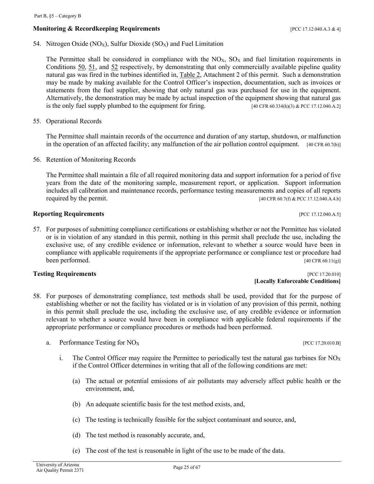# **Monitoring & Recordkeeping Requirements and the set of the set of the set of the set of the set of the set of the set of the set of the set of the set of the set of the set of the set of the set of the set of the set of**

<span id="page-24-0"></span>54. Nitrogen Oxide (NO<sub>X</sub>), Sulfur Dioxide (SO<sub>X</sub>) and Fuel Limitation

The Permittee shall be considered in compliance with the  $NO<sub>X</sub>$ ,  $SO<sub>X</sub>$  and fuel limitation requirements in [Conditions 50,](#page-23-1) [51,](#page-23-2) and [52](#page-23-3) respectively, by demonstrating that only commercially available pipeline quality natural gas was fired in the turbines identified in, [Table 2, Attachment 2](#page-57-2) of this permit. Such a demonstration may be made by making available for the Control Officer's inspection, documentation, such as invoices or statements from the fuel supplier, showing that only natural gas was purchased for use in the equipment. Alternatively, the demonstration may be made by actual inspection of the equipment showing that natural gas is the only fuel supply plumbed to the equipment for firing.  $[40 \text{ CFR } 60.334 \text{ (h)}(3) \& \text{PCC } 17.12.040 \text{ A.2}]$ 

55. Operational Records

The Permittee shall maintain records of the occurrence and duration of any startup, shutdown, or malfunction in the operation of an affected facility; any malfunction of the air pollution control equipment. [40 CFR 60.7(b)]

<span id="page-24-1"></span>56. Retention of Monitoring Records

The Permittee shall maintain a file of all required monitoring data and support information for a period of five years from the date of the monitoring sample, measurement report, or application. Support information includes all calibration and maintenance records, performance testing measurements and copies of all reports required by the permit.  $[40 \text{ CFR } 60.7(f) \& \text{PCC } 17.12.040 \text{ A}.4. \text{b}]$ 

### **Reporting Requirements Exercise 2.12.040.A.5 [PCC 17.12.040.A.5]**

57. For purposes of submitting compliance certifications or establishing whether or not the Permittee has violated or is in violation of any standard in this permit, nothing in this permit shall preclude the use, including the exclusive use, of any credible evidence or information, relevant to whether a source would have been in compliance with applicable requirements if the appropriate performance or compliance test or procedure had been performed. [40 CFR 60.11(g)]

# **Testing Requirements Example 2018 PCC 17.20.010**

- 58. For purposes of demonstrating compliance, test methods shall be used, provided that for the purpose of establishing whether or not the facility has violated or is in violation of any provision of this permit, nothing in this permit shall preclude the use, including the exclusive use, of any credible evidence or information relevant to whether a source would have been in compliance with applicable federal requirements if the appropriate performance or compliance procedures or methods had been performed.
	- a. Performance Testing for  $NO_X$  [PCC 17.20.010.B]
		- i. The Control Officer may require the Permittee to periodically test the natural gas turbines for  $NO<sub>X</sub>$ if the Control Officer determines in writing that all of the following conditions are met:
			- (a) The actual or potential emissions of air pollutants may adversely affect public health or the environment, and,
			- (b) An adequate scientific basis for the test method exists, and,
			- (c) The testing is technically feasible for the subject contaminant and source, and,
			- (d) The test method is reasonably accurate, and,
			- (e) The cost of the test is reasonable in light of the use to be made of the data.

**[Locally Enforceable Conditions]**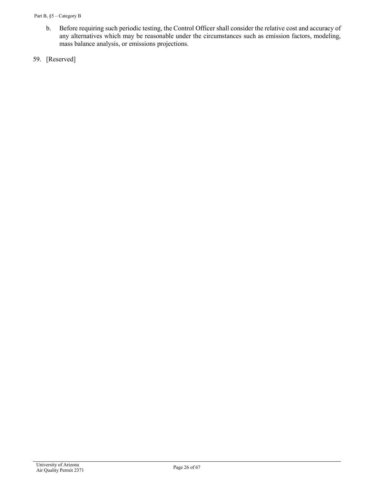- b. Before requiring such periodic testing, the Control Officer shall consider the relative cost and accuracy of any alternatives which may be reasonable under the circumstances such as emission factors, modeling, mass balance analysis, or emissions projections.
- 59. [Reserved]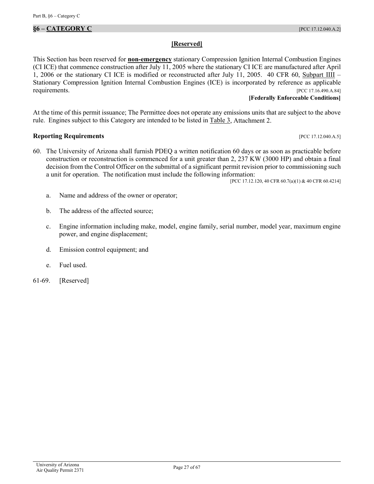# <span id="page-26-0"></span>**§6 – CATEGORY C** [PCC 17.12.040.A.2]

### **[Reserved]**

This Section has been reserved for **non-emergency** stationary Compression Ignition Internal Combustion Engines (CI ICE) that commence construction after July 11, 2005 where the stationary CI ICE are manufactured after April 1, 2006 or the stationary CI ICE is modified or reconstructed after July 11, 2005. [40 CFR 60, Subpart IIII](https://tinyurl.com/yd4lv9es) – Stationary Compression Ignition Internal Combustion Engines (ICE) is incorporated by reference as applicable requirements. [PCC 17.16.490.A.84]

#### **[Federally Enforceable Conditions]**

At the time of this permit issuance; The Permittee does not operate any emissions units that are subject to the above rule. Engines subject to this Category are intended to be listed in [Table 3,](#page-57-3) Attachment 2.

### **Reporting Requirements** *PCC 17.12.040.A.5*

<span id="page-26-1"></span>60. The University of Arizona shall furnish PDEQ a written notification 60 days or as soon as practicable before construction or reconstruction is commenced for a unit greater than 2, 237 KW (3000 HP) and obtain a final decision from the Control Officer on the submittal of a significant permit revision prior to commissioning such a unit for operation. The notification must include the following information:

[PCC 17.12.120, 40 CFR 60.7(a)(1) & 40 CFR 60.4214]

- a. Name and address of the owner or operator;
- b. The address of the affected source;
- c. Engine information including make, model, engine family, serial number, model year, maximum engine power, and engine displacement;
- d. Emission control equipment; and
- <span id="page-26-2"></span>e. Fuel used.
- 61-69. [Reserved]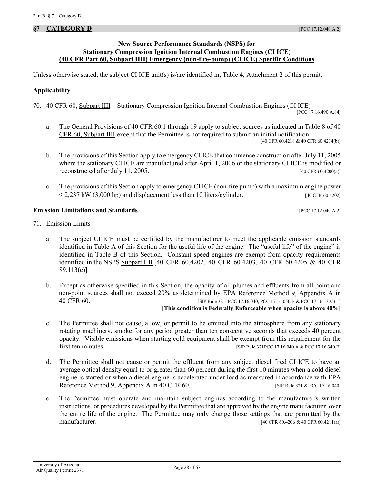#### <span id="page-27-0"></span>**§7 – CATEGORY D** [PCC 17.12.040.A.2]

### **New Source Performance Standards (NSPS) for Stationary Compression Ignition Internal Combustion Engines (CI ICE) (40 CFR Part 60, Subpart IIII) Emergency (non-fire-pump) (CI ICE) Specific Conditions**

Unless otherwise stated, the subject CI ICE unit(s) is/are identified in[, Table 4, Attachment 2](#page-58-0) of this permit.

#### **Applicability**

70. [40 CFR 60, Subpart IIII](https://tinyurl.com/yd4lv9es) – Stationary Compression Ignition Internal Combustion Engines (CI ICE)

[PCC 17.16.490.A.84]

- a. The General Provisions of [40 CFR 60.1 through 19](https://tinyurl.com/y7zuanhf) apply to subject sources as indicated in Table 8 of 40 [CFR 60, Subpart IIII](https://tinyurl.com/yb8n5qgv) except that the Permittee is not required to submit an initial notification. [40 CFR 60.4218 & 40 CFR 60.4214(b)]
- b. The provisions of this Section apply to emergency CI ICE that commence construction after July 11, 2005 where the stationary CI ICE are manufactured after April 1, 2006 or the stationary CI ICE is modified or reconstructed after July 11, 2005. [40 CFR 60.4200(a)]
- c. The provisions of this Section apply to emergency CI ICE (non-fire pump) with a maximum engine power  $\leq$  2,237 kW (3,000 hp) and displacement less than 10 liters/cylinder. [40 CFR 60.4202]

### **Emission Limitations and Standards Emission Limitations and Standards Executive Limitations and Standards Executive Limitations and Standards Executive Limitations and Standards**

- <span id="page-27-1"></span>71. Emission Limits
	- a. The subject CI ICE must be certified by the manufacturer to meet the applicable emission standards identified in [Table A](#page-28-0) of this Section for the useful life of the engine. The "useful life" of the engine" is identified in [Table B](#page-28-1) of this Section. Constant speed engines are exempt from opacity requirements identified in the [NSPS Subpart IIII.](https://tinyurl.com/yb8n5qgv)[40 CFR 60.4202, 40 CFR 60.4203, 40 CFR 60.4205 & 40 CFR 89.113(c)]
	- b. Except as otherwise specified in this Section, the opacity of all plumes and effluents from all point and non-point sources shall not exceed 20% as determined by EPA [Reference Method 9, Appendix A](https://tinyurl.com/y9hj5m88) in 40 [CFR](https://tinyurl.com/y9hj5m88) 60. **[SIP Rule 321, PCC 17.16.040, PCC 17.16.050.B & PCC 17.16.130.B.1]**

**[This condition is Federally Enforceable when opacity is above 40%]**

- c. The Permittee shall not cause, allow, or permit to be emitted into the atmosphere from any stationary rotating machinery, smoke for any period greater than ten consecutive seconds that exceeds 40 percent opacity. Visible emissions when starting cold equipment shall be exempt from this requirement for the first ten minutes. [SIP Rule 321PCC 17.16.040.A & PCC 17.16.340.E]
- d. The Permittee shall not cause or permit the effluent from any subject diesel fired CI ICE to have an average optical density equal to or greater than 60 percent during the first 10 minutes when a cold diesel engine is started or when a diesel engine is accelerated under load as measured in accordance with EPA [Reference Method 9, Appendix A](https://tinyurl.com/y9hj5m88) in 40 CFR 60. [SIP Rule 321 & PCC 17.16.040]
- e. The Permittee must operate and maintain subject engines according to the manufacturer's written instructions, or procedures developed by the Permittee that are approved by the engine manufacturer, over the entire life of the engine. The Permittee may only change those settings that are permitted by the manufacturer. [40 CFR 60.4206 & 40 CFR 60.4211(a)]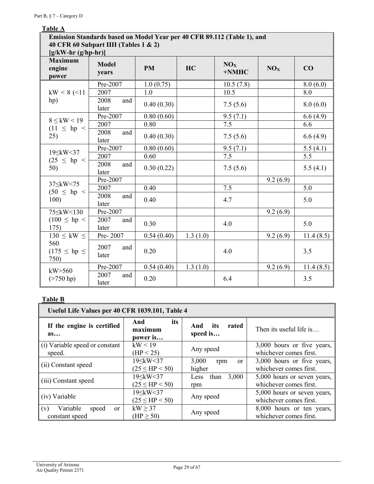# <span id="page-28-0"></span>**Table A**

| Emission Standards based on Model Year per 40 CFR 89.112 (Table 1), and<br>40 CFR 60 Subpart IIII (Tables 1 & 2)<br>$[g/kW-hr(g/hp-hr)]$ |                       |            |          |                          |                 |           |  |
|------------------------------------------------------------------------------------------------------------------------------------------|-----------------------|------------|----------|--------------------------|-----------------|-----------|--|
| <b>Maximum</b><br>engine<br>power                                                                                                        | <b>Model</b><br>years | <b>PM</b>  | HC       | NO <sub>X</sub><br>+NMHC | NO <sub>X</sub> | CO        |  |
|                                                                                                                                          | Pre-2007              | 1.0(0.75)  |          | 10.5(7.8)                |                 | 8.0(6.0)  |  |
| $kW < 8$ (<11)                                                                                                                           | 2007                  | 1.0        |          | 10.5                     |                 | 8.0       |  |
| hp)                                                                                                                                      | 2008<br>and<br>later  | 0.40(0.30) |          | 7.5(5.6)                 |                 | 8.0(6.0)  |  |
| $8 \leq$ kW $< 19$                                                                                                                       | Pre-2007              | 0.80(0.60) |          | 9.5(7.1)                 |                 | 6.6(4.9)  |  |
| $(11 \le hp <$                                                                                                                           | 2007                  | 0.80       |          | 7.5                      |                 | 6.6       |  |
| 25)                                                                                                                                      | 2008<br>and<br>later  | 0.40(0.30) |          | 7.5(5.6)                 |                 | 6.6(4.9)  |  |
| $19 \leq$ kW<37                                                                                                                          | Pre-2007              | 0.80(0.60) |          | 9.5(7.1)                 |                 | 5.5(4.1)  |  |
| $(25 \le hp <$                                                                                                                           | 2007                  | 0.60       |          | 7.5                      |                 | 5.5       |  |
| 50)                                                                                                                                      | 2008<br>and<br>later  | 0.30(0.22) |          | 7.5(5.6)                 |                 | 5.5(4.1)  |  |
| $37 \leq$ kW < 75                                                                                                                        | Pre-2007              |            |          |                          | 9.2(6.9)        |           |  |
| $(50 \le hp <$                                                                                                                           | 2007                  | 0.40       |          | 7.5                      |                 | 5.0       |  |
| 100)                                                                                                                                     | 2008<br>and<br>later  | 0.40       |          | 4.7                      |                 | 5.0       |  |
|                                                                                                                                          | Pre-2007              |            |          |                          | 9.2(6.9)        |           |  |
| $(100 \le hp <$<br>175)                                                                                                                  | 2007<br>and<br>later  | 0.30       |          | 4.0                      |                 | 5.0       |  |
| $130 \leq \text{kW} \leq$                                                                                                                | Pre-2007              | 0.54(0.40) | 1.3(1.0) |                          | 9.2(6.9)        | 11.4(8.5) |  |
| 560<br>$(175 \le hp \le$<br>750)                                                                                                         | 2007<br>and<br>later  | 0.20       |          | 4.0                      |                 | 3.5       |  |
| kW > 560                                                                                                                                 | Pre-2007              | 0.54(0.40) | 1.3(1.0) |                          | 9.2(6.9)        | 11.4(8.5) |  |
| $($ >750 hp)                                                                                                                             | 2007<br>and<br>later  | 0.20       |          | 6.4                      |                 | 3.5       |  |

# <span id="page-28-1"></span>**Table B**

| Useful Life Values per 40 CFR 1039.101, Table 4             |                                                                                                          |                                         |                                                       |  |  |  |  |
|-------------------------------------------------------------|----------------------------------------------------------------------------------------------------------|-----------------------------------------|-------------------------------------------------------|--|--|--|--|
| If the engine is certified<br>a <sub>s</sub>                | And<br>its<br>maximum<br>power is                                                                        | And<br>its<br>rated<br>speed is         | Then its useful life is                               |  |  |  |  |
| (i) Variable speed or constant<br>speed.                    | kW < 19<br>(HP < 25)                                                                                     | Any speed                               | 3,000 hours or five years,<br>whichever comes first.  |  |  |  |  |
| (ii) Constant speed                                         | 19 <<br>kW<37<br>$(25 \le HP < 50)$                                                                      | 3,000<br>rpm<br><sub>or</sub><br>higher | 3,000 hours or five years,<br>whichever comes first.  |  |  |  |  |
| (iii) Constant speed                                        | 19 \(\times\) \telli\) \telli\) \telli\) \telli\) \telli\) \telli\) \telli\) \tell<br>$(25 \le HP < 50)$ | 3,000<br>than<br>Less<br>rpm            | 5,000 hours or seven years,<br>whichever comes first. |  |  |  |  |
| (iv) Variable                                               | 19 <<br>kW<37<br>$(25 \le HP < 50)$                                                                      | Any speed                               | 5,000 hours or seven years,<br>whichever comes first. |  |  |  |  |
| Variable<br>(v)<br>speed<br><sub>or</sub><br>constant speed | $kW \geq 37$<br>$(HP \ge 50)$                                                                            | Any speed                               | 8,000 hours or ten years,<br>whichever comes first.   |  |  |  |  |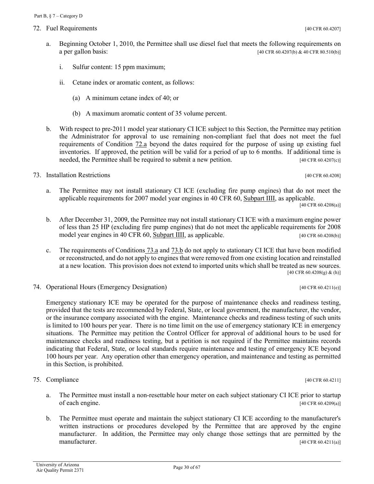<span id="page-29-4"></span>72. Fuel Requirements [40 CFR 60.4207]

<span id="page-29-6"></span>b. The Permittee must operate and maintain the subject stationary CI ICE according to the manufacturer's written instructions or procedures developed by the Permittee that are approved by the engine manufacturer. In addition, the Permittee may only change those settings that are permitted by the manufacturer. [40 CFR 60.4211(a)]

- <span id="page-29-0"></span>a. Beginning October 1, 2010, the Permittee shall use diesel fuel that meets the following requirements on a per gallon basis:  $[40 \text{ CFR } 60.4207 \text{ (b)} \& 40 \text{ CFR } 80.510 \text{ (b)}]$ 
	- i. Sulfur content: 15 ppm maximum;
	- ii. Cetane index or aromatic content, as follows:
		- (a) A minimum cetane index of 40; or
		- (b) A maximum aromatic content of 35 volume percent.
- b. With respect to pre-2011 model year stationary CI ICE subject to this Section, the Permittee may petition the Administrator for approval to use remaining non-compliant fuel that does not meet the fuel requirements of [Condition 72.a](#page-29-0) beyond the dates required for the purpose of using up existing fuel inventories. If approved, the petition will be valid for a period of up to 6 months. If additional time is needed, the Permittee shall be required to submit a new petition. [40 CFR 60.4207(c)]

<span id="page-29-5"></span>73. Installation Restrictions [40 CFR 60.4208]

<span id="page-29-1"></span>a. The Permittee may not install stationary CI ICE (excluding fire pump engines) that do not meet the applicable requirements for 2007 model year engines in [40 CFR 60, Subpart IIII,](https://tinyurl.com/yd4lv9es) as applicable.

[40 CFR 60.4208(a)]

- <span id="page-29-2"></span>b. After December 31, 2009, the Permittee may not install stationary CI ICE with a maximum engine power of less than 25 HP (excluding fire pump engines) that do not meet the applicable requirements for 2008 model year engines in [40 CFR 60, Subpart IIII,](https://tinyurl.com/yd4lv9es) as applicable. [40 CFR 60.4208(b)]
- c. The requirements of [Conditions](#page-29-1) 73.a and [73.b](#page-29-2) do not apply to stationary CI ICE that have been modified or reconstructed, and do not apply to engines that were removed from one existing location and reinstalled at a new location. This provision does not extend to imported units which shall be treated as new sources. [40 CFR 60.4208(g) & (h)]
- <span id="page-29-3"></span>74. Operational Hours (Emergency Designation) [40 CFR 60.4211(e)]

Emergency stationary ICE may be operated for the purpose of maintenance checks and readiness testing, provided that the tests are recommended by Federal, State, or local government, the manufacturer, the vendor, or the insurance company associated with the engine. Maintenance checks and readiness testing of such units is limited to 100 hours per year. There is no time limit on the use of emergency stationary ICE in emergency situations. The Permittee may petition the Control Officer for approval of additional hours to be used for maintenance checks and readiness testing, but a petition is not required if the Permittee maintains records indicating that Federal, State, or local standards require maintenance and testing of emergency ICE beyond 100 hours per year. Any operation other than emergency operation, and maintenance and testing as permitted in this Section, is prohibited.

75. Compliance [40 CFR 60.4211]

a. The Permittee must install a non-resettable hour meter on each subject stationary CI ICE prior to startup of each engine. [40 CFR 60.4209(a)]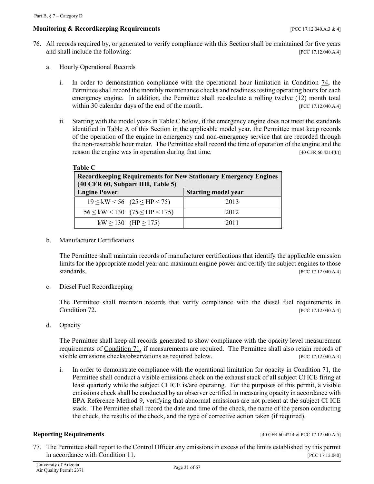# **Monitoring & Recordkeeping Requirements contained to the contract of the CO** 17.12.040.A.3 & 4]

- <span id="page-30-2"></span><span id="page-30-1"></span>76. All records required by, or generated to verify compliance with this Section shall be maintained for five years and shall include the following: [PCC 17.12.040.A.4]
	- a. Hourly Operational Records
		- i. In order to demonstration compliance with the operational hour limitation in Condition  $\frac{74}{10}$ , the Permittee shall record the monthly maintenance checks and readiness testing operating hours for each emergency engine. In addition, the Permittee shall recalculate a rolling twelve (12) month total within 30 calendar days of the end of the month. [PCC 17.12.040.A.4]
		- ii. Starting with the model years i[n Table C](#page-30-0) below, if the emergency engine does not meet the standards identified in  $Table A$  of this Section in the applicable model year, the Permittee must keep records of the operation of the engine in emergency and non-emergency service that are recorded through the non-resettable hour meter. The Permittee shall record the time of operation of the engine and the reason the engine was in operation during that time. [40 CFR 60.4214(b)]

<span id="page-30-4"></span><span id="page-30-0"></span>

| <b>Table C</b><br><b>Record keeping Requirements for New Stationary Emergency Engines</b><br>(40 CFR 60, Subpart IIII, Table 5) |      |  |  |  |  |  |
|---------------------------------------------------------------------------------------------------------------------------------|------|--|--|--|--|--|
| <b>Engine Power</b><br><b>Starting model year</b>                                                                               |      |  |  |  |  |  |
| $19 \leq {\rm kW} \leq 56$ (25 $\leq$ HP $\leq$ 75)                                                                             | 2013 |  |  |  |  |  |
| $56 \leq \text{kW} < 130$ $(75 \leq \text{HP} < 175)$                                                                           | 2012 |  |  |  |  |  |
| $kW \ge 130$ (HP $\ge 175$ )                                                                                                    | 2011 |  |  |  |  |  |

<span id="page-30-3"></span>b. Manufacturer Certifications

The Permittee shall maintain records of manufacturer certifications that identify the applicable emission limits for the appropriate model year and maximum engine power and certify the subject engines to those standards. [PCC 17.12.040.A.4]

<span id="page-30-5"></span>c. Diesel Fuel Recordkeeping

The Permittee shall maintain records that verify compliance with the diesel fuel requirements in **[Condition](#page-29-4) 72.** [PCC 17.12.040.A.4]

<span id="page-30-6"></span>d. Opacity

The Permittee shall keep all records generated to show compliance with the opacity level measurement requirements of [Condition 71,](#page-27-1) if measurements are required. The Permittee shall also retain records of visible emissions checks/observations as required below. [PCC 17.12.040.A.3]

i. In order to demonstrate compliance with the operational limitation for opacity in [Condition 71,](#page-27-1) the Permittee shall conduct a visible emissions check on the exhaust stack of all subject CI ICE firing at least quarterly while the subject CI ICE is/are operating. For the purposes of this permit, a visible emissions check shall be conducted by an observer certified in measuring opacity in accordance with EPA Reference Method 9, verifying that abnormal emissions are not present at the subject CI ICE stack. The Permittee shall record the date and time of the check, the name of the person conducting the check, the results of the check, and the type of corrective action taken (if required).

#### **Reporting Requirements** [40 CFR 60.4214 & PCC 17.12.040.A.5]

77. The Permittee shall report to the Control Officer any emissions in excess of the limits established by this permit in accordance with [Condition 11.](#page-6-3) [PCC 17.12.040]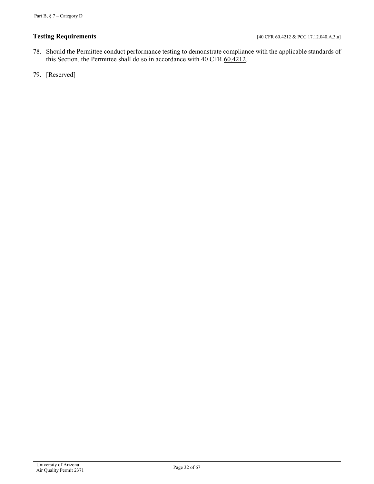# **Testing Requirements** [40 CFR 60.4212 & PCC 17.12.040.A.3.a]

- 78. Should the Permittee conduct performance testing to demonstrate compliance with the applicable standards of this Section, the Permittee shall do so in accordance with 40 CFR  $60.\overline{4212}$ .
- 79. [Reserved]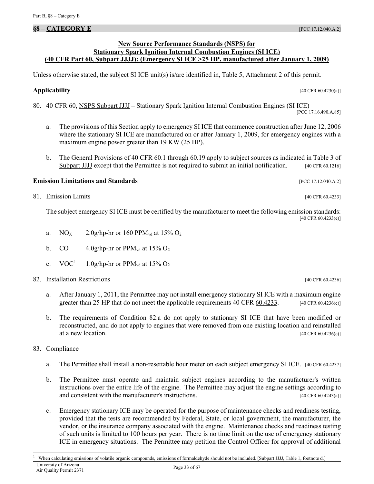# <span id="page-32-0"></span>**§8 – CATEGORY E** [PCC 17.12.040.A.2]

# **New Source Performance Standards (NSPS) for Stationary Spark Ignition Internal Combustion Engines (SI ICE) (40 CFR Part 60, Subpart JJJJ): (Emergency SI ICE >25 HP, manufactured after January 1, 2009)**

Unless otherwise stated, the subject SI ICE unit(s) is/are identified in, [Table 5, Attachment 2](#page-60-0) of this permit.

**Applicability** [40 CFR 60.4230(a)]

80. [40 CFR 60, NSPS Subpart JJJJ](https://tinyurl.com/yc4x66ry) – Stationary Spark Ignition Internal Combustion Engines (SI ICE) [PCC 17.16.490.A.85]

- a. The provisions of this Section apply to emergency SI ICE that commence construction after June 12, 2006 where the stationary SI ICE are manufactured on or after January 1, 2009, for emergency engines with a maximum engine power greater than 19 KW (25 HP).
- b. The General Provisions of 40 CFR 60.1 through 60.19 apply to subject sources as indicated in [Table 3 of](https://tinyurl.com/40-CFR-60-subpar-JJJJ-Table-3)  [Subpart JJJJ](https://tinyurl.com/40-CFR-60-subpar-JJJJ-Table-3) except that the Permittee is not required to submit an initial notification. [40 CFR 60.1216]

# **Emission Limitations and Standards** [PCC 17.12.040.A.2]

81. Emission Limits [40 CFR 60.4233]

The subject emergency SI ICE must be certified by the manufacturer to meet the following emission standards: [40 CFR 60.4233(e)]

- a. NO<sub>X</sub> 2.0g/hp-hr or 160 PPM<sub>vd</sub> at 15% O<sub>2</sub>
- b. CO 4.0g/hp-hr or  $PPM_{vd}$  at 15%  $O_2$
- c.  $VOC<sup>1</sup>$  $VOC<sup>1</sup>$  $VOC<sup>1</sup>$  1.0g/hp-hr or PPM<sub>vd</sub> at 15% O<sub>2</sub>
- <span id="page-32-4"></span><span id="page-32-1"></span>82. Installation Restrictions [40 CFR 60.4236]
	- a. After January 1, 2011, the Permittee may not install emergency stationary SI ICE with a maximum engine greater than 25 HP that do not meet the applicable requirements 40 CFR  $\underline{60.4233}$ . [40 CFR 60.4236(c)]
	- b. The requirements of [Condition 82.a](#page-32-1) do not apply to stationary SI ICE that have been modified or reconstructed, and do not apply to engines that were removed from one existing location and reinstalled at a new location. [40 CFR 60.4236(e)]
- <span id="page-32-5"></span><span id="page-32-3"></span>83. Compliance
	- a. The Permittee shall install a non-resettable hour meter on each subject emergency SI ICE. [40 CFR 60.4237]
	- b. The Permittee must operate and maintain subject engines according to the manufacturer's written instructions over the entire life of the engine. The Permittee may adjust the engine settings according to and consistent with the manufacturer's instructions. The manufacturer's instructions. The manufacturer's instructions.
	- c. Emergency stationary ICE may be operated for the purpose of maintenance checks and readiness testing, provided that the tests are recommended by Federal, State, or local government, the manufacturer, the vendor, or the insurance company associated with the engine. Maintenance checks and readiness testing of such units is limited to 100 hours per year. There is no time limit on the use of emergency stationary ICE in emergency situations. The Permittee may petition the Control Officer for approval of additional

<span id="page-32-2"></span>University of Arizona Page 33 of 67<br>Air Quality Permit 2371 1 When calculating emissions of volatile organic compounds, emissions of formaldehyde should not be included. [Subpart JJJJ, Table 1, footnote d.]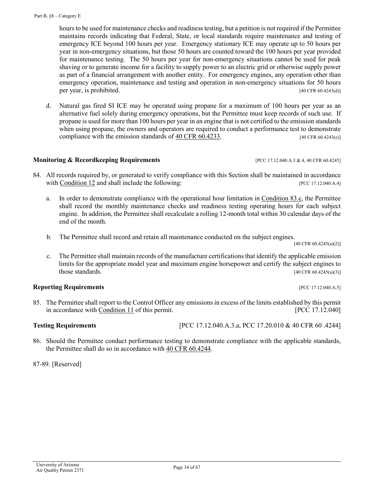hours to be used for maintenance checks and readiness testing, but a petition is not required if the Permittee maintains records indicating that Federal, State, or local standards require maintenance and testing of emergency ICE beyond 100 hours per year. Emergency stationary ICE may operate up to 50 hours per year in non-emergency situations, but those 50 hours are counted toward the 100 hours per year provided for maintenance testing. The 50 hours per year for non-emergency situations cannot be used for peak shaving or to generate income for a facility to supply power to an electric grid or otherwise supply power as part of a financial arrangement with another entity. For emergency engines, any operation other than emergency operation, maintenance and testing and operation in non-emergency situations for 50 hours per year, is prohibited. [40 CFR 60.4243(d)]

d. Natural gas fired SI ICE may be operated using propane for a maximum of 100 hours per year as an alternative fuel solely during emergency operations, but the Permittee must keep records of such use. If propane is used for more than 100 hours per year in an engine that is not certified to the emission standards when using propane, the owners and operators are required to conduct a performance test to demonstrate compliance with the emission standards of [40 CFR 60.4233.](https://tinyurl.com/ybwss2f4) [40 CFR 60.4243(e)]

# **Monitoring & Recordkeeping Requirements** [PCC 17.12.040.A.3 & 4, 40 CFR 60.4245]

- <span id="page-33-0"></span>84. All records required by, or generated to verify compliance with this Section shall be maintained in accordance with [Condition 12](#page-10-0) and shall include the following: [PCC 17.12.040.A.4]
	- a. In order to demonstrate compliance with the operational hour limitation in [Condition 83.c,](#page-32-3) the Permittee shall record the monthly maintenance checks and readiness testing operating hours for each subject engine. In addition, the Permittee shall recalculate a rolling 12-month total within 30 calendar days of the end of the month.
	- b. The Permittee shall record and retain all maintenance conducted on the subject engines.

[40 CFR 60.4245(a)(2)]

<span id="page-33-1"></span>c. The Permittee shall maintain records of the manufacture certifications that identify the applicable emission limits for the appropriate model year and maximum engine horsepower and certify the subject engines to those standards.  $[40 \text{ CFR } 60.4245(a)(3)]$ 

# **Reporting Requirements** *CONDUCTRES PCC 17.12.040.A.5]*

85. The Permittee shall report to the Control Officer any emissions in excess of the limits established by this permit in accordance with [Condition 11](#page-6-3) of this permit. [PCC 17.12.040]

**Testing Requirements** [PCC 17.12.040.A.3.a, PCC 17.20.010 & 40 CFR 60 .4244]

86. Should the Permittee conduct performance testing to demonstrate compliance with the applicable standards, the Permittee shall do so in accordance with [40 CFR 60.4244.](https://tinyurl.com/ycf423c8)

87-89. [Reserved]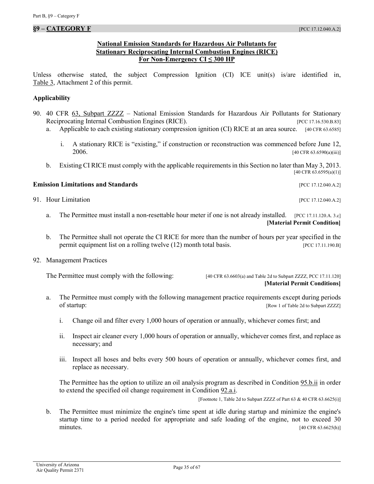### **National Emission Standards for Hazardous Air Pollutants for Stationary Reciprocating Internal Combustion Engines (RICE) For Non-Emergency CI ≤ 300 HP**

<span id="page-34-0"></span>Unless otherwise stated, the subject Compression Ignition (CI) ICE unit(s) is/are identified in, Table 3, [Attachment](#page-57-3) 2 of this permit.

#### **Applicability**

- 90. [40 CFR 63, Subpart ZZZZ](https://tinyurl.com/ycprbrb7) National Emission Standards for Hazardous Air Pollutants for Stationary Reciprocating Internal Combustion Engines (RICE). [PCC 17.16.530.B.83]
	- a. Applicable to each existing stationary compression ignition (CI) RICE at an area source. [40 CFR 63.6585]
		- i. A stationary RICE is "existing," if construction or reconstruction was commenced before June 12,  $2006.$  [40 CFR 63.6590(a)(iii)]
	- b. Existing CI RICE must comply with the applicable requirements in this Section no later than May 3, 2013. [40 CFR 63.6595(a)(1)]

#### **Emission Limitations and Standards Emission Limitations and Standards Executive Limitations and Standards Executive Limitations and Standards Executive Limitations and Standards**

<span id="page-34-2"></span>91. Hour Limitation [PCC 17.12.040.A.2]

- a. The Permittee must install a non-resettable hour meter if one is not already installed. [PCC 17.11.120.A. 3.c] **[Material Permit Condition]**
- b. The Permittee shall not operate the CI RICE for more than the number of hours per year specified in the permit equipment list on a rolling twelve (12) month total basis. [PCC 17.11.190.B]

#### <span id="page-34-3"></span>92. Management Practices

The Permittee must comply with the following: [40 CFR 63.6603(a) and Table 2d to Subpart ZZZZ, PCC 17.11.120]

**[Material Permit Conditions]**

- <span id="page-34-1"></span>a. The Permittee must comply with the following management practice requirements except during periods of startup: [Row 1 of Table 2d to Subpart ZZZZ]
	- i. Change oil and filter every 1,000 hours of operation or annually, whichever comes first; and
	- ii. Inspect air cleaner every 1,000 hours of operation or annually, whichever comes first, and replace as necessary; and
	- iii. Inspect all hoses and belts every 500 hours of operation or annually, whichever comes first, and replace as necessary.

The Permittee has the option to utilize an oil analysis program as described in [Condition 95.b.ii](#page-36-0) in order to extend the specified oil change requirement i[n Condition 92.a.i.](#page-34-1)

[Footnote 1, Table 2d to Subpart ZZZZ of Part 63 & 40 CFR 63.6625(i)]

b. The Permittee must minimize the engine's time spent at idle during startup and minimize the engine's startup time to a period needed for appropriate and safe loading of the engine, not to exceed 30 minutes. [40 CFR 63.6625(h)]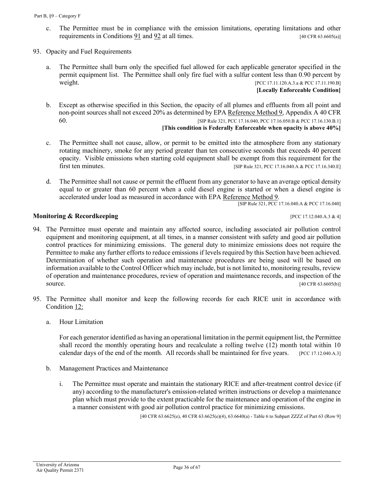- c. The Permittee must be in compliance with the emission limitations, operating limitations and other requirements in Conditions  $91$  and  $92$  at all times. [40 CFR 63.6605(a)]
- <span id="page-35-1"></span><span id="page-35-0"></span>93. Opacity and Fuel Requirements
	- a. The Permittee shall burn only the specified fuel allowed for each applicable generator specified in the permit equipment list. The Permittee shall only fire fuel with a sulfur content less than 0.90 percent by weight. [PCC 17.11.120.A.3.a & PCC 17.11.190.B]

**[Locally Enforceable Condition]**

b. Except as otherwise specified in this Section, the opacity of all plumes and effluents from all point and non-point sources shall not exceed 20% as determined by EPA [Reference Method 9, Appendix A 40 CFR](https://tinyurl.com/y9hj5m88)  [60.](https://tinyurl.com/y9hj5m88) [SIP Rule 321, PCC 17.16.040, PCC 17.16.050.B & PCC 17.16.130.B.1]

#### **[This condition is Federally Enforceable when opacity is above 40%]**

- c. The Permittee shall not cause, allow, or permit to be emitted into the atmosphere from any stationary rotating machinery, smoke for any period greater than ten consecutive seconds that exceeds 40 percent opacity. Visible emissions when starting cold equipment shall be exempt from this requirement for the first ten minutes. [SIP Rule 321, PCC 17.16.040.A & PCC 17.16.340.E]
- d. The Permittee shall not cause or permit the effluent from any generator to have an average optical density equal to or greater than 60 percent when a cold diesel engine is started or when a diesel engine is accelerated under load as measured in accordance with EPA [Reference Method 9.](https://tinyurl.com/y9hj5m88)

[SIP Rule 321, PCC 17.16.040.A & PCC 17.16.040]

#### **Monitoring & Recordkeeping contract the contract of the contract of the contract of the contract of the contract of the contract of the contract of the contract of the contract of the contract of the contract of the con**

- <span id="page-35-2"></span>94. The Permittee must operate and maintain any affected source, including associated air pollution control equipment and monitoring equipment, at all times, in a manner consistent with safety and good air pollution control practices for minimizing emissions. The general duty to minimize emissions does not require the Permittee to make any further efforts to reduce emissions if levels required by this Section have been achieved. Determination of whether such operation and maintenance procedures are being used will be based on information available to the Control Officer which may include, but is not limited to, monitoring results, review of operation and maintenance procedures, review of operation and maintenance records, and inspection of the source. [40 CFR 63.6605(b)]
- 95. The Permittee shall monitor and keep the following records for each RICE unit in accordance with [Condition](#page-10-0) 12:
	- a. Hour Limitation

<span id="page-35-3"></span>For each generator identified as having an operational limitation in the permit equipment list, the Permittee shall record the monthly operating hours and recalculate a rolling twelve (12) month total within 10 calendar days of the end of the month. All records shall be maintained for five years. [PCC 17.12.040.A.3]

- <span id="page-35-4"></span>b. Management Practices and Maintenance
	- i. The Permittee must operate and maintain the stationary RICE and after-treatment control device (if any) according to the manufacturer's emission-related written instructions or develop a maintenance plan which must provide to the extent practicable for the maintenance and operation of the engine in a manner consistent with good air pollution control practice for minimizing emissions.

[40 CFR 63.6625(e), 40 CFR 63.6625(e)(4), 63.6640(a) - Table 6 to Subpart ZZZZ of Part 63 (Row 9]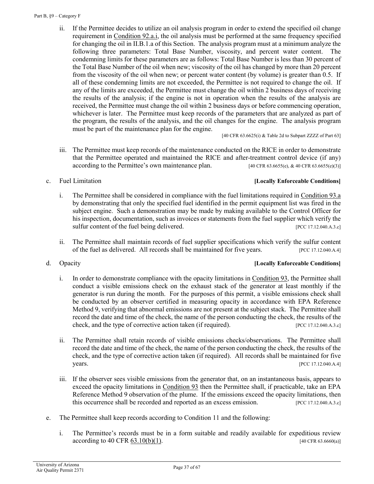<span id="page-36-0"></span>ii. If the Permittee decides to utilize an oil analysis program in order to extend the specified oil change requirement in [Condition 92.a.i,](#page-34-1) the oil analysis must be performed at the same frequency specified for changing the oil in II.B.1.a of this Section. The analysis program must at a minimum analyze the following three parameters: Total Base Number, viscosity, and percent water content. The condemning limits for these parameters are as follows: Total Base Number is less than 30 percent of the Total Base Number of the oil when new; viscosity of the oil has changed by more than 20 percent from the viscosity of the oil when new; or percent water content (by volume) is greater than 0.5. If all of these condemning limits are not exceeded, the Permittee is not required to change the oil. If any of the limits are exceeded, the Permittee must change the oil within 2 business days of receiving the results of the analysis; if the engine is not in operation when the results of the analysis are received, the Permittee must change the oil within 2 business days or before commencing operation, whichever is later. The Permittee must keep records of the parameters that are analyzed as part of the program, the results of the analysis, and the oil changes for the engine. The analysis program must be part of the maintenance plan for the engine.

[40 CFR  $63.6625(i)$  & Table 2d to Subpart ZZZZ of Part  $63$ ]

<span id="page-36-2"></span>iii. The Permittee must keep records of the maintenance conducted on the RICE in order to demonstrate that the Permittee operated and maintained the RICE and after-treatment control device (if any) according to the Permittee's own maintenance plan.  $[40 \text{ CFR } 63.6655(e), \& 40 \text{ CFR } 63.6655(e)]$ 

c. Fuel Limitation **[Locally Enforceable Conditions]**

- i. The Permittee shall be considered in compliance with the fuel limitations required i[n Condition 93.a](#page-35-0) by demonstrating that only the specified fuel identified in the permit equipment list was fired in the subject engine. Such a demonstration may be made by making available to the Control Officer for his inspection, documentation, such as invoices or statements from the fuel supplier which verify the sulfur content of the fuel being delivered. [PCC 17.12.040.A.3.c]
- ii. The Permittee shall maintain records of fuel supplier specifications which verify the sulfur content of the fuel as delivered. All records shall be maintained for five years. [PCC 17.12.040.A.4]

# <span id="page-36-1"></span>d. Opacity **[Locally Enforceable Conditions]**

- i. In order to demonstrate compliance with the opacity limitations in [Condition 93,](#page-35-1) the Permittee shall conduct a visible emissions check on the exhaust stack of the generator at least monthly if the generator is run during the month. For the purposes of this permit, a visible emissions check shall be conducted by an observer certified in measuring opacity in accordance with EPA Reference Method 9, verifying that abnormal emissions are not present at the subject stack. The Permittee shall record the date and time of the check, the name of the person conducting the check, the results of the check, and the type of corrective action taken (if required). [PCC 17.12.040.A.3.c]
- ii. The Permittee shall retain records of visible emissions checks/observations. The Permittee shall record the date and time of the check, the name of the person conducting the check, the results of the check, and the type of corrective action taken (if required). All records shall be maintained for five years. [PCC 17.12.040.A.4]
- iii. If the observer sees visible emissions from the generator that, on an instantaneous basis, appears to exceed the opacity limitations in [Condition 93](#page-35-1) then the Permittee shall, if practicable, take an EPA Reference Method 9 observation of the plume. If the emissions exceed the opacity limitations, then this occurrence shall be recorded and reported as an excess emission. [PCC 17.12.040.A.3.c]
- e. The Permittee shall keep records according to Condition 11 and the following:
	- i. The Permittee's records must be in a form suitable and readily available for expeditious review  $\alpha$  according to [40 CFR 63.10\(b\)\(1\).](https://tinyurl.com/40-CFR-63-10) [40 CFR 63.6660(a)]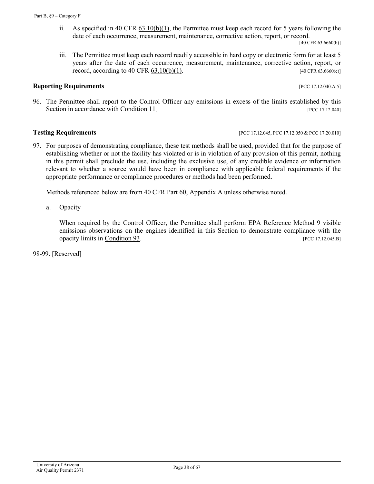ii. As specified in [40 CFR 63.10\(b\)\(1\),](https://tinyurl.com/40-CFR-63-10) the Permittee must keep each record for 5 years following the date of each occurrence, measurement, maintenance, corrective action, report, or record.

[40 CFR 63.6660(b)]

<span id="page-37-0"></span>iii. The Permittee must keep each record readily accessible in hard copy or electronic form for at least 5 years after the date of each occurrence, measurement, maintenance, corrective action, report, or record, according to 40 CFR  $(63.10(b)(1))$ . [40 CFR  $(63.666(c))$ ]

#### **Reporting Requirements** *CONDEREGALLER SECURITE REPORTION PCC 17.12.040.A.5***]**

96. The Permittee shall report to the Control Officer any emissions in excess of the limits established by this Section in accordance with [Condition 11.](#page-6-3) **Example 2018** [PCC 17.12.040]

#### **Testing Requirements [PCC 17.12.045, PCC 17.12.050 & PCC 17.20.010]**

97. For purposes of demonstrating compliance, these test methods shall be used, provided that for the purpose of establishing whether or not the facility has violated or is in violation of any provision of this permit, nothing in this permit shall preclude the use, including the exclusive use, of any credible evidence or information relevant to whether a source would have been in compliance with applicable federal requirements if the appropriate performance or compliance procedures or methods had been performed.

Methods referenced below are from [40 CFR Part 60, Appendix A](https://tinyurl.com/y8dvby4k) unless otherwise noted.

a. Opacity

When required by the Control Officer, the Permittee shall perform EPA [Reference Method 9](https://tinyurl.com/y9hj5m88) visible emissions observations on the engines identified in this Section to demonstrate compliance with the opacity limits in [Condition 93.](#page-35-1) **In the condition 93 IPCC 17.12.045.B** 

98-99. [Reserved]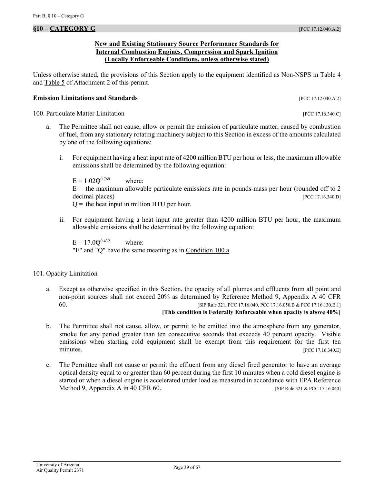#### **New and Existing Stationary Source Performance Standards for Internal Combustion Engines, Compression and Spark Ignition (Locally Enforceable Conditions, unless otherwise stated)**

<span id="page-38-0"></span>Unless otherwise stated, the provisions of this Section apply to the equipment identified as Non-NSPS in [Table 4](#page-58-0) and [Table 5](#page-60-0) of Attachment 2 of this permit.

#### **Emission Limitations and Standards Emission Limitations and Standards Executive Limitations and Standards Executive Limitations and Standards Executive Limitations and Standards**

<span id="page-38-2"></span>100. Particulate Matter Limitation **100. Particulate Matter Limitation** *pcc* 17.16.340.C]

- a. The Permittee shall not cause, allow or permit the emission of particulate matter, caused by combustion of fuel, from any stationary rotating machinery subject to this Section in excess of the amounts calculated by one of the following equations:
	- i. For equipment having a heat input rate of 4200 million BTU per hour or less, the maximum allowable emissions shall be determined by the following equation:

<span id="page-38-1"></span> $E = 1.02Q^{0.769}$  where:  $E =$  the maximum allowable particulate emissions rate in pounds-mass per hour (rounded off to 2 decimal places) [PCC 17.16.340.D]  $Q =$  the heat input in million BTU per hour.

ii. For equipment having a heat input rate greater than 4200 million BTU per hour, the maximum allowable emissions shall be determined by the following equation:

 $E = 17.0Q^{0.432}$  where: "E" and "Q" have the same meaning as in [Condition 100.a.](#page-38-1)

### <span id="page-38-3"></span>101. Opacity Limitation

a. Except as otherwise specified in this Section, the opacity of all plumes and effluents from all point and non-point sources shall not exceed 20% as determined by [Reference Method 9, Appendix A 40 CFR](https://tinyurl.com/y9hj5m88)  [60.](https://tinyurl.com/y9hj5m88) [SIP Rule 321, PCC 17.16.040, PCC 17.16.050.B & PCC 17.16.130.B.1]

#### **[This condition is Federally Enforceable when opacity is above 40%]**

- b. The Permittee shall not cause, allow, or permit to be emitted into the atmosphere from any generator, smoke for any period greater than ten consecutive seconds that exceeds 40 percent opacity. Visible emissions when starting cold equipment shall be exempt from this requirement for the first ten minutes. [PCC 17.16.340.E]
- <span id="page-38-4"></span>c. The Permittee shall not cause or permit the effluent from any diesel fired generator to have an average optical density equal to or greater than 60 percent during the first 10 minutes when a cold diesel engine is started or when a diesel engine is accelerated under load as measured in accordance with EPA Reference Method 9, Appendix A in 40 CFR 60. [SIP Rule 321 & PCC 17.16.040]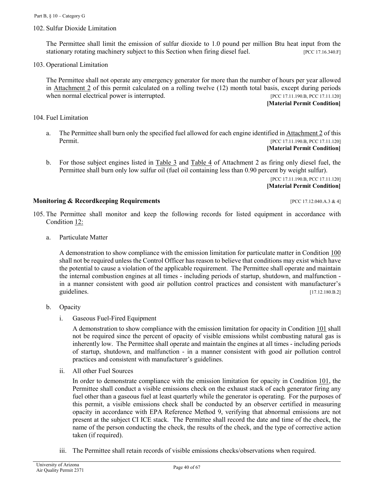102. Sulfur Dioxide Limitation

The Permittee shall limit the emission of sulfur dioxide to 1.0 pound per million Btu heat input from the stationary rotating machinery subject to this Section when firing diesel fuel. [PCC 17.16.340.F]

103. Operational Limitation

The Permittee shall not operate any emergency generator for more than the number of hours per year allowed in [Attachment 2](#page-57-0) of this permit calculated on a rolling twelve (12) month total basis, except during periods when normal electrical power is interrupted. [PCC 17.11.190.B, PCC 17.11.120]

#### **[Material Permit Condition]**

- <span id="page-39-1"></span>104. Fuel Limitation
	- a. The Permittee shall burn only the specified fuel allowed for each engine identified in [Attachment 2](#page-57-0) of this Permit. [PCC 17.11.190.B, PCC 17.11.120] **[Material Permit Condition]**
	- b. For those subject engines listed in [Table 3](#page-57-3) and [Table 4](#page-60-0) of Attachment 2 as firing only diesel fuel, the Permittee shall burn only low sulfur oil (fuel oil containing less than 0.90 percent by weight sulfur).

[PCC 17.11.190.B, PCC 17.11.120] **[Material Permit Condition]**

#### <span id="page-39-0"></span>**Monitoring & Recordkeeping Requirements** [PCC 17.12.040.A.3 & 4]

- <span id="page-39-2"></span>105. The Permittee shall monitor and keep the following records for listed equipment in accordance with [Condition](#page-10-0) 12:
	- a. Particulate Matter

<span id="page-39-4"></span>A demonstration to show compliance with the emission limitation for particulate matter in [Condition 100](#page-38-2) shall not be required unless the Control Officer has reason to believe that conditions may exist which have the potential to cause a violation of the applicable requirement. The Permittee shall operate and maintain the internal combustion engines at all times - including periods of startup, shutdown, and malfunction in a manner consistent with good air pollution control practices and consistent with manufacturer's guidelines. [17.12.180.B.2]

- b. Opacity
	- i. Gaseous Fuel-Fired Equipment

A demonstration to show compliance with the emission limitation for opacity in [Condition 101](#page-38-3) shall not be required since the percent of opacity of visible emissions whilst combusting natural gas is inherently low. The Permittee shall operate and maintain the engines at all times - including periods of startup, shutdown, and malfunction - in a manner consistent with good air pollution control practices and consistent with manufacturer's guidelines.

<span id="page-39-3"></span>ii. All other Fuel Sources

In order to demonstrate compliance with the emission limitation for opacity in [Condition 101,](#page-38-3) the Permittee shall conduct a visible emissions check on the exhaust stack of each generator firing any fuel other than a gaseous fuel at least quarterly while the generator is operating. For the purposes of this permit, a visible emissions check shall be conducted by an observer certified in measuring opacity in accordance with EPA Reference Method 9, verifying that abnormal emissions are not present at the subject CI ICE stack. The Permittee shall record the date and time of the check, the name of the person conducting the check, the results of the check, and the type of corrective action taken (if required).

iii. The Permittee shall retain records of visible emissions checks/observations when required.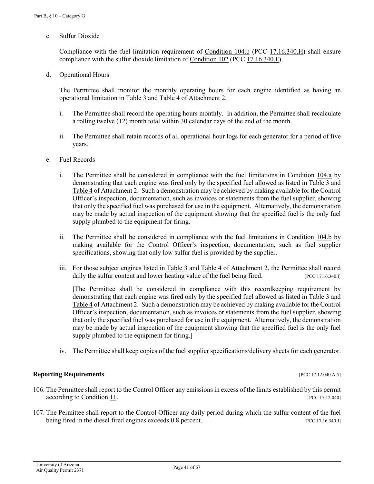### c. Sulfur Dioxide

Compliance with the fuel limitation requirement of [Condition 104.b](#page-39-0) [\(PCC 17.16.340.H\)](https://tinyurl.com/ya2sf2jc) shall ensure compliance with the sulfur dioxide limitation o[f Condition 102](#page-38-4) [\(PCC 17.16.340.F\)](https://tinyurl.com/ya2sf2jc).

<span id="page-40-2"></span>d. Operational Hours

The Permittee shall monitor the monthly operating hours for each engine identified as having an operational limitation in [Table 3](#page-57-3) and [Table 4](#page-60-0) of Attachment 2.

- i. The Permittee shall record the operating hours monthly. In addition, the Permittee shall recalculate a rolling twelve (12) month total within 30 calendar days of the end of the month.
- ii. The Permittee shall retain records of all operational hour logs for each generator for a period of five years.
- e. Fuel Records
	- i. The Permittee shall be considered in compliance with the fuel limitations in [Condition 104.a](#page-39-1) by demonstrating that each engine was fired only by the specified fuel allowed as listed in [Table 3](#page-57-3) and [Table 4](#page-60-0) of Attachment 2. Such a demonstration may be achieved by making available for the Control Officer's inspection, documentation, such as invoices or statements from the fuel supplier, showing that only the specified fuel was purchased for use in the equipment. Alternatively, the demonstration may be made by actual inspection of the equipment showing that the specified fuel is the only fuel supply plumbed to the equipment for firing.
	- ii. The Permittee shall be considered in compliance with the fuel limitations in [Condition 104.b](#page-39-0) by making available for the Control Officer's inspection, documentation, such as fuel supplier specifications, showing that only low sulfur fuel is provided by the supplier.
	- iii. For those subject engines listed in [Table 3](#page-57-3) and [Table 4](#page-60-0) of Attachment 2, the Permittee shall record daily the sulfur content and lower heating value of the fuel being fired.  $[PCC 17.16.340.1]$

<span id="page-40-0"></span>[The Permittee shall be considered in compliance with this recordkeeping requirement by demonstrating that each engine was fired only by the specified fuel allowed as listed in [Table 3](#page-57-3) and [Table 4](#page-60-0) of Attachment 2. Such a demonstration may be achieved by making available for the Control Officer's inspection, documentation, such as invoices or statements from the fuel supplier, showing that only the specified fuel was purchased for use in the equipment. Alternatively, the demonstration may be made by actual inspection of the equipment showing that the specified fuel is the only fuel supply plumbed to the equipment for firing.]

iv. The Permittee shall keep copies of the fuel supplier specifications/delivery sheets for each generator.

### **Reporting Requirements** *CONDUCTRES <b>REPORTING REQUIREMENTS PCC 17.12.040.A.5]*

- 106. The Permittee shall report to the Control Officer any emissions in excess of the limits established by this permit according to [Condition 11.](#page-6-3) [PCC 17.12.040]
- <span id="page-40-1"></span>107. The Permittee shall report to the Control Officer any daily period during which the sulfur content of the fuel being fired in the diesel fired engines exceeds 0.8 percent. [PCC 17.16.340.J]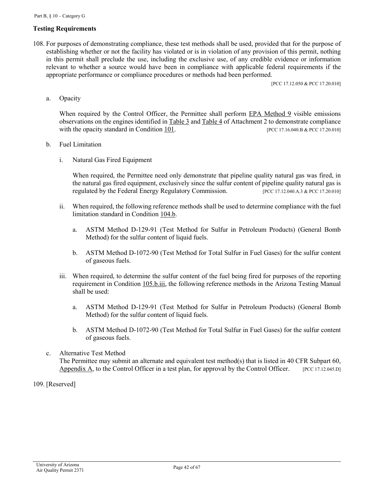### **Testing Requirements**

108. For purposes of demonstrating compliance, these test methods shall be used, provided that for the purpose of establishing whether or not the facility has violated or is in violation of any provision of this permit, nothing in this permit shall preclude the use, including the exclusive use, of any credible evidence or information relevant to whether a source would have been in compliance with applicable federal requirements if the appropriate performance or compliance procedures or methods had been performed.

[PCC 17.12.050 & PCC 17.20.010]

a. Opacity

When required by the Control Officer, the Permittee shall perform [EPA Method 9](https://tinyurl.com/y9hj5m88) visible emissions observations on the engines identified i[n Table 3](#page-57-3) and [Table 4](#page-60-0) of Attachment 2 to demonstrate compliance with the opacity standard in [Condition 101.](#page-38-3) [PCC 17.16.040.B & PCC 17.20.010]

- b. Fuel Limitation
	- i. Natural Gas Fired Equipment

When required, the Permittee need only demonstrate that pipeline quality natural gas was fired, in the natural gas fired equipment, exclusively since the sulfur content of pipeline quality natural gas is regulated by the Federal Energy Regulatory Commission. [PCC 17.12.040.A.3 & PCC 17.20.010]

- ii. When required, the following reference methods shall be used to determine compliance with the fuel limitation standard i[n Condition 104.b.](#page-39-0)
	- a. ASTM Method D-129-91 (Test Method for Sulfur in Petroleum Products) (General Bomb Method) for the sulfur content of liquid fuels.
	- b. ASTM Method D-1072-90 (Test Method for Total Sulfur in Fuel Gases) for the sulfur content of gaseous fuels.
- iii. When required, to determine the sulfur content of the fuel being fired for purposes of the reporting requirement in [Condition 105.b.iii,](#page-40-0) the following reference methods in the Arizona Testing Manual shall be used:
	- a. ASTM Method D-129-91 (Test Method for Sulfur in Petroleum Products) (General Bomb Method) for the sulfur content of liquid fuels.
	- b. ASTM Method D-1072-90 (Test Method for Total Sulfur in Fuel Gases) for the sulfur content of gaseous fuels.
- c. Alternative Test Method The Permittee may submit an alternate and equivalent test method(s) that is listed in [40 CFR Subpart 60,](https://tinyurl.com/y9hj5m88) [Appendix A,](https://tinyurl.com/y9hj5m88) to the Control Officer in a test plan, for approval by the Control Officer. [PCC 17.12.045.D]

109. [Reserved]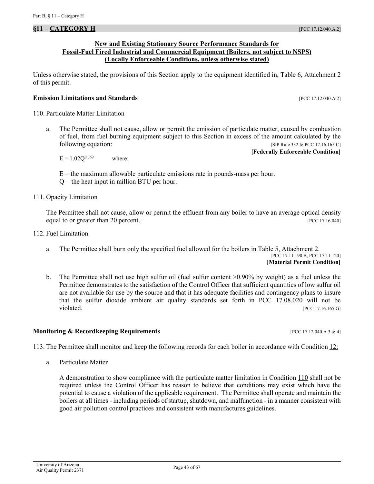### <span id="page-42-0"></span>**New and Existing Stationary Source Performance Standards for Fossil-Fuel Fired Industrial and Commercial Equipment (Boilers, not subject to NSPS) (Locally Enforceable Conditions, unless otherwise stated)**

Unless otherwise stated, the provisions of this Section apply to the equipment identified in, [Table 6, Attachment 2](#page-62-0) of this permit.

### **Emission Limitations and Standards Emission Limitations and Standards Executive Limitations and Standards**

<span id="page-42-1"></span>110. Particulate Matter Limitation

a. The Permittee shall not cause, allow or permit the emission of particulate matter, caused by combustion of fuel, from fuel burning equipment subject to this Section in excess of the amount calculated by the following equation: [SIP Rule 332 & PCC 17.16.165.C]

**[Federally Enforceable Condition]**

 $E = 1.02Q^{0.769}$  where:

 $E =$  the maximum allowable particulate emissions rate in pounds-mass per hour.

 $Q =$  the heat input in million BTU per hour.

<span id="page-42-2"></span>111. Opacity Limitation

The Permittee shall not cause, allow or permit the effluent from any boiler to have an average optical density equal to or greater than 20 percent. [PCC 17.16.040]

<span id="page-42-3"></span>112. Fuel Limitation

a. The Permittee shall burn only the specified fuel allowed for the boilers in [Table 5, Attachment 2.](#page-62-0) [PCC 17.11.190.B, PCC 17.11.120]

# **[Material Permit Condition]**

b. The Permittee shall not use high sulfur oil (fuel sulfur content >0.90% by weight) as a fuel unless the Permittee demonstrates to the satisfaction of the Control Officer that sufficient quantities of low sulfur oil are not available for use by the source and that it has adequate facilities and contingency plans to insure that the sulfur dioxide ambient air quality standards set forth in PCC 17.08.020 will not be violated. **[PCC 17.16.165.G]** 

### **Monitoring & Recordkeeping Requirements and the control of the COV COVID-17.12.040.A 3 & 4]**

<span id="page-42-4"></span>113. The Permittee shall monitor and keep the following records for each boiler in accordance with [Condition](#page-10-0) 12:

a. Particulate Matter

A demonstration to show compliance with the particulate matter limitation in [Condition 110](#page-42-1) shall not be required unless the Control Officer has reason to believe that conditions may exist which have the potential to cause a violation of the applicable requirement. The Permittee shall operate and maintain the boilers at all times - including periods of startup, shutdown, and malfunction - in a manner consistent with good air pollution control practices and consistent with manufactures guidelines.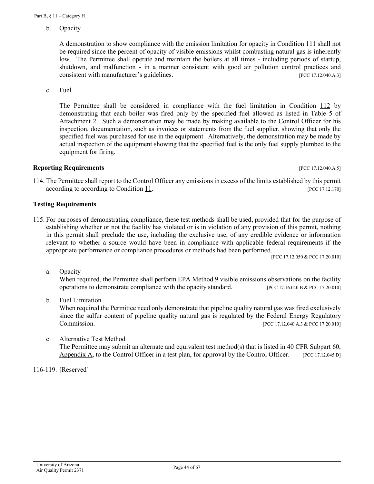b. Opacity

A demonstration to show compliance with the emission limitation for opacity in [Condition 111](#page-42-2) shall not be required since the percent of opacity of visible emissions whilst combusting natural gas is inherently low. The Permittee shall operate and maintain the boilers at all times - including periods of startup, shutdown, and malfunction - in a manner consistent with good air pollution control practices and consistent with manufacturer's guidelines. [PCC 17.12.040.A.3]

c. Fuel

The Permittee shall be considered in compliance with the fuel limitation in [Condition 112](#page-42-3) by demonstrating that each boiler was fired only by the specified fuel allowed as listed in Table 5 of [Attachment 2.](#page-57-0) Such a demonstration may be made by making available to the Control Officer for his inspection, documentation, such as invoices or statements from the fuel supplier, showing that only the specified fuel was purchased for use in the equipment. Alternatively, the demonstration may be made by actual inspection of the equipment showing that the specified fuel is the only fuel supply plumbed to the equipment for firing.

# **Reporting Requirements** *CONDEREGALLER SECURITE SECURITE SECURITE SECURITE SECURITE SECURITE SECURITE SECURITE SECURITE SECURITE SECURITE SECURITE SECURITE SECURITE SECURITE SECURITE SECURITE SECURITE SECURITE SECURITE S*

114. The Permittee shall report to the Control Officer any emissions in excess of the limits established by this permit according to according to [Condition 11.](#page-6-3) *II.* [PCC 17.12.170]

# **Testing Requirements**

115. For purposes of demonstrating compliance, these test methods shall be used, provided that for the purpose of establishing whether or not the facility has violated or is in violation of any provision of this permit, nothing in this permit shall preclude the use, including the exclusive use, of any credible evidence or information relevant to whether a source would have been in compliance with applicable federal requirements if the appropriate performance or compliance procedures or methods had been performed.

[PCC 17.12.050 & PCC 17.20.010]

a. Opacity

When required, the Permittee shall perform EPA [Method 9](https://tinyurl.com/y9hj5m88) visible emissions observations on the facility operations to demonstrate compliance with the opacity standard. [PCC 17.16.040.B & PCC 17.20.010]

b. Fuel Limitation

When required the Permittee need only demonstrate that pipeline quality natural gas was fired exclusively since the sulfur content of pipeline quality natural gas is regulated by the Federal Energy Regulatory Commission. [PCC 17.12.040.A.3 & PCC 17.20.010]

# c. Alternative Test Method

The Permittee may submit an alternate and equivalent test method(s) that is listed in [40 CFR Subpart 60,](https://tinyurl.com/y9hj5m88) [Appendix A,](https://tinyurl.com/y9hj5m88) to the Control Officer in a test plan, for approval by the Control Officer.  $[PC 17.12.045. D]$ 

116-119. [Reserved]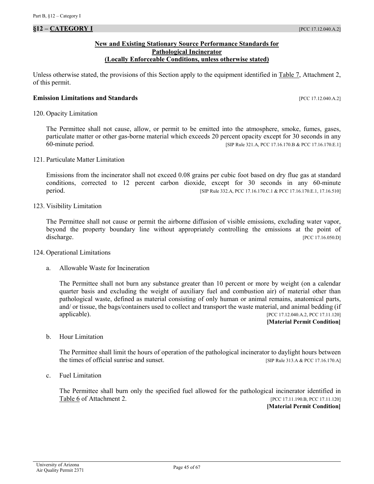<span id="page-44-0"></span>**§12 – CATEGORY I** [PCC 17.12.040.A.2]

### **New and Existing Stationary Source Performance Standards for Pathological Incinerator (Locally Enforceable Conditions, unless otherwise stated)**

Unless otherwise stated, the provisions of this Section apply to the equipment identified in Table 7, Attachment 2, of this permit.

#### **Emission Limitations and Standards Emission Limitations and Standards Executive Limitations and Standards Executive Limitations and Standards Executive Limitations and Standards**

<span id="page-44-1"></span>120. Opacity Limitation

The Permittee shall not cause, allow, or permit to be emitted into the atmosphere, smoke, fumes, gases, particulate matter or other gas-borne material which exceeds 20 percent opacity except for 30 seconds in any 60-minute period. [SIP Rule 321.A, PCC 17.16.170.B & PCC 17.16.170.E.1]

<span id="page-44-3"></span>121. Particulate Matter Limitation

Emissions from the incinerator shall not exceed 0.08 grains per cubic foot based on dry flue gas at standard conditions, corrected to 12 percent carbon dioxide, except for 30 seconds in any 60-minute period. [SIP Rule 332.A, PCC 17.16.170.C.1 & PCC 17.16.170.E.1, 17.16.510]

<span id="page-44-2"></span>123. Visibility Limitation

The Permittee shall not cause or permit the airborne diffusion of visible emissions, excluding water vapor, beyond the property boundary line without appropriately controlling the emissions at the point of discharge. [PCC 17.16.050.D]

- <span id="page-44-4"></span>124. Operational Limitations
	- a. Allowable Waste for Incineration

The Permittee shall not burn any substance greater than 10 percent or more by weight (on a calendar quarter basis and excluding the weight of auxiliary fuel and combustion air) of material other than pathological waste, defined as material consisting of only human or animal remains, anatomical parts, and/ or tissue, the bags/containers used to collect and transport the waste material, and animal bedding (if applicable). [PCC 17.12.040.A.2, PCC 17.11.120]

**[Material Permit Condition]**

<span id="page-44-5"></span>b. Hour Limitation

The Permittee shall limit the hours of operation of the pathological incinerator to daylight hours between the times of official sunrise and sunset. [SIP Rule 313.A & PCC 17.16.170.A]

<span id="page-44-6"></span>c. Fuel Limitation

The Permittee shall burn only the specified fuel allowed for the pathological incinerator identified in Table 6 [of Attachment 2.](#page-63-0) [PCC 17.11.190.B, PCC 17.11.120]

**[Material Permit Condition]**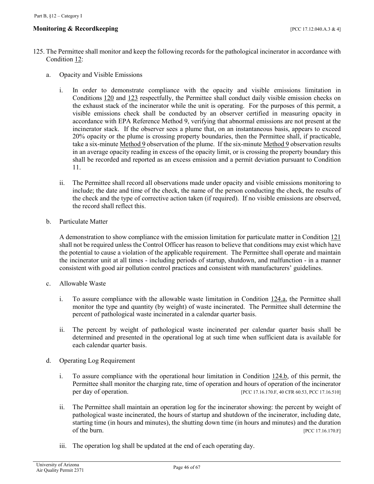- <span id="page-45-0"></span>125. The Permittee shall monitor and keep the following records for the pathological incinerator in accordance with [Condition 12:](#page-10-0)
	- a. Opacity and Visible Emissions
		- i. In order to demonstrate compliance with the opacity and visible emissions limitation in [Conditions](#page-44-1) 120 and [123](#page-44-2) respectfully, the Permittee shall conduct daily visible emission checks on the exhaust stack of the incinerator while the unit is operating. For the purposes of this permit, a visible emissions check shall be conducted by an observer certified in measuring opacity in accordance with EPA Reference Method 9, verifying that abnormal emissions are not present at the incinerator stack. If the observer sees a plume that, on an instantaneous basis, appears to exceed 20% opacity or the plume is crossing property boundaries, then the Permittee shall, if practicable, take a six-minute [Method 9](https://tinyurl.com/y9hj5m88) observation of the plume. If the six-minute [Method 9](https://tinyurl.com/y9hj5m88) observation results in an average opacity reading in excess of the opacity limit, or is crossing the property boundary this shall be recorded and reported as an excess emission and a permit deviation pursuant to Condition 11.
		- ii. The Permittee shall record all observations made under opacity and visible emissions monitoring to include; the date and time of the check, the name of the person conducting the check, the results of the check and the type of corrective action taken (if required). If no visible emissions are observed, the record shall reflect this.
	- b. Particulate Matter

A demonstration to show compliance with the emission limitation for particulate matter in [Condition 121](#page-44-3) shall not be required unless the Control Officer has reason to believe that conditions may exist which have the potential to cause a violation of the applicable requirement. The Permittee shall operate and maintain the incinerator unit at all times - including periods of startup, shutdown, and malfunction - in a manner consistent with good air pollution control practices and consistent with manufacturers' guidelines.

- c. Allowable Waste
	- i. To assure compliance with the allowable waste limitation in [Condition 124.a,](#page-44-4) the Permittee shall monitor the type and quantity (by weight) of waste incinerated. The Permittee shall determine the percent of pathological waste incinerated in a calendar quarter basis.
	- ii. The percent by weight of pathological waste incinerated per calendar quarter basis shall be determined and presented in the operational log at such time when sufficient data is available for each calendar quarter basis.
- d. Operating Log Requirement
	- i. To assure compliance with the operational hour limitation in [Condition 124.b,](#page-44-5) of this permit, the Permittee shall monitor the charging rate, time of operation and hours of operation of the incinerator per day of operation. [PCC 17.16.170.F, 40 CFR 60.53, PCC 17.16.510]
	- ii. The Permittee shall maintain an operation log for the incinerator showing: the percent by weight of pathological waste incinerated, the hours of startup and shutdown of the incinerator, including date, starting time (in hours and minutes), the shutting down time (in hours and minutes) and the duration of the burn. [PCC 17.16.170.F]
	- iii. The operation log shall be updated at the end of each operating day.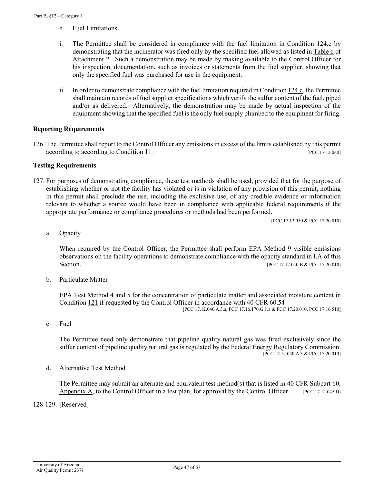- e. Fuel Limitations
- i. The Permittee shall be considered in compliance with the fuel limitation in Condition  $124.c$  by demonstrating that the incinerator was fired only by the specified fuel allowed as listed in [Table 6](#page-63-0) of [Attachment 2.](#page-63-0) Such a demonstration may be made by making available to the Control Officer for his inspection, documentation, such as invoices or statements from the fuel supplier, showing that only the specified fuel was purchased for use in the equipment.
- ii. In order to demonstrate compliance with the fuel limitation required i[n Condition 124.c,](#page-44-6) the Permittee shall maintain records of fuel supplier specifications which verify the sulfur content of the fuel, piped and/or as delivered. Alternatively, the demonstration may be made by actual inspection of the equipment showing that the specified fuel is the only fuel supply plumbed to the equipment for firing.

#### **Reporting Requirements**

126. The Permittee shall report to the Control Officer any emissions in excess of the limits established by this permit according to according to [Condition](#page-6-3) 11.

#### **Testing Requirements**

127. For purposes of demonstrating compliance, these test methods shall be used, provided that for the purpose of establishing whether or not the facility has violated or is in violation of any provision of this permit, nothing in this permit shall preclude the use, including the exclusive use, of any credible evidence or information relevant to whether a source would have been in compliance with applicable federal requirements if the appropriate performance or compliance procedures or methods had been performed.

[PCC 17.12.050 & PCC 17.20.010]

a. Opacity

When required by the Control Officer, the Permittee shall perform EPA [Method 9](https://tinyurl.com/y9hj5m88) visible emissions observations on the facility operations to demonstrate compliance with the opacity standard in I.A of this Section. [PCC 17.12.040.B & PCC 17.20.010]

b. Particulate Matter

[EPA Test Method 4 and 5](https://tinyurl.com/ychlpxtg) for the concentration of particulate matter and associated moisture content in [Condition 121](#page-44-3) if requested by the Control Officer in accordance with 40 CFR 60.54

[PCC 17.12.040.A.3.a, PCC 17.16.170.G.1.a & PCC 17.20.010, PCC 17.16.510]

c. Fuel

The Permittee need only demonstrate that pipeline quality natural gas was fired exclusively since the sulfur content of pipeline quality natural gas is regulated by the Federal Energy Regulatory Commission. [PCC 17.12.040.A.3 & PCC 17.20.010]

d. Alternative Test Method

The Permittee may submit an alternate and equivalent test method(s) that is listed in [40 CFR Subpart 60,](https://tinyurl.com/y9hj5m88) [Appendix A,](https://tinyurl.com/y9hj5m88) to the Control Officer in a test plan, for approval by the Control Officer. [PCC 17.12.045.D]

128-129. [Reserved]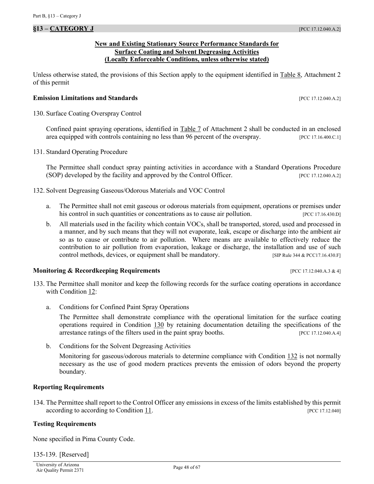### **New and Existing Stationary Source Performance Standards for Surface Coating and Solvent Degreasing Activities (Locally Enforceable Conditions, unless otherwise stated)**

<span id="page-47-0"></span>Unless otherwise stated, the provisions of this Section apply to the equipment identified in [Table 8, Attachment 2](#page-63-1) of this permit

#### **Emission Limitations and Standards Emission Limitations and Standards Executive Limitations and Standards Executive Limitations and Standards Executive Limitations and Standards**

<span id="page-47-1"></span>130. Surface Coating Overspray Control

Confined paint spraying operations, identified in Table 7 [of Attachment 2](#page-63-1) shall be conducted in an enclosed area equipped with controls containing no less than 96 percent of the overspray. [PCC 17.16.400.C.1]

131. Standard Operating Procedure

The Permittee shall conduct spray painting activities in accordance with a Standard Operations Procedure (SOP) developed by the facility and approved by the Control Officer. [PCC 17.12.040.A.2]

- <span id="page-47-2"></span>132. Solvent Degreasing Gaseous/Odorous Materials and VOC Control
	- a. The Permittee shall not emit gaseous or odorous materials from equipment, operations or premises under his control in such quantities or concentrations as to cause air pollution. [PCC 17.16.430.D]
	- b. All materials used in the facility which contain VOCs, shall be transported, stored, used and processed in a manner, and by such means that they will not evaporate, leak, escape or discharge into the ambient air so as to cause or contribute to air pollution. Where means are available to effectively reduce the contribution to air pollution from evaporation, leakage or discharge, the installation and use of such control methods, devices, or equipment shall be mandatory. **[SIP Rule 344 & PCC17.16.430.F]**

### **Monitoring & Recordkeeping Requirements and the set of the control of the CO** 17.12.040.A.3 & 4]

- <span id="page-47-3"></span>133. The Permittee shall monitor and keep the following records for the surface coating operations in accordance with [Condition 12:](#page-10-0)
	- a. Conditions for Confined Paint Spray Operations

The Permittee shall demonstrate compliance with the operational limitation for the surface coating operations required in [Condition 130](#page-47-1) by retaining documentation detailing the specifications of the arrestance ratings of the filters used in the paint spray booths. [PCC 17.12.040.A.4]

b. Conditions for the Solvent Degreasing Activities

Monitoring for gaseous/odorous materials to determine compliance with [Condition 132](#page-47-2) is not normally necessary as the use of good modern practices prevents the emission of odors beyond the property boundary.

### **Reporting Requirements**

134. The Permittee shall report to the Control Officer any emissions in excess of the limits established by this permit according to according to [Condition 11.](#page-6-3) **[PCC 17.12.040]** [PCC 17.12.040]

### **Testing Requirements**

None specified in Pima County Code.

135-139. [Reserved]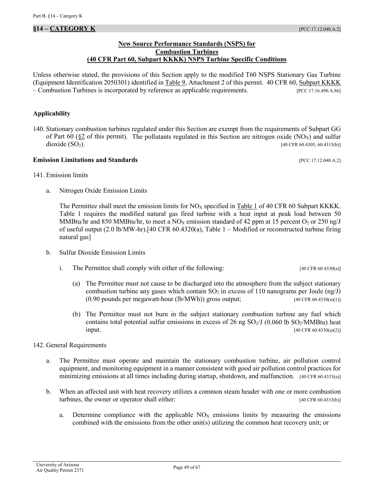### **New Source Performance Standards (NSPS) for Combustion Turbines (40 CFR Part 60, Subpart KKKK) NSPS Turbine Specific Conditions**

<span id="page-48-0"></span>Unless otherwise stated, the provisions of this Section apply to the modified T60 NSPS Stationary Gas Turbine (Equipment Identification 2050301) identified in [Table 9, Attachment 2](#page-63-2) of this permit. [40 CFR 60, Subpart KKKK](https://tinyurl.com/ybzrcf9s) – Combustion Turbines is incorporated by reference as applicable requirements. [PCC 17.16.490.A.86]

### **Applicability**

140. Stationary combustion turbines regulated under this Section are exempt from the requirements of Subpart GG of Part 60 ( $\S2$  [of this permit\)](#page-17-0). The pollutants regulated in this Section are nitrogen oxide (NO<sub>X</sub>) and sulfur dioxide  $(SO_2)$ . [40 CFR 60.4305, 60.4315(b)]

#### **Emission Limitations and Standards Emission Limitations and Standards Executive Limitations and Standards Executive Limitations and Standards Executive Limitations and Standards**

- <span id="page-48-1"></span>141. Emission limits
	- a. Nitrogen Oxide Emission Limits

The Permittee shall meet the emission limits for  $NO<sub>X</sub>$  specified in Table 1 of 40 CFR 60 Subpart KKKK. Table 1 requires the modified natural gas fired turbine with a heat input at peak load between 50 MMBtu/hr and 850 MMBtu/hr, to meet a NO<sub>X</sub> emission standard of 42 ppm at 15 percent O<sub>2</sub> or 250 ng/J of useful output (2.0 lb/MW-hr).[40 CFR 60.4320(a), Table 1 – Modified or reconstructed turbine firing natural gas]

- b. Sulfur Dioxide Emission Limits
	- i. The Permittee shall comply with either of the following: [40 CFR 60.4330(a)]
		- (a) The Permittee must not cause to be discharged into the atmosphere from the subject stationary combustion turbine any gases which contain  $SO_2$  in excess of 110 nanograms per Joule (ng/J)  $(0.90 \text{ pounds per megawatt-hour}$  (lb/MWh)) gross output; [40 CFR 60.4330(a)(1)]
		- (b) The Permittee must not burn in the subject stationary combustion turbine any fuel which contains total potential sulfur emissions in excess of 26 ng  $SO_2/J$  (0.060 lb  $SO_2/MMB$ tu) heat input. [40 CFR 60.4330(a)(2)]
- 142. General Requirements
	- a. The Permittee must operate and maintain the stationary combustion turbine, air pollution control equipment, and monitoring equipment in a manner consistent with good air pollution control practices for minimizing emissions at all times including during startup, shutdown, and malfunction. [40 CFR 60.4333(a)]
	- b. When an affected unit with heat recovery utilizes a common steam header with one or more combustion turbines, the owner or operator shall either: [40 CFR 60.4333(b)]
		- a. Determine compliance with the applicable  $NO<sub>X</sub>$  emissions limits by measuring the emissions combined with the emissions from the other unit(s) utilizing the common heat recovery unit; or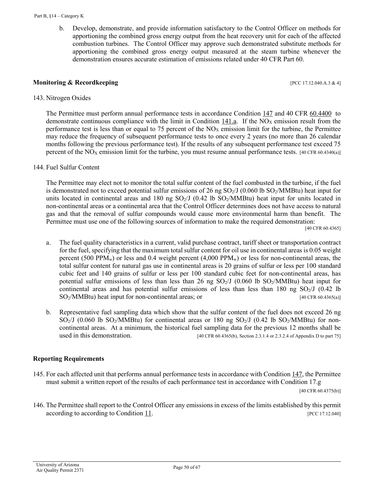b. Develop, demonstrate, and provide information satisfactory to the Control Officer on methods for apportioning the combined gross energy output from the heat recovery unit for each of the affected combustion turbines. The Control Officer may approve such demonstrated substitute methods for apportioning the combined gross energy output measured at the steam turbine whenever the demonstration ensures accurate estimation of emissions related under 40 CFR Part 60.

### **Monitoring & Recordkeeping contract the contract of the contract of the contract of the contract of the contract of the contract of the contract of the contract of the contract of the contract of the contract of the con**

<span id="page-49-0"></span>143. Nitrogen Oxides

The Permittee must perform annual performance tests in accordance [Condition 147](#page-50-0) and [40 CFR 60.4400](https://tinyurl.com/ycuyrg6s) to demonstrate continuous compliance with the limit in [Condition 141.a.](#page-48-1) If the  $NO<sub>X</sub>$  emission result from the performance test is less than or equal to 75 percent of the  $NO<sub>X</sub>$  emission limit for the turbine, the Permittee may reduce the frequency of subsequent performance tests to once every 2 years (no more than 26 calendar months following the previous performance test). If the results of any subsequent performance test exceed 75 percent of the  $NO<sub>X</sub>$  emission limit for the turbine, you must resume annual performance tests. [40 CFR 60.4340(a)]

144. Fuel Sulfur Content

The Permittee may elect not to monitor the total sulfur content of the fuel combusted in the turbine, if the fuel is demonstrated not to exceed potential sulfur emissions of 26 ng  $SO<sub>2</sub>/J$  (0.060 lb  $SO<sub>2</sub>/MMB$ tu) heat input for units located in continental areas and 180 ng  $SO_2/J$  (0.42 lb  $SO_2/MMB$ tu) heat input for units located in non-continental areas or a continental area that the Control Officer determines does not have access to natural gas and that the removal of sulfur compounds would cause more environmental harm than benefit. The Permittee must use one of the following sources of information to make the required demonstration:

[40 CFR 60.4365]

- a. The fuel quality characteristics in a current, valid purchase contract, tariff sheet or transportation contract for the fuel, specifying that the maximum total sulfur content for oil use in continental areas is 0.05 weight percent (500 PPM<sub>w</sub>) or less and 0.4 weight percent (4,000 PPM<sub>w</sub>) or less for non-continental areas, the total sulfur content for natural gas use in continental areas is 20 grains of sulfur or less per 100 standard cubic feet and 140 grains of sulfur or less per 100 standard cubic feet for non-continental areas, has potential sulfur emissions of less than less than 26 ng  $SO_2/J$  (0.060 lb  $SO_2/MMB$ tu) heat input for continental areas and has potential sulfur emissions of less than less than 180 ng  $SO<sub>2</sub>/J$  (0.42 lb) SO<sub>2</sub>/MMBtu) heat input for non-continental areas; or [40 CFR 60.4365(a)]
- b. Representative fuel sampling data which show that the sulfur content of the fuel does not exceed 26 ng  $SO<sub>2</sub>/J$  (0.060 lb SO<sub>2</sub>/MMBtu) for continental areas or 180 ng SO<sub>2</sub>/J (0.42 lb SO<sub>2</sub>/MMBtu) for noncontinental areas. At a minimum, the historical fuel sampling data for the previous 12 months shall be used in this demonstration. [40 CFR 60.4365(b), Section 2.3.1.4 or 2.3.2.4 of Appendix D to part 75]

### **Reporting Requirements**

<span id="page-49-1"></span>145. For each affected unit that performs annual performance tests in accordance wit[h Condition 147,](#page-50-0) the Permittee must submit a written report of the results of each performance test in accordance with Condition 17.g

[40 CFR 60.4375(b)]

146. The Permittee shall report to the Control Officer any emissions in excess of the limits established by this permit according to according to [Condition 11.](#page-6-3)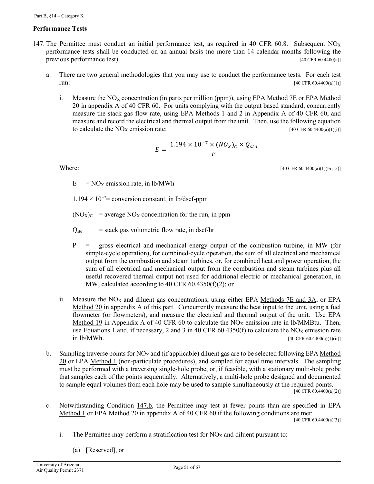# **Performance Tests**

- <span id="page-50-0"></span>147. The Permittee must conduct an initial performance test, as required in 40 CFR 60.8. Subsequent  $NO<sub>X</sub>$ performance tests shall be conducted on an annual basis (no more than 14 calendar months following the previous performance test). [40 CFR 60.4400(a)]
	- a. There are two general methodologies that you may use to conduct the performance tests. For each test **run:**  $[40 \text{ CFR } 60.4400(a)(1)]$ 
		- i. Measure the  $NO<sub>X</sub>$  concentration (in parts per million (ppm)), using EPA Method 7E or EPA Method 20 in appendix A of 40 CFR 60. For units complying with the output based standard, concurrently measure the stack gas flow rate, using EPA Methods 1 and 2 in Appendix A of 40 CFR 60, and measure and record the electrical and thermal output from the unit. Then, use the following equation to calculate the  $NO<sub>X</sub>$  emission rate:  $[40 \text{ CFR } 60.4400(a)(1)(i)]$

$$
E = \frac{1.194 \times 10^{-7} \times (NO_X)_C \times Q_{std}}{P}
$$

Where: [40 CFR 60.4400(a)(1)(Eq. 5)]

 $E = NO<sub>X</sub>$  emission rate, in lb/MWh

 $1.194 \times 10^{-7}$  = conversion constant, in lb/dscf-ppm

 $(NO_X)_C$  = average NO<sub>X</sub> concentration for the run, in ppm

 $Q_{std}$  = stack gas volumetric flow rate, in dscf/hr

- P = gross electrical and mechanical energy output of the combustion turbine, in MW (for simple-cycle operation), for combined-cycle operation, the sum of all electrical and mechanical output from the combustion and steam turbines, or, for combined heat and power operation, the sum of all electrical and mechanical output from the combustion and steam turbines plus all useful recovered thermal output not used for additional electric or mechanical generation, in MW, calculated according to 40 CFR 60.4350(f)(2); or
- ii. Measure the  $NO<sub>X</sub>$  and diluent gas concentrations, using either [EPA Methods 7E and 3A,](https://tinyurl.com/y8dvby4k) or EPA [Method 20](https://tinyurl.com/y8dvby4k) in appendix A of this part. Concurrently measure the heat input to the unit, using a fuel flowmeter (or flowmeters), and measure the electrical and thermal output of the unit. Use EPA [Method 19](https://tinyurl.com/y8dvby4k) in Appendix A of 40 CFR 60 to calculate the  $NO<sub>X</sub>$  emission rate in lb/MMBtu. Then, use Equations 1 and, if necessary, 2 and 3 in 40 CFR 60.4350(f) to calculate the NO<sub>X</sub> emission rate  $\text{in } \mathbb{I}$  lb/MWh. [40 CFR 60.4400(a)(1)(ii)]
- <span id="page-50-1"></span>b. Sampling traverse points for  $NO<sub>X</sub>$  and (if applicable) diluent gas are to be selected following EPA Method [20](https://tinyurl.com/y8dvby4k) or EPA [Method 1](https://tinyurl.com/y8dvby4k) (non-particulate procedures), and sampled for equal time intervals. The sampling must be performed with a traversing single-hole probe, or, if feasible, with a stationary multi-hole probe that samples each of the points sequentially. Alternatively, a multi-hole probe designed and documented to sample equal volumes from each hole may be used to sample simultaneously at the required points.  $[40 \text{ CFR } 60.4400(a)(2)]$
- c. Notwithstanding [Condition 147.b,](#page-50-1) the Permittee may test at fewer points than are specified in EPA [Method 1](https://tinyurl.com/y8dvby4k) or EPA Method 20 in appendix A of 40 CFR 60 if the following conditions are met:

 $[40 \text{ CFR } 60.4400(a)(3)]$ 

- i. The Permittee may perform a stratification test for  $NO<sub>X</sub>$  and diluent pursuant to:
	- (a) [Reserved], or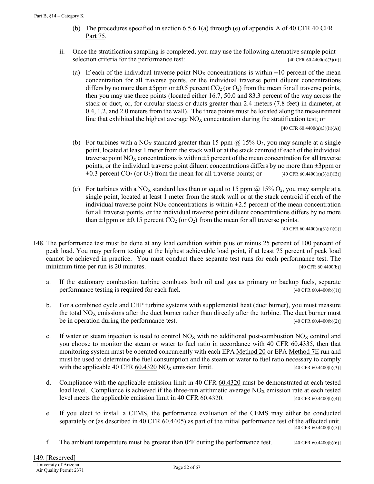- (b) The procedures specified in section  $6.5.6.1(a)$  through (e) of appendix A of [40 CFR](https://tinyurl.com/y8zp36n5) 40 CFR [Part 75.](https://tinyurl.com/y8zp36n5)
- ii. Once the stratification sampling is completed, you may use the following alternative sample point selection criteria for the performance test:  $[40 \text{ CFR } 60.4400(a)(3)(ii)]$ 
	- (a) If each of the individual traverse point  $NO<sub>X</sub>$  concentrations is within  $\pm 10$  percent of the mean concentration for all traverse points, or the individual traverse point diluent concentrations differs by no more than  $\pm 5$ ppm or  $\pm 0.5$  percent CO<sub>2</sub> (or O<sub>2</sub>) from the mean for all traverse points, then you may use three points (located either 16.7, 50.0 and 83.3 percent of the way across the stack or duct, or, for circular stacks or ducts greater than 2.4 meters (7.8 feet) in diameter, at 0.4, 1.2, and 2.0 meters from the wall). The three points must be located along the measurement line that exhibited the highest average  $NO<sub>X</sub>$  concentration during the stratification test; or

[40 CFR 60.4400(a)(3)(ii)(A)]

- (b) For turbines with a NO<sub>X</sub> standard greater than 15 ppm @ 15% O<sub>2</sub>, you may sample at a single point, located at least 1 meter from the stack wall or at the stack centroid if each of the individual traverse point  $NO<sub>X</sub>$  concentrations is within  $\pm 5$  percent of the mean concentration for all traverse points, or the individual traverse point diluent concentrations differs by no more than ±3ppm or  $\pm 0.3$  percent CO<sub>2</sub> (or O<sub>2</sub>) from the mean for all traverse points; or [40 CFR 60.4400(a)(3)(ii)(B)]
- (c) For turbines with a NO<sub>X</sub> standard less than or equal to 15 ppm  $\omega$  15% O<sub>2</sub>, you may sample at a single point, located at least 1 meter from the stack wall or at the stack centroid if each of the individual traverse point  $NO<sub>X</sub>$  concentrations is within  $\pm 2.5$  percent of the mean concentration for all traverse points, or the individual traverse point diluent concentrations differs by no more than  $\pm 1$ ppm or  $\pm 0.15$  percent CO<sub>2</sub> (or O<sub>2</sub>) from the mean for all traverse points.

[40 CFR 60.4400(a)(3)(ii)(C)]

- 148. The performance test must be done at any load condition within plus or minus 25 percent of 100 percent of peak load. You may perform testing at the highest achievable load point, if at least 75 percent of peak load cannot be achieved in practice. You must conduct three separate test runs for each performance test. The minimum time per run is 20 minutes. [40 CFR 60.4400(b)]
	- a. If the stationary combustion turbine combusts both oil and gas as primary or backup fuels, separate performance testing is required for each fuel. [40 CFR 60.4400(b)(1)]
	- b. For a combined cycle and CHP turbine systems with supplemental heat (duct burner), you must measure the total  $NO<sub>X</sub>$  emissions after the duct burner rather than directly after the turbine. The duct burner must be in operation during the performance test. [40 CFR 60.4400(b)(2)]
	- c. If water or steam injection is used to control  $NO<sub>X</sub>$  with no additional post-combustion  $NO<sub>X</sub>$  control and you choose to monitor the steam or water to fuel ratio in accordance with 40 CFR [60.4335,](https://tinyurl.com/ybccfxv7) then that monitoring system must be operated concurrently with each EPA [Method 20](https://tinyurl.com/y8dvby4k) or EPA [Method 7E](https://tinyurl.com/y8dvby4k) run and must be used to determine the fuel consumption and the steam or water to fuel ratio necessary to comply with the applicable 40 CFR [60.4320](https://tinyurl.com/y6uajkmd)  $NO<sub>X</sub>$  emission limit. [40 CFR 60.4400(b)(3)]
	- d. Compliance with the applicable emission limit in 40 CFR [60.4320](https://tinyurl.com/y6uajkmd) must be demonstrated at each tested load level. Compliance is achieved if the three-run arithmetic average  $NO<sub>X</sub>$  emission rate at each tested level meets the applicable emission limit in 40 CFR  $\underline{60.4320}$ . [40 CFR 60.4400(b)(4)]
	- e. If you elect to install a CEMS, the performance evaluation of the CEMS may either be conducted separately or (as described in 40 CFR 60[.4405\)](https://tinyurl.com/y846yevo) as part of the initial performance test of the affected unit. [40 CFR 60.4400(b)(5)]
	- f. The ambient temperature must be greater than  $0^{\circ}$ F during the performance test. [40 CFR 60.4400(b)(6)]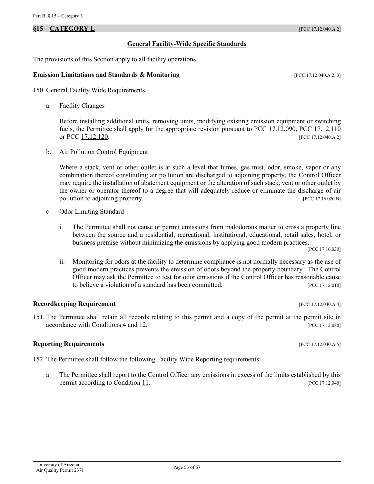## <span id="page-52-0"></span>**§15 – CATEGORY L** [PCC 17.12.040.A.2]

#### **General Facility-Wide Specific Standards**

The provisions of this Section apply to all facility operations.

#### **Emission Limitations and Standards & Monitoring [PCC 17.12.040.A.2, 3]**

<span id="page-52-2"></span>150. General Facility Wide Requirements

a. Facility Changes

Before installing additional units, removing units, modifying existing emission equipment or switching fuels, the Permittee shall apply for the appropriate revision pursuant to [PCC 17.12.090,](https://tinyurl.com/y9hxenn2) [PCC 17.12.110](https://tinyurl.com/ydyzvxru) or [PCC 17.12.120.](https://tinyurl.com/y863hv9e) [PCC 17.12.040.A.2]

b. Air Pollution Control Equipment

Where a stack, vent or other outlet is at such a level that fumes, gas mist, odor, smoke, vapor or any combination thereof constituting air pollution are discharged to adjoining property, the Control Officer may require the installation of abatement equipment or the alteration of such stack, vent or other outlet by the owner or operator thereof to a degree that will adequately reduce or eliminate the discharge of air pollution to adjoining property. [PCC 17.16.020.B]

- c. Odor Limiting Standard
	- i. The Permittee shall not cause or permit emissions from malodorous matter to cross a property line between the source and a residential, recreational, institutional, educational, retail sales, hotel, or business premise without minimizing the emissions by applying good modern practices.

[PCC 17.16.030]

ii. Monitoring for odors at the facility to determine compliance is not normally necessary as the use of good modern practices prevents the emission of odors beyond the property boundary. The Control Officer may ask the Permittee to test for odor emissions if the Control Officer has reasonable cause to believe a violation of a standard has been committed. [PCC 17.12.010]

### **Recordkeeping Requirement Exercise 2.2 In the UPCC 17.12.040.A.4]**

151. The Permittee shall retain all records relating to this permit and a copy of the permit at the permit site in  $\alpha$  accordance with Conditions  $\frac{4}{2}$  and  $\frac{12}{2}$ . [PCC 17.12.080]

#### <span id="page-52-1"></span>**Reporting Requirements** *PCC 17.12.040.A.5*

<span id="page-52-3"></span>152. The Permittee shall follow the following Facility Wide Reporting requirements:

a. The Permittee shall report to the Control Officer any emissions in excess of the limits established by this permit according to [Condition 11.](#page-6-3) [PCC 17.12.040]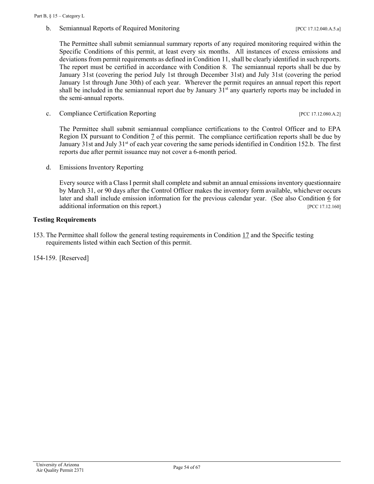b. Semiannual Reports of Required Monitoring [PCC 17.12.040.A.5.a]

The Permittee shall submit semiannual summary reports of any required monitoring required within the Specific Conditions of this permit, at least every six months. All instances of excess emissions and deviations from permit requirements as defined i[n Condition 11,](#page-6-3) shall be clearly identified in such reports. The report must be certified in accordance with [Condition 8.](#page-6-0) The semiannual reports shall be due by January 31st (covering the period July 1st through December 31st) and July 31st (covering the period January 1st through June 30th) of each year. Wherever the permit requires an annual report this report shall be included in the semiannual report due by January 31<sup>st</sup> any quarterly reports may be included in the semi-annual reports.

<span id="page-53-0"></span>c. Compliance Certification Reporting [PCC 17.12.080.A.2]

The Permittee shall submit semiannual compliance certifications to the Control Officer and to EPA Region IX pursuant to [Condition 7](#page-5-3) of this permit. The compliance certification reports shall be due by January 31st and July 31<sup>st</sup> of each year covering the same periods identified in Condition 152.b. The first reports due after permit issuance may not cover a 6-month period.

d. Emissions Inventory Reporting

Every source with a Class I permit shall complete and submit an annual emissions inventory questionnaire by March 31, or 90 days after the Control Officer makes the inventory form available, whichever occurs later and shall include emission information for the previous calendar year. (See also Condition  $6$  for additional information on this report.) [PCC 17.12.160]

### **Testing Requirements**

153. The Permittee shall follow the general testing requirements in [Condition 17](#page-12-0) and the Specific testing requirements listed within each Section of this permit.

154-159. [Reserved]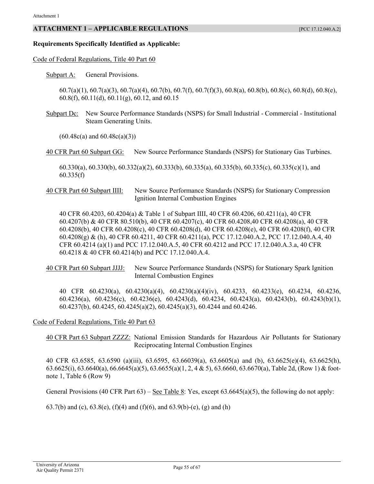### <span id="page-54-0"></span>**ATTACHMENT 1 – APPLICABLE REGULATIONS** [PCC 17.12.040.A.2]

#### **Requirements Specifically Identified as Applicable:**

#### [Code of Federal Regulations, Title 40](https://tinyurl.com/40-CFR-60-INCL) Part 60

[Subpart A:](https://tinyurl.com/40-CFR-60-subpart-A) General Provisions.

60.7(a)(1), 60.7(a)(3), 60.7(a)(4), 60.7(b), 60.7(f), 60.7(f)(3), 60.8(a), 60.8(b), 60.8(c), 60.8(d), 60.8(e), 60.8(f), 60.11(d), 60.11(g), 60.12, and 60.15

[Subpart Dc:](https://tinyurl.com/y7xzlt94) New Source Performance Standards (NSPS) for Small Industrial - Commercial - Institutional Steam Generating Units.

 $(60.48c(a)$  and  $60.48c(a)(3))$ 

[40 CFR Part 60 Subpart GG:](https://tinyurl.com/ya7f6ajl) New Source Performance Standards (NSPS) for Stationary Gas Turbines.

60.330(a), 60.330(b), 60.332(a)(2), 60.333(b), 60.335(a), 60.335(b), 60.335(c), 60.335(c)(1), and 60.335(f)

[40 CFR Part 60 Subpart IIII:](https://tinyurl.com/yd4lv9es) New Source Performance Standards (NSPS) for Stationary Compression Ignition Internal Combustion Engines

40 CFR 60.4203, 60.4204(a) & Table 1 of Subpart IIII, 40 CFR 60.4206, 60.4211(a), 40 CFR 60.4207(b) & 40 CFR 80.510(b), 40 CFR 60.4207(c), 40 CFR 60.4208,40 CFR 60.4208(a), 40 CFR 60.4208(b), 40 CFR 60.4208(c), 40 CFR 60.4208(d), 40 CFR 60.4208(e), 40 CFR 60.4208(f), 40 CFR 60.4208(g) & (h), 40 CFR 60.4211, 40 CFR 60.4211(a), PCC 17.12.040.A.2, PCC 17.12.040.A.4, 40 CFR 60.4214 (a)(1) and PCC 17.12.040.A.5, 40 CFR 60.4212 and PCC 17.12.040.A.3.a, 40 CFR 60.4218 & 40 CFR 60.4214(b) and PCC 17.12.040.A.4.

[40 CFR Part 60 Subpart JJJJ:](https://tinyurl.com/yc4x66ry) New Source Performance Standards (NSPS) for Stationary Spark Ignition Internal Combustion Engines

40 CFR 60.4230(a), 60.4230(a)(4), 60.4230(a)(4)(iv), 60.4233, 60.4233(e), 60.4234, 60.4236, 60.4236(a), 60.4236(c), 60.4236(e), 60.4243(d), 60.4234, 60.4243(a), 60.4243(b), 60.4243(b)(1), 60.4237(b), 60.4245, 60.4245(a)(2), 60.4245(a)(3), 60.4244 and 60.4246.

[Code of Federal Regulations, Title 40 Part 63](https://tinyurl.com/y95oy6ml)

[40 CFR Part 63 Subpart ZZZZ:](https://tinyurl.com/ycprbrb7) National Emission Standards for Hazardous Air Pollutants for Stationary Reciprocating Internal Combustion Engines

40 CFR 63.6585, 63.6590 (a)(iii), 63.6595, 63.66039(a), 63.6605(a) and (b), 63.6625(e)(4), 63.6625(h), 63.6625(i), 63.6640(a), 66.6645(a)(5), 63.6655(a)(1, 2, 4 & 5), 63.6660, 63.6670(a), Table 2d, (Row 1) & footnote 1, Table 6 (Row 9)

General Provisions (40 CFR Part  $63$ ) – [See Table 8:](http://tinyurl.com/40-CFR-63-subartzzzz-table8) Yes, except  $63.6645(a)(5)$ , the following do not apply:

63.7(b) and (c), 63.8(e), (f)(4) and (f)(6), and 63.9(b)-(e), (g) and (h)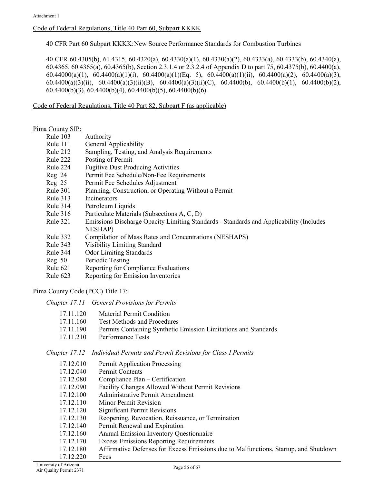# [Code of Federal Regulations, Title 40 Part 60, Subpart KKKK](https://tinyurl.com/ybzrcf9s)

40 CFR Part 60 Subpart KKKK:New Source Performance Standards for Combustion Turbines

40 CFR 60.4305(b), 61.4315, 60.4320(a), 60.4330(a)(1), 60.4330(a)(2), 60.4333(a), 60.4333(b), 60.4340(a), 60.4365, 60.4365(a), 60.4365(b), Section 2.3.1.4 or 2.3.2.4 of Appendix D to part 75, 60.4375(b), 60.4400(a), 60.44000(a)(1), 60.4400(a)(1)(i), 60.4400(a)(1)(Eq. 5), 60.4400(a)(1)(ii), 60.4400(a)(2), 60.4400(a)(3), 60.4400(a)(3)(ii), 60.4400(a)(3)(ii)(B), 60.4400(a)(3)(ii)(C), 60.4400(b), 60.4400(b)(1), 60.4400(b)(2), 60.4400(b)(3), 60.4400(b)(4), 60.4400(b)(5), 60.4400(b)(6).

Code of Federal Regulations, Title 40 Part 82, Subpart F (as applicable)

#### [Pima County SIP:](https://tinyurl.com/ya2sekc2)

- Rule 103 Authority
- Rule 111 General Applicability
- Rule 212 Sampling, Testing, and Analysis Requirements
- Rule 222 Posting of Permit
- Rule 224 Fugitive Dust Producing Activities
- Reg 24 Permit Fee Schedule/Non-Fee Requirements
- Reg 25 Permit Fee Schedules Adjustment
- Rule 301 Planning, Construction, or Operating Without a Permit
- Rule 313 Incinerators
- Rule 314 Petroleum Liquids
- Rule 316 Particulate Materials (Subsections A, C, D)
- Rule 321 Emissions Discharge Opacity Limiting Standards Standards and Applicability (Includes NESHAP)
- Rule 332 Compilation of Mass Rates and Concentrations (NESHAPS)
- Rule 343 Visibility Limiting Standard
- Rule 344 Odor Limiting Standards
- Reg 50 Periodic Testing
- Rule 621 Reporting for Compliance Evaluations
- Rule 623 Reporting for Emission Inventories

### Pima County Code (PCC) Title 17:

*Chapter 17.11 – General Provisions for Permits*

- 17.11.160 Test Methods and Procedures
- 17.11.190 Permits Containing Synthetic Emission Limitations and Standards
- 17.11.210 Performance Tests

*Chapter 17.12 – Individual Permits and Permit Revisions for Class I Permits*

| 17.12.010 | Permit Application Processing                                                        |
|-----------|--------------------------------------------------------------------------------------|
| 17.12.040 | Permit Contents                                                                      |
| 17.12.080 | Compliance Plan – Certification                                                      |
| 17.12.090 | Facility Changes Allowed Without Permit Revisions                                    |
| 17.12.100 | Administrative Permit Amendment                                                      |
| 17.12.110 | Minor Permit Revision                                                                |
| 17.12.120 | <b>Significant Permit Revisions</b>                                                  |
| 17.12.130 | Reopening, Revocation, Reissuance, or Termination                                    |
| 17.12.140 | Permit Renewal and Expiration                                                        |
| 17.12.160 | <b>Annual Emission Inventory Questionnaire</b>                                       |
| 17.12.170 | <b>Excess Emissions Reporting Requirements</b>                                       |
| 17.12.180 | Affirmative Defenses for Excess Emissions due to Malfunctions, Startup, and Shutdown |
| 17.12.220 | Fees                                                                                 |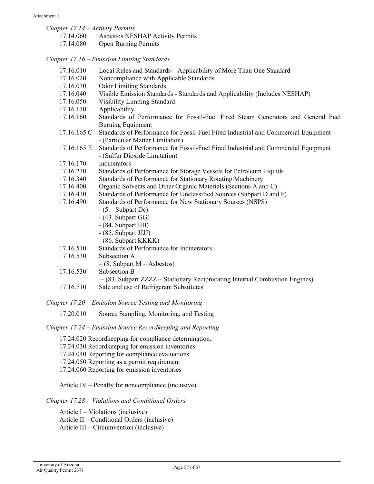| ment 1                           |                                                                                                                        |
|----------------------------------|------------------------------------------------------------------------------------------------------------------------|
| Chapter 17.14 – Activity Permits |                                                                                                                        |
| 17.14.060                        | <b>Asbestos NESHAP Activity Permits</b>                                                                                |
| 17.14.080                        | <b>Open Burning Permits</b>                                                                                            |
|                                  | Chapter 17.16 – Emission Limiting Standards                                                                            |
| 17.16.010                        | Local Rules and Standards - Applicability of More Than One Standard                                                    |
| 17.16.020                        | Noncompliance with Applicable Standards                                                                                |
| 17.16.030                        | <b>Odor Limiting Standards</b>                                                                                         |
| 17.16.040                        | Visible Emission Standards - Standards and Applicability (Includes NESHAP)                                             |
| 17.16.050                        | <b>Visibility Limiting Standard</b>                                                                                    |
| 17.16.130                        | Applicability                                                                                                          |
| 17.16.160                        | Standards of Performance for Fossil-Fuel Fired Steam Generators and General Fuel<br><b>Burning Equipment</b>           |
| 17.16.165.C                      | Standards of Performance for Fossil-Fuel Fired Industrial and Commercial Equipment<br>- (Particular Matter Limitation) |
| 17.16.165.E                      | Standards of Performance for Fossil-Fuel Fired Industrial and Commercial Equipment<br>- (Sulfur Dioxide Limitation)    |
| 17.16.170                        | Incinerators                                                                                                           |
| 17.16.230                        | Standards of Performance for Storage Vessels for Petroleum Liquids                                                     |
| 17.16.340                        | Standards of Performance for Stationary Rotating Machinery                                                             |
| 17.16.400                        | Organic Solvents and Other Organic Materials (Sections A and C)                                                        |
| 17.16.430                        | Standards of Performance for Unclassified Sources (Subpart D and F)                                                    |
| 17.16.490                        | Standards of Performance for New Stationary Sources (NSPS)                                                             |
|                                  | $-$ (5. Subpart Dc)                                                                                                    |
|                                  | $-$ (43. Subpart GG)                                                                                                   |
|                                  | - (84. Subpart IIII)                                                                                                   |
|                                  | - (85. Subpart JJJJ)                                                                                                   |
|                                  | - (86. Subpart KKKK)                                                                                                   |
| 17.16.510                        | Standards of Performance for Incinerators                                                                              |
| 17.16.530                        | Subsection A                                                                                                           |
|                                  | $-(8.$ Subpart M – Asbestos)                                                                                           |
| 17.16.530                        | Subsection B                                                                                                           |
|                                  | $-(83.$ Subpart ZZZZ – Stationary Reciprocating Internal Combustion Engines)                                           |
| 17.16.710                        | Sale and use of Refrigerant Substitutes                                                                                |
|                                  |                                                                                                                        |

*Chapter 17.20 – Emission Source Testing and Monitoring*

17.20.010 Source Sampling, Monitoring, and Testing

*Chapter 17.24 – Emission Source Recordkeeping and Reporting*

17.24.020 Recordkeeping for compliance determination.

17.24.030 Recordkeeping for emission inventories

17.24.040 Reporting for compliance evaluations

17.24.050 Reporting as a permit requirement

17.24.060 Reporting for emission inventories

Article IV – Penalty for noncompliance (inclusive)

*Chapter 17.28 – Violations and Conditional Orders* 

Article  $I - Violations (inclusive)$ Article II – Conditional Orders (inclusive) Article III – Circumvention (inclusive)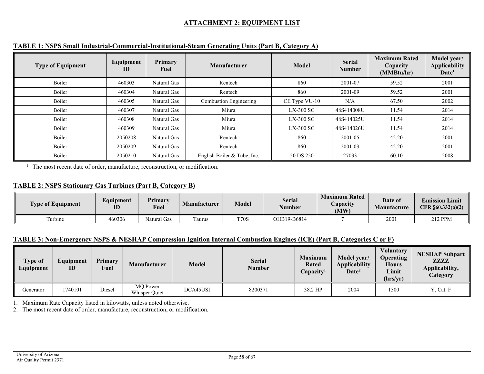# **ATTACHMENT 2: EQUIPMENT LIST**

| <b>Type of Equipment</b> | Equipment<br>ID | Primary<br>Fuel | <b>Manufacturer</b>           | Model         | <b>Serial</b><br><b>Number</b> | <b>Maximum Rated</b><br>Capacity<br>(MMBtu/hr) | Model year/<br><b>Applicability</b><br>Date <sup>1</sup> |
|--------------------------|-----------------|-----------------|-------------------------------|---------------|--------------------------------|------------------------------------------------|----------------------------------------------------------|
| Boiler                   | 460303          | Natural Gas     | Rentech                       | 860           | 2001-07                        | 59.52                                          | 2001                                                     |
| Boiler                   | 460304          | Natural Gas     | Rentech                       | 860           | 2001-09                        | 59.52                                          | 2001                                                     |
| Boiler                   | 460305          | Natural Gas     | <b>Combustion Engineering</b> | CE Type VU-10 | N/A                            | 67.50                                          | 2002                                                     |
| Boiler                   | 460307          | Natural Gas     | Miura                         | $LX-300$ SG   | 48S414008U                     | 11.54                                          | 2014                                                     |
| Boiler                   | 460308          | Natural Gas     | Miura                         | $LX-300$ SG   | 48S414025U                     | 11.54                                          | 2014                                                     |
| Boiler                   | 460309          | Natural Gas     | Miura                         | $LX-300$ SG   | 48S414026U                     | 11.54                                          | 2014                                                     |
| Boiler                   | 2050208         | Natural Gas     | Rentech                       | 860           | 2001-05                        | 42.20                                          | 2001                                                     |
| Boiler                   | 2050209         | Natural Gas     | Rentech                       | 860           | 2001-03                        | 42.20                                          | 2001                                                     |
| Boiler                   | 2050210         | Natural Gas     | English Boiler & Tube, Inc.   | 50 DS 250     | 27033                          | 60.10                                          | 2008                                                     |

# **TABLE 1: NSPS Small Industrial-Commercial-Institutional-Steam Generating Units (Part B, Category A)**

<span id="page-57-1"></span><span id="page-57-0"></span><sup>1</sup> The most recent date of order, manufacture, reconstruction, or modification.

# **TABLE 2: NSPS Stationary Gas Turbines (Part B, Category B)**

| <b>Type of Equipment</b> | Equipment<br>ID | Primary<br>Fuel | Manufacturer | <b>Model</b> | <b>Serial</b><br>Number | <b>Maximum Rated</b><br>Capacity<br>(MW) | Date of<br><b>Manufacture</b> | <b>Emission Limit</b><br>CFR $\S 60.332(a)(2)$ |
|--------------------------|-----------------|-----------------|--------------|--------------|-------------------------|------------------------------------------|-------------------------------|------------------------------------------------|
| Turbine                  | 460306          | Natural Gas     | aurus        | <b>T70S</b>  | OHB19-B6814             |                                          | 2001                          | 212 PPM                                        |

# **TABLE 3: Non-Emergency NSPS & NESHAP Compression Ignition Internal Combustion Engines (ICE) (Part B, Categories C or F)**

| Type of<br>Equipment | Equipment<br>ID | Primary<br>Fuel | <b>Manufacturer</b>              | <b>Model</b> | <b>Serial</b><br>Number | <b>Maximum</b><br><b>Rated</b><br>Capacity <sup>1</sup> | Model year/<br><b>Applicability</b><br>$\bf{Date}^2$ | <b>Voluntary</b><br><b>Operating</b><br><b>Hours</b><br>Limit<br>(hrs/yr) | <b>NESHAP Subpart</b><br><b>ZZZZ</b><br>Applicability,<br>Category |
|----------------------|-----------------|-----------------|----------------------------------|--------------|-------------------------|---------------------------------------------------------|------------------------------------------------------|---------------------------------------------------------------------------|--------------------------------------------------------------------|
| Generator            | 740101          | Diesel          | <b>MO</b> Power<br>Whisper Quiet | DCA45USI     | 8200371                 | 38.2 HP                                                 | 2004                                                 | 1500                                                                      | Y, Cat. F                                                          |

<span id="page-57-3"></span><span id="page-57-2"></span>1. Maximum Rate Capacity listed in kilowatts, unless noted otherwise.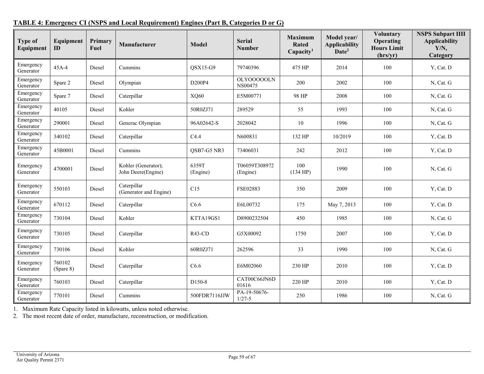<span id="page-58-0"></span>

| <b>Type of</b><br>Equipment | Equipment<br>ID     | Primary<br>Fuel | Manufacturer                              | <b>Model</b>      | <b>Serial</b><br><b>Number</b> | <b>Maximum</b><br><b>Rated</b><br>Capacity <sup>1</sup> | Model year/<br><b>Applicability</b><br>Date <sup>2</sup> | <b>Voluntary</b><br>Operating<br><b>Hours Limit</b><br>(hrs/yr) | <b>NSPS Subpart IIII</b><br><b>Applicability</b><br>Y/N,<br>Category |
|-----------------------------|---------------------|-----------------|-------------------------------------------|-------------------|--------------------------------|---------------------------------------------------------|----------------------------------------------------------|-----------------------------------------------------------------|----------------------------------------------------------------------|
| Emergency<br>Generator      | $45A-4$             | Diesel          | Cummins                                   | $OSX15-G9$        | 79740396                       | 475 HP                                                  | 2014                                                     | 100                                                             | Y, Cat. D                                                            |
| Emergency<br>Generator      | Spare 2             | Diesel          | Olympian                                  | D200P4            | OLY00000LN<br>NS00475          | 200                                                     | 2002                                                     | 100                                                             | N, Cat. G                                                            |
| Emergency<br>Generator      | Spare 7             | Diesel          | Caterpillar                               | XQ60              | E5M00771                       | 98 HP                                                   | 2008                                                     | 100                                                             | N, Cat. G                                                            |
| Emergency<br>Generator      | 40105               | Diesel          | Kohler                                    | 50R0ZJ71          | 289529                         | 55                                                      | 1993                                                     | 100                                                             | N, Cat. G                                                            |
| Emergency<br>Generator      | 290001              | Diesel          | Generac Olympian                          | 96A02642-S        | 2028042                        | 10                                                      | 1996                                                     | 100                                                             | N, Cat. G                                                            |
| Emergency<br>Generator      | 340102              | Diesel          | Caterpillar                               | C4.4              | N600831                        | 132 HP                                                  | 10/2019                                                  | 100                                                             | Y, Cat. D                                                            |
| Emergency<br>Generator      | 45B0001             | Diesel          | Cummins                                   | QSB7-G5 NR3       | 73406031                       | 242                                                     | 2012                                                     | 100                                                             | Y, Cat. D                                                            |
| Emergency<br>Generator      | 4700001             | Diesel          | Kohler (Generator);<br>John Deere(Engine) | 6359T<br>(Engine) | T06059T308972<br>(Engine)      | 100<br>(134 HP)                                         | 1990                                                     | 100                                                             | N, Cat. G                                                            |
| Emergency<br>Generator      | 550103              | Diesel          | Caterpillar<br>(Generator and Engine)     | C15               | FSE02883                       | 350                                                     | 2009                                                     | 100                                                             | Y, Cat. D                                                            |
| Emergency<br>Generator      | 670112              | Diesel          | Caterpillar                               | C6.6              | E6L00732                       | 175                                                     | May 7, 2013                                              | 100                                                             | Y, Cat. D                                                            |
| Emergency<br>Generator      | 730104              | Diesel          | Kohler                                    | KTTA19GS1         | D8900232504                    | 450                                                     | 1985                                                     | 100                                                             | N, Cat. G                                                            |
| Emergency<br>Generator      | 730105              | Diesel          | Caterpillar                               | $R43$ -CD         | G5X00092                       | 1750                                                    | 2007                                                     | 100                                                             | Y, Cat. D                                                            |
| Emergency<br>Generator      | 730106              | Diesel          | Kohler                                    | 60R0ZJ71          | 262596                         | 33                                                      | 1990                                                     | 100                                                             | N, Cat. G                                                            |
| Emergency<br>Generator      | 760102<br>(Spare 8) | Diesel          | Caterpillar                               | C6.6              | E6M02060                       | 230 HP                                                  | 2010                                                     | 100                                                             | Y, Cat. D                                                            |
| Emergency<br>Generator      | 760103              | Diesel          | Caterpillar                               | D150-8            | CAT00C66JN6D<br>01616          | 220 HP                                                  | 2010                                                     | 100                                                             | Y, Cat. D                                                            |
| Emergency<br>Generator      | 770101              | Diesel          | Cummins                                   | 500FDR7116JJW     | PA-19-50676-<br>$1/27 - 5$     | 250                                                     | 1986                                                     | 100                                                             | N, Cat. G                                                            |

# **TABLE 4: Emergency CI (NSPS and Local Requirement) Engines (Part B, Categories D or G)**

1. Maximum Rate Capacity listed in kilowatts, unless noted otherwise.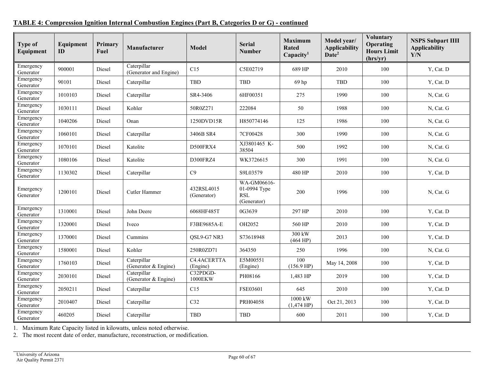| <b>Type of</b><br>Equipment | Equipment<br>ID | Primary<br>Fuel | Manufacturer                          | <b>Model</b>              | <b>Serial</b><br><b>Number</b>                           | <b>Maximum</b><br><b>Rated</b><br>Capacity <sup>1</sup> | Model year/<br><b>Applicability</b><br>Date <sup>2</sup> | <b>Voluntary</b><br>Operating<br><b>Hours Limit</b><br>(hrs/yr) | <b>NSPS Subpart IIII</b><br><b>Applicability</b><br>Y/N |
|-----------------------------|-----------------|-----------------|---------------------------------------|---------------------------|----------------------------------------------------------|---------------------------------------------------------|----------------------------------------------------------|-----------------------------------------------------------------|---------------------------------------------------------|
| Emergency<br>Generator      | 900001          | Diesel          | Caterpillar<br>(Generator and Engine) | C15                       | C5E02719                                                 | 689 HP                                                  | 2010                                                     | 100                                                             | Y, Cat. D                                               |
| Emergency<br>Generator      | 90101           | Diesel          | Caterpillar                           | <b>TBD</b>                | TBD                                                      | 69 hp                                                   | TBD                                                      | 100                                                             | Y, Cat. D                                               |
| Emergency<br>Generator      | 1010103         | Diesel          | Caterpillar                           | SR4-3406                  | 6HF00351                                                 | 275                                                     | 1990                                                     | 100                                                             | N, Cat. G                                               |
| Emergency<br>Generator      | 1030111         | Diesel          | Kohler                                | 50R0Z271                  | 222084                                                   | 50                                                      | 1988                                                     | 100                                                             | N, Cat. G                                               |
| Emergency<br>Generator      | 1040206         | Diesel          | Onan                                  | 1250DVD15R                | H850774146                                               | 125                                                     | 1986                                                     | 100                                                             | N, Cat. G                                               |
| Emergency<br>Generator      | 1060101         | Diesel          | Caterpillar                           | 3406B SR4                 | 7CF00428                                                 | 300                                                     | 1990                                                     | 100                                                             | N, Cat. G                                               |
| Emergency<br>Generator      | 1070101         | Diesel          | Katolite                              | D500FRX4                  | XJ3801465 K-<br>38504                                    | 500                                                     | 1992                                                     | 100                                                             | N, Cat. G                                               |
| Emergency<br>Generator      | 1080106         | Diesel          | Katolite                              | D300FRZ4                  | WK3726615                                                | 300                                                     | 1991                                                     | 100                                                             | N, Cat. G                                               |
| Emergency<br>Generator      | 1130302         | Diesel          | Caterpillar                           | C9                        | S9L03579                                                 | 480 HP                                                  | 2010                                                     | 100                                                             | Y, Cat. D                                               |
| Emergency<br>Generator      | 1200101         | Diesel          | Cutler Hammer                         | 432RSL4015<br>(Generator) | WA-GM06616-<br>01-0994 Type<br><b>RSL</b><br>(Generator) | 200                                                     | 1996                                                     | 100                                                             | N, Cat. G                                               |
| Emergency<br>Generator      | 1310001         | Diesel          | John Deere                            | 6068HF485T                | 0G3639                                                   | 297 HP                                                  | 2010                                                     | 100                                                             | Y, Cat. D                                               |
| Emergency<br>Generator      | 1320001         | Diesel          | Iveco                                 | F3BE9685A-E               | OH2052                                                   | 560 HP                                                  | 2010                                                     | 100                                                             | Y, Cat. D                                               |
| Emergency<br>Generator      | 1370001         | Diesel          | Cummins                               | QSL9-G7 NR3               | S73618948                                                | 300 kW<br>(464 HP)                                      | 2013                                                     | 100                                                             | Y, Cat. D                                               |
| Emergency<br>Generator      | 1580001         | Diesel          | Kohler                                | 250R0ZD71                 | 364350                                                   | 250                                                     | 1996                                                     | 100                                                             | N, Cat. G                                               |
| Emergency<br>Generator      | 1760103         | Diesel          | Caterpillar<br>(Generator & Engine)   | C4.4ACERTTA<br>(Engine)   | E5M00551<br>(Engine)                                     | 100<br>(156.9 HP)                                       | May 14, 2008                                             | 100                                                             | Y, Cat. D                                               |
| Emergency<br>Generator      | 2030101         | Diesel          | Caterpillar<br>(Generator & Engine)   | C32PDGD-<br>1000EKW       | PH08166                                                  | 1,483 HP                                                | 2019                                                     | 100                                                             | Y, Cat. D                                               |
| Emergency<br>Generator      | 2050211         | Diesel          | Caterpillar                           | C15                       | FSE03601                                                 | 645                                                     | 2010                                                     | 100                                                             | Y, Cat. D                                               |
| Emergency<br>Generator      | 2010407         | Diesel          | Caterpillar                           | C32                       | PRH04058                                                 | 1000 kW<br>$(1,474$ HP)                                 | Oct 21, 2013                                             | 100                                                             | Y, Cat. D                                               |
| Emergency<br>Generator      | 460205          | Diesel          | Caterpillar                           | TBD                       | TBD                                                      | 600                                                     | 2011                                                     | 100                                                             | Y, Cat. D                                               |

# **TABLE 4: Compression Ignition Internal Combustion Engines (Part B, Categories D or G) - continued**

1. Maximum Rate Capacity listed in kilowatts, unless noted otherwise.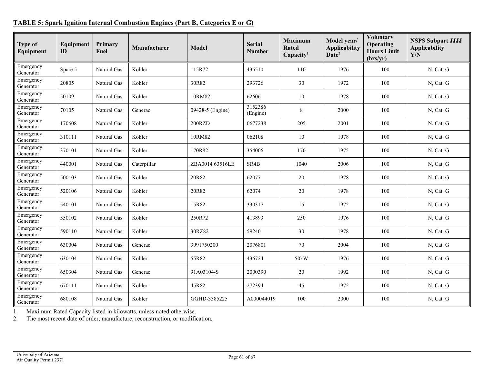# **TABLE 5: Spark Ignition Internal Combustion Engines (Part B, Categories E or G)**

<span id="page-60-0"></span>

| <b>Type of</b><br>Equipment | Equipment<br>ID | Primary<br>Fuel | Manufacturer | <b>Model</b>     | <b>Serial</b><br><b>Number</b> | <b>Maximum</b><br><b>Rated</b><br>Capacity <sup>1</sup> | Model year/<br><b>Applicability</b><br>Date <sup>2</sup> | <b>Voluntary</b><br>Operating<br><b>Hours Limit</b><br>(hrs/yr) | <b>NSPS Subpart JJJJ</b><br><b>Applicability</b><br>Y/N |
|-----------------------------|-----------------|-----------------|--------------|------------------|--------------------------------|---------------------------------------------------------|----------------------------------------------------------|-----------------------------------------------------------------|---------------------------------------------------------|
| Emergency<br>Generator      | Spare 5         | Natural Gas     | Kohler       | 115R72           | 435510                         | 110                                                     | 1976                                                     | 100                                                             | N, Cat. G                                               |
| Emergency<br>Generator      | 20805           | Natural Gas     | Kohler       | 30R82            | 293726                         | 30                                                      | 1972                                                     | 100                                                             | N, Cat. G                                               |
| Emergency<br>Generator      | 50109           | Natural Gas     | Kohler       | 10RM82           | 62606                          | 10                                                      | 1978                                                     | 100                                                             | N, Cat. G                                               |
| Emergency<br>Generator      | 70105           | Natural Gas     | Generac      | 09428-5 (Engine) | 3152386<br>(Engine)            | $8\,$                                                   | 2000                                                     | 100                                                             | N, Cat. G                                               |
| Emergency<br>Generator      | 170608          | Natural Gas     | Kohler       | 200RZD           | 0677238                        | 205                                                     | 2001                                                     | 100                                                             | N, Cat. G                                               |
| Emergency<br>Generator      | 310111          | Natural Gas     | Kohler       | 10RM82           | 062108                         | 10                                                      | 1978                                                     | 100                                                             | N, Cat. G                                               |
| Emergency<br>Generator      | 370101          | Natural Gas     | Kohler       | 170R82           | 354006                         | 170                                                     | 1975                                                     | 100                                                             | N, Cat. G                                               |
| Emergency<br>Generator      | 440001          | Natural Gas     | Caterpillar  | ZBA0014 63516LE  | SR4B                           | 1040                                                    | 2006                                                     | 100                                                             | N, Cat. G                                               |
| Emergency<br>Generator      | 500103          | Natural Gas     | Kohler       | 20R82            | 62077                          | 20                                                      | 1978                                                     | 100                                                             | N, Cat. G                                               |
| Emergency<br>Generator      | 520106          | Natural Gas     | Kohler       | 20R82            | 62074                          | 20                                                      | 1978                                                     | 100                                                             | N, Cat. G                                               |
| Emergency<br>Generator      | 540101          | Natural Gas     | Kohler       | 15R82            | 330317                         | 15                                                      | 1972                                                     | 100                                                             | N, Cat. G                                               |
| Emergency<br>Generator      | 550102          | Natural Gas     | Kohler       | 250R72           | 413893                         | 250                                                     | 1976                                                     | 100                                                             | N, Cat. G                                               |
| Emergency<br>Generator      | 590110          | Natural Gas     | Kohler       | 30RZ82           | 59240                          | 30                                                      | 1978                                                     | 100                                                             | N, Cat. G                                               |
| Emergency<br>Generator      | 630004          | Natural Gas     | Generac      | 3991750200       | 2076801                        | 70                                                      | 2004                                                     | 100                                                             | N, Cat. G                                               |
| Emergency<br>Generator      | 630104          | Natural Gas     | Kohler       | 55R82            | 436724                         | 50kW                                                    | 1976                                                     | 100                                                             | N, Cat. G                                               |
| Emergency<br>Generator      | 650304          | Natural Gas     | Generac      | 91A03104-S       | 2000390                        | 20                                                      | 1992                                                     | 100                                                             | N, Cat. G                                               |
| Emergency<br>Generator      | 670111          | Natural Gas     | Kohler       | 45R82            | 272394                         | 45                                                      | 1972                                                     | 100                                                             | N, Cat. G                                               |
| Emergency<br>Generator      | 680108          | Natural Gas     | Kohler       | GGHD-3385225     | A000044019                     | 100                                                     | 2000                                                     | 100                                                             | N, Cat. G                                               |

1. Maximum Rated Capacity listed in kilowatts, unless noted otherwise.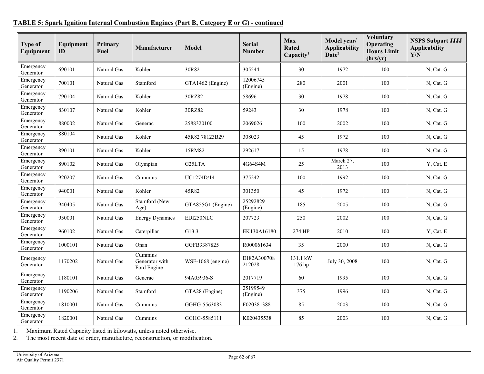# **TABLE 5: Spark Ignition Internal Combustion Engines (Part B, Category E or G) - continued**

| <b>Type of</b><br>Equipment | Equipment<br>ID | Primary<br>Fuel | Manufacturer                             | <b>Model</b>        | <b>Serial</b><br><b>Number</b> | Max<br><b>Rated</b><br>Capacity <sup>1</sup> | Model year/<br><b>Applicability</b><br>Date <sup>2</sup> | <b>Voluntary</b><br>Operating<br><b>Hours Limit</b><br>(hrs/yr) | <b>NSPS Subpart JJJJ</b><br><b>Applicability</b><br>Y/N |
|-----------------------------|-----------------|-----------------|------------------------------------------|---------------------|--------------------------------|----------------------------------------------|----------------------------------------------------------|-----------------------------------------------------------------|---------------------------------------------------------|
| Emergency<br>Generator      | 690101          | Natural Gas     | Kohler                                   | 30R82               | 305544                         | 30                                           | 1972                                                     | 100                                                             | N, Cat. G                                               |
| Emergency<br>Generator      | 700101          | Natural Gas     | Stamford                                 | GTA1462 (Engine)    | 12006745<br>(Engine)           | 280                                          | 2001                                                     | 100                                                             | N, Cat. G                                               |
| Emergency<br>Generator      | 790104          | Natural Gas     | Kohler                                   | 30RZ82              | 58696                          | 30                                           | 1978                                                     | 100                                                             | N, Cat. G                                               |
| Emergency<br>Generator      | 830107          | Natural Gas     | Kohler                                   | 30RZ82              | 59243                          | 30                                           | 1978                                                     | 100                                                             | N, Cat. G                                               |
| Emergency<br>Generator      | 880002          | Natural Gas     | Generac                                  | 2588320100          | 2069026                        | 100                                          | 2002                                                     | 100                                                             | N, Cat. G                                               |
| Emergency<br>Generator      | 880104          | Natural Gas     | Kohler                                   | 45R8278123B29       | 308023                         | 45                                           | 1972                                                     | 100                                                             | N, Cat. G                                               |
| Emergency<br>Generator      | 890101          | Natural Gas     | Kohler                                   | 15RM82              | 292617                         | 15                                           | 1978                                                     | 100                                                             | N, Cat. G                                               |
| Emergency<br>Generator      | 890102          | Natural Gas     | Olympian                                 | G <sub>25</sub> LTA | 4G64S4M                        | 25                                           | March 27,<br>2013                                        | 100                                                             | Y, Cat. E                                               |
| Emergency<br>Generator      | 920207          | Natural Gas     | Cummins                                  | UC1274D/14          | 375242                         | 100                                          | 1992                                                     | 100                                                             | N, Cat. G                                               |
| Emergency<br>Generator      | 940001          | Natural Gas     | Kohler                                   | 45R82               | 301350                         | 45                                           | 1972                                                     | 100                                                             | N, Cat. G                                               |
| Emergency<br>Generator      | 940405          | Natural Gas     | Stamford (New<br>Age)                    | GTA855G1 (Engine)   | 25292829<br>(Engine)           | 185                                          | 2005                                                     | 100                                                             | N, Cat. G                                               |
| Emergency<br>Generator      | 950001          | Natural Gas     | <b>Energy Dynamics</b>                   | EDI250NLC           | 207723                         | 250                                          | 2002                                                     | 100                                                             | N, Cat. G                                               |
| Emergency<br>Generator      | 960102          | Natural Gas     | Caterpillar                              | G13.3               | EK130A16180                    | 274 HP                                       | 2010                                                     | 100                                                             | Y, Cat. E                                               |
| Emergency<br>Generator      | 1000101         | Natural Gas     | Onan                                     | GGFB3387825         | R000061634                     | 35                                           | 2000                                                     | 100                                                             | N, Cat. G                                               |
| Emergency<br>Generator      | 1170202         | Natural Gas     | Cummins<br>Generator with<br>Ford Engine | WSF-1068 (engine)   | E182A300708<br>212028          | 131.1 kW<br>176 hp                           | July 30, 2008                                            | 100                                                             | N, Cat. G                                               |
| Emergency<br>Generator      | 1180101         | Natural Gas     | Generac                                  | 94A05936-S          | 2017719                        | 60                                           | 1995                                                     | 100                                                             | N, Cat. G                                               |
| Emergency<br>Generator      | 1190206         | Natural Gas     | Stamford                                 | GTA28 (Engine)      | 25199549<br>(Engine)           | 375                                          | 1996                                                     | 100                                                             | N, Cat. G                                               |
| Emergency<br>Generator      | 1810001         | Natural Gas     | Cummins                                  | GGHG-5563083        | F020381388                     | 85                                           | 2003                                                     | 100                                                             | N, Cat. G                                               |
| Emergency<br>Generator      | 1820001         | Natural Gas     | Cummins                                  | GGHG-5585111        | K020435538                     | 85                                           | 2003                                                     | 100                                                             | N, Cat. G                                               |

1. Maximum Rated Capacity listed in kilowatts, unless noted otherwise.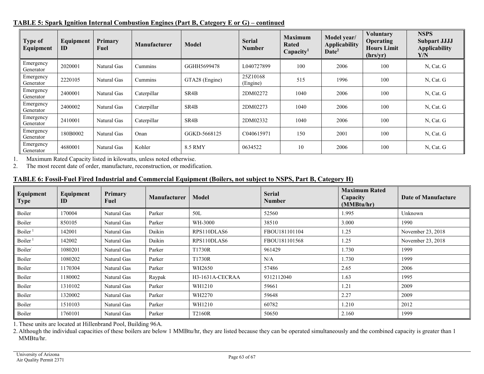| Type of<br>Equipment   | Equipment<br>ID | Primary<br>Fuel | <b>Manufacturer</b> | <b>Model</b>      | <b>Serial</b><br><b>Number</b> | <b>Maximum</b><br>Rated<br>Capacity <sup>1</sup> | Model year/<br><b>Applicability</b><br>Date <sup>2</sup> | <b>Voluntary</b><br>Operating<br><b>Hours Limit</b><br>(hrs/yr) | <b>NSPS</b><br><b>Subpart JJJJ</b><br><b>Applicability</b><br>Y/N |
|------------------------|-----------------|-----------------|---------------------|-------------------|--------------------------------|--------------------------------------------------|----------------------------------------------------------|-----------------------------------------------------------------|-------------------------------------------------------------------|
| Emergency<br>Generator | 2020001         | Natural Gas     | Cummins             | GGHH5699478       | L040727899                     | 100                                              | 2006                                                     | 100                                                             | N, Cat. G                                                         |
| Emergency<br>Generator | 2220105         | Natural Gas     | Cummins             | GTA28 (Engine)    | 25Z10168<br>(Engine)           | 515                                              | 1996                                                     | 100                                                             | N, Cat. G                                                         |
| Emergency<br>Generator | 2400001         | Natural Gas     | Caterpillar         | SR4B              | 2DM02272                       | 1040                                             | 2006                                                     | 100                                                             | N, Cat. G                                                         |
| Emergency<br>Generator | 2400002         | Natural Gas     | Caterpillar         | SR <sub>4</sub> B | 2DM02273                       | 1040                                             | 2006                                                     | 100                                                             | N, Cat. G                                                         |
| Emergency<br>Generator | 2410001         | Natural Gas     | Caterpillar         | SR4B              | 2DM02332                       | 1040                                             | 2006                                                     | 100                                                             | N, Cat. G                                                         |
| Emergency<br>Generator | 180B0002        | Natural Gas     | Onan                | GGKD-5668125      | C040615971                     | 150                                              | 2001                                                     | 100                                                             | N, Cat. G                                                         |
| Emergency<br>Generator | 4680001         | Natural Gas     | Kohler              | 8.5 RMY           | 0634522                        | 10                                               | 2006                                                     | 100                                                             | N, Cat. G                                                         |

1. Maximum Rated Capacity listed in kilowatts, unless noted otherwise.<br>2. The most recent date of order, manufacture, reconstruction, or modific

The most recent date of order, manufacture, reconstruction, or modification.

# **TABLE 6: Fossil-Fuel Fired Industrial and Commercial Equipment (Boilers, not subject to NSPS, Part B, Category H)**

| Equipment<br>Type   | Equipment<br>ID | Primary<br>Fuel | Manufacturer | Model           | <b>Serial</b><br><b>Number</b> | <b>Maximum Rated</b><br>Capacity<br>(MMBtu/hr) | Date of Manufacture |
|---------------------|-----------------|-----------------|--------------|-----------------|--------------------------------|------------------------------------------------|---------------------|
| Boiler              | 170004          | Natural Gas     | Parker       | 50L             | 52560                          | 1.995                                          | Unknown             |
| Boiler              | 850105          | Natural Gas     | Parker       | WH-3000         | 38510                          | 3.000                                          | 1990                |
| Boiler <sup>1</sup> | 142001          | Natural Gas     | Daikin       | RPS110DLAS6     | FBOU181101104                  | 1.25                                           | November 23, 2018   |
| Boiler <sup>1</sup> | 142002          | Natural Gas     | Daikin       | RPS110DLAS6     | FBOU181101568                  | 1.25                                           | November 23, 2018   |
| Boiler <sup>`</sup> | 1080201         | Natural Gas     | Parker       | T1730R          | 961429                         | 1.730                                          | 1999                |
| Boiler              | 1080202         | Natural Gas     | Parker       | T1730R          | N/A                            | 1.730                                          | 1999                |
| Boiler              | 1170304         | Natural Gas     | Parker       | WH2650          | 57486                          | 2.65                                           | 2006                |
| Boiler              | 1180002         | Natural Gas     | Raypak       | H3-1631A-CECRAA | 9312112040                     | 1.63                                           | 1995                |
| Boiler              | 1310102         | Natural Gas     | Parker       | WH1210          | 59661                          | 1.21                                           | 2009                |
| Boiler              | 1320002         | Natural Gas     | Parker       | WH2270          | 59648                          | 2.27                                           | 2009                |
| Boiler              | 1510103         | Natural Gas     | Parker       | WH1210          | 60782                          | 1.210                                          | 2012                |
| Boiler              | 1760101         | Natural Gas     | Parker       | T2160R          | 50650                          | 2.160                                          | 1999                |

<span id="page-62-0"></span>1. These units are located at Hillenbrand Pool, Building 96A.

2. Although the individual capacities of these boilers are below 1 MMBtu/hr, they are listed because they can be operated simultaneously and the combined capacity is greater than 1 MMBtu/hr.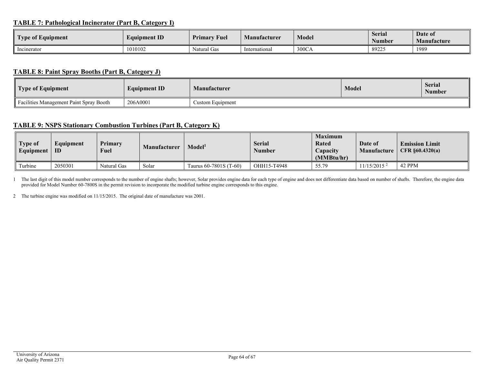# **TABLE 7: Pathological Incinerator (Part B, Category I)**

| l m<br>$\sim$ $\sim$<br>Type of Equipment | <b>Equipment ID</b> | <b>Primary Fuel</b> | Manufacturer  | <b>Model</b> | <b>Serial</b><br>Number | Date of<br><b>Manufacture</b> |
|-------------------------------------------|---------------------|---------------------|---------------|--------------|-------------------------|-------------------------------|
| Incinerator                               | 1010102             | Natural Gas         | International | 300CA        | 89225                   | 1989                          |

# **TABLE 8: Paint Spray Booths (Part B, Category J)**

| Type of Equipment                       | <b>Equipment ID</b> | <b>Manufacturer</b> | <b>Model</b> | <b>Serial</b><br><b>Number</b> |
|-----------------------------------------|---------------------|---------------------|--------------|--------------------------------|
| Facilities Management Paint Spray Booth | 206A0001            | Custom Equipment    |              |                                |

#### **TABLE 9: NSPS Stationary Combustion Turbines (Part B, Category K)**

<span id="page-63-0"></span>

| <b>Type of</b><br>Equipment | Equipment<br>ID | Primary<br><b>Fuel</b> | <b>Manufacturer</b> | Model <sup>ı</sup>     | <b>Serial</b><br>Number | <b>Maximum</b><br>Rated<br>Capacity<br>(MMBtu/hr) | Date of<br>Manufacture    | <b>Emission Limit</b><br>$CFR \S 60.4320(a)$ |
|-----------------------------|-----------------|------------------------|---------------------|------------------------|-------------------------|---------------------------------------------------|---------------------------|----------------------------------------------|
| Turbine                     | 2050301         | Natural Gas            | Solar               | Taurus 60-7801S (T-60) | OHH15-T4948             | 55.79                                             | $11/15/2015$ <sup>2</sup> | 42 PPM                                       |

<span id="page-63-1"></span>1 The last digit of this model number corresponds to the number of engine shafts; however, Solar provides engine data for each type of engine and does not differentiate data based on number of shafts. Therefore, the engine provided for Model Number 60-7800S in the permit revision to incorporate the modified turbine engine corresponds to this engine.

<span id="page-63-2"></span>2 The turbine engine was modified on 11/15/2015. The original date of manufacture was 2001.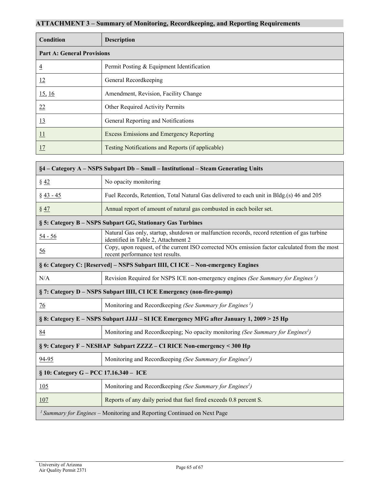# <span id="page-64-0"></span>**ATTACHMENT 3 – Summary of Monitoring, Recordkeeping, and Reporting Requirements**

| Condition                         | <b>Description</b>                                |  |
|-----------------------------------|---------------------------------------------------|--|
| <b>Part A: General Provisions</b> |                                                   |  |
| $\overline{4}$                    | Permit Posting & Equipment Identification         |  |
| 12                                | General Recordkeeping                             |  |
| 15, 16                            | Amendment, Revision, Facility Change              |  |
| 22                                | Other Required Activity Permits                   |  |
| 13                                | General Reporting and Notifications               |  |
| $\overline{11}$                   | Excess Emissions and Emergency Reporting          |  |
| 17                                | Testing Notifications and Reports (if applicable) |  |

| §4 - Category A - NSPS Subpart Db - Small - Institutional - Steam Generating Units       |                                                                                                                                    |  |
|------------------------------------------------------------------------------------------|------------------------------------------------------------------------------------------------------------------------------------|--|
| $\frac{842}{8}$                                                                          | No opacity monitoring                                                                                                              |  |
| $§$ 43 - 45                                                                              | Fuel Records, Retention, Total Natural Gas delivered to each unit in Bldg.(s) 46 and 205                                           |  |
| § 47                                                                                     | Annual report of amount of natural gas combusted in each boiler set.                                                               |  |
| § 5: Category B - NSPS Subpart GG, Stationary Gas Turbines                               |                                                                                                                                    |  |
| $54 - 56$                                                                                | Natural Gas only, startup, shutdown or malfunction records, record retention of gas turbine<br>identified in Table 2, Attachment 2 |  |
| $\underline{56}$                                                                         | Copy, upon request, of the current ISO corrected NOx emission factor calculated from the most<br>recent performance test results.  |  |
| § 6: Category C: [Reserved] - NSPS Subpart IIII, CI ICE - Non-emergency Engines          |                                                                                                                                    |  |
| N/A                                                                                      | Revision Required for NSPS ICE non-emergency engines (See Summary for Engines <sup>1</sup> )                                       |  |
| § 7: Category D - NSPS Subpart IIII, CI ICE Emergency (non-fire-pump)                    |                                                                                                                                    |  |
| 76                                                                                       | Monitoring and Recordkeeping (See Summary for Engines <sup>1</sup> )                                                               |  |
| § 8: Category E – NSPS Subpart JJJJ – SI ICE Emergency MFG after January 1, 2009 > 25 Hp |                                                                                                                                    |  |
| 84                                                                                       | Monitoring and Recordkeeping; No opacity monitoring (See Summary for Engines <sup>1</sup> )                                        |  |
| § 9: Category F - NESHAP Subpart ZZZZ - CI RICE Non-emergency < 300 Hp                   |                                                                                                                                    |  |
| 94-95                                                                                    | Monitoring and Recordkeeping (See Summary for Engines <sup>1</sup> )                                                               |  |
| § 10: Category G - PCC 17.16.340 - ICE                                                   |                                                                                                                                    |  |
| 105                                                                                      | Monitoring and Recordkeeping (See Summary for Engines <sup>1</sup> )                                                               |  |
| 107                                                                                      | Reports of any daily period that fuel fired exceeds 0.8 percent S.                                                                 |  |
|                                                                                          | <sup>1</sup> Summary for Engines – Monitoring and Reporting Continued on Next Page                                                 |  |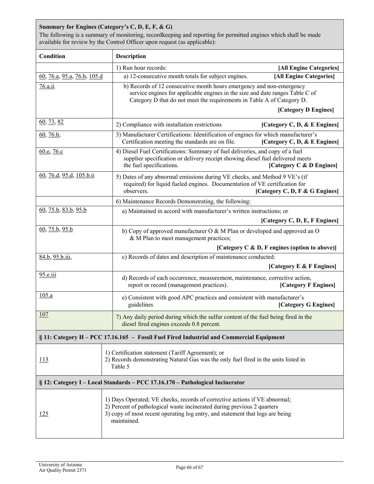# **Summary for Engines (Category's C, D, E, F, & G)**

The following is a summary of monitoring, recordkeeping and reporting for permitted engines which shall be made available for review by the Control Officer upon request (as applicable):

| Condition                                                                                | Description                                                                                                                                                                                                                                             |  |  |
|------------------------------------------------------------------------------------------|---------------------------------------------------------------------------------------------------------------------------------------------------------------------------------------------------------------------------------------------------------|--|--|
|                                                                                          | 1) Run hour records:<br>[All Engine Categories]                                                                                                                                                                                                         |  |  |
| 60, 76.a, 95.a, 76.b, 105.d                                                              | [All Engine Categories]<br>a) 12-consecutive month totals for subject engines.                                                                                                                                                                          |  |  |
| 76.a.ii                                                                                  | b) Records of 12 consecutive month hours emergency and non-emergency<br>service engines for applicable engines in the size and date ranges Table C of<br>Category D that do not meet the requirements in Table A of Category D.<br>[Category D Engines] |  |  |
|                                                                                          |                                                                                                                                                                                                                                                         |  |  |
| 60, 73, 82                                                                               | 2) Compliance with installation restrictions<br>[Category C, D, & E Engines]                                                                                                                                                                            |  |  |
| 60, 76.b,                                                                                | 3) Manufacturer Certifications: Identification of engines for which manufacturer's<br>Certification meeting the standards are on file.<br>[Category C, D, & E Engines]                                                                                  |  |  |
| 60.e, 76.c                                                                               | 4) Diesel Fuel Certifications: Summary of fuel deliveries, and copy of a fuel<br>supplier specification or delivery receipt showing diesel fuel delivered meets<br>the fuel specifications.<br>[Category C & D Engines]                                 |  |  |
| 60, 76.d, 95.d, 105.b.ii                                                                 | 5) Dates of any abnormal emissions during VE checks, and Method 9 VE's (if<br>required) for liquid fueled engines. Documentation of VE certification for<br>observers.<br>[Category C, D, F & G Engines]                                                |  |  |
|                                                                                          | 6) Maintenance Records Demonstrating, the following:                                                                                                                                                                                                    |  |  |
| $\underline{60}$ , 75.b, 83.b, 95.b                                                      | a) Maintained in accord with manufacturer's written instructions; or                                                                                                                                                                                    |  |  |
|                                                                                          | [Category C, D, E, F Engines]                                                                                                                                                                                                                           |  |  |
| 60, 75.b, 95.b                                                                           | b) Copy of approved manufacturer O & M Plan or developed and approved an O<br>& M Plan to meet management practices;                                                                                                                                    |  |  |
|                                                                                          | [Category C & D, F engines (option to above)]                                                                                                                                                                                                           |  |  |
| 84.b, 95.b.iii,                                                                          | c) Records of dates and description of maintenance conducted:<br>[Category E & F Engines]                                                                                                                                                               |  |  |
| 95.e.iii                                                                                 | d) Records of each occurrence, measurement, maintenance, corrective action,<br>report or record (management practices).<br>[Category F Engines]                                                                                                         |  |  |
| 105.a                                                                                    | e) Consistent with good APC practices and consistent with manufacturer's<br>guidelines<br>[Category G Engines]                                                                                                                                          |  |  |
| <u>107</u>                                                                               | 7) Any daily period during which the sulfur content of the fuel being fired in the<br>diesel fired engines exceeds 0.8 percent.                                                                                                                         |  |  |
| § 11: Category H – PCC 17.16.165 – Fossil Fuel Fired Industrial and Commercial Equipment |                                                                                                                                                                                                                                                         |  |  |
| <u>113</u>                                                                               | 1) Certification statement (Tariff Agreement); or<br>2) Records demonstrating Natural Gas was the only fuel fired in the units listed in<br>Table 5                                                                                                     |  |  |
| § 12: Category I - Local Standards - PCC 17.16.170 - Pathological Incinerator            |                                                                                                                                                                                                                                                         |  |  |
| 125                                                                                      | 1) Days Operated; VE checks, records of corrective actions if VE abnormal;<br>2) Percent of pathological waste incinerated during previous 2 quarters<br>3) copy of most recent operating log entry, and statement that logs are being<br>maintained.   |  |  |